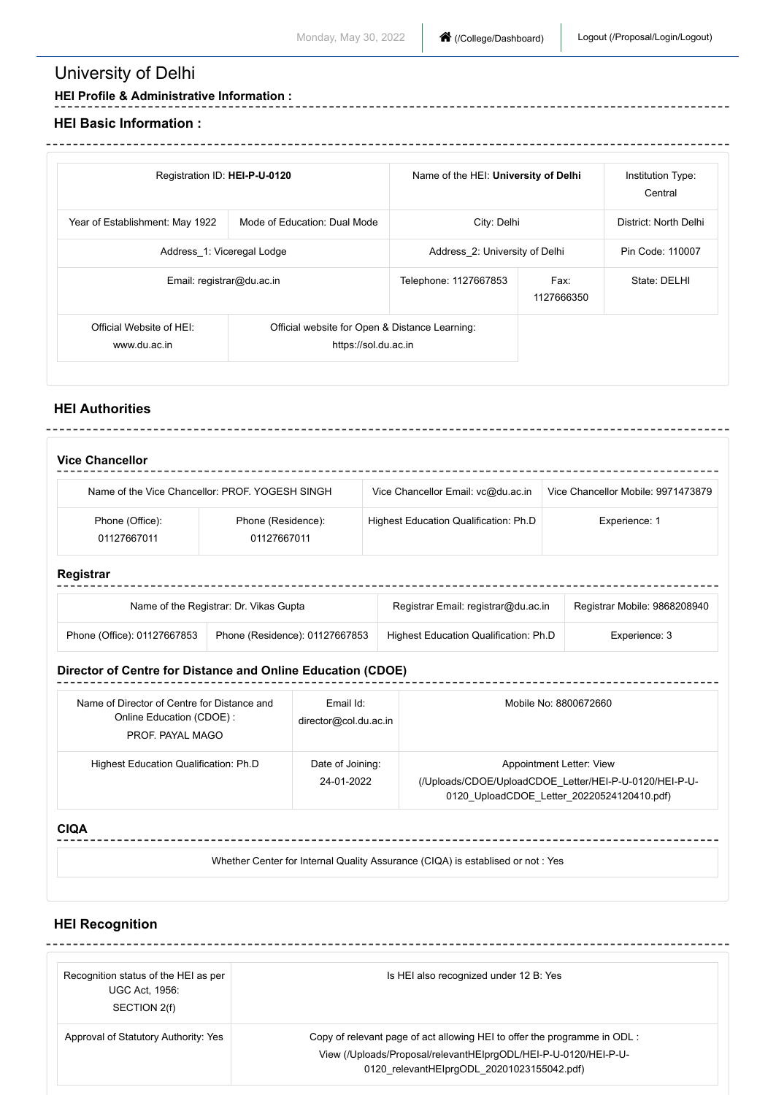# University of Delhi

### **HEI Profile & Administrative Information :**

#### **HEI Basic Information :**

| Registration ID: HEI-P-U-0120            |                                                                        | Name of the HEI: University of Delhi |                    | Institution Type:<br>Central |
|------------------------------------------|------------------------------------------------------------------------|--------------------------------------|--------------------|------------------------------|
| Year of Establishment: May 1922          | Mode of Education: Dual Mode                                           | City: Delhi                          |                    | District: North Delhi        |
| Address 1: Viceregal Lodge               |                                                                        | Address 2: University of Delhi       |                    | Pin Code: 110007             |
| Email: registrar@du.ac.in                |                                                                        | Telephone: 1127667853                | Fax:<br>1127666350 | State: DELHI                 |
| Official Website of HEI:<br>www.du.ac.in | Official website for Open & Distance Learning:<br>https://sol.du.ac.in |                                      |                    |                              |

### **HEI Authorities**

| <b>Vice Chancellor</b>         |                                                 |                                       |                                    |
|--------------------------------|-------------------------------------------------|---------------------------------------|------------------------------------|
|                                | Name of the Vice Chancellor: PROF, YOGESH SINGH | Vice Chancellor Email: vc@du.ac.in    | Vice Chancellor Mobile: 9971473879 |
| Phone (Office):<br>01127667011 | Phone (Residence):<br>01127667011               | Highest Education Qualification: Ph.D | Experience: 1                      |

## **Registrar**

| Name of the Registrar: Dr. Vikas Gupta |                                | Registrar Email: registrar@du.ac.in   | Registrar Mobile: 9868208940 |
|----------------------------------------|--------------------------------|---------------------------------------|------------------------------|
| Phone (Office): 01127667853            | Phone (Residence): 01127667853 | Highest Education Qualification: Ph.D | Experience: 3                |

### **Director of Centre for Distance and Online Education (CDOE)**

| Name of Director of Centre for Distance and<br>Online Education (CDOE):<br>PROF. PAYAL MAGO | Email Id:<br>director@col.du.ac.in | Mobile No: 8800672660                                                                                                            |
|---------------------------------------------------------------------------------------------|------------------------------------|----------------------------------------------------------------------------------------------------------------------------------|
| Highest Education Qualification: Ph.D                                                       | Date of Joining:<br>24-01-2022     | Appointment Letter: View<br>(/Uploads/CDOE/UploadCDOE Letter/HEI-P-U-0120/HEI-P-U-<br>0120 UploadCDOE Letter 20220524120410.pdf) |

#### **CIQA**

Whether Center for Internal Quality Assurance (CIQA) is establised or not : Yes

## **HEI Recognition**

| Recognition status of the HEI as per<br><b>UGC Act. 1956:</b><br>SECTION 2(f) | Is HEI also recognized under 12 B: Yes                                                                                                                                                    |
|-------------------------------------------------------------------------------|-------------------------------------------------------------------------------------------------------------------------------------------------------------------------------------------|
| Approval of Statutory Authority: Yes                                          | Copy of relevant page of act allowing HEI to offer the programme in ODL:<br>View (/Uploads/Proposal/relevantHElprgODL/HEI-P-U-0120/HEI-P-U-<br>0120 relevantHElprgODL 20201023155042.pdf) |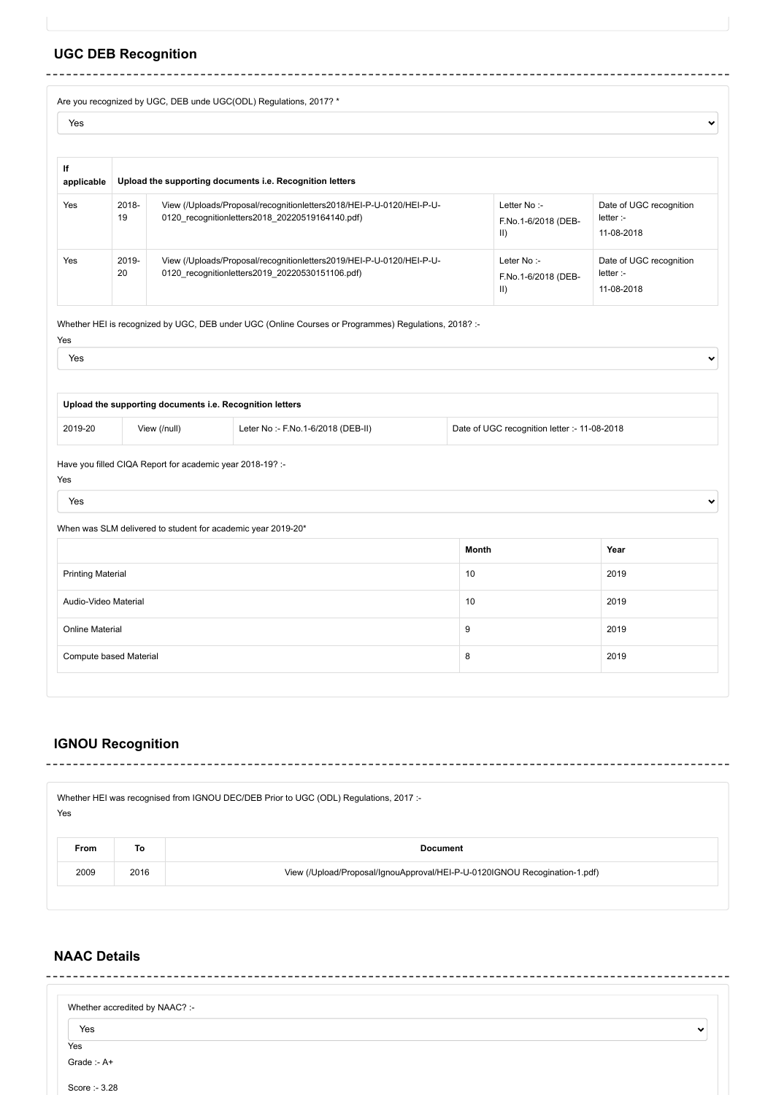## **UGC DEB Recognition**

Are you recognized by UGC, DEB unde UGC(ODL) Regulations, 2017? \*

| Yes              |             |                                                                                                                         |                                                   | v                                                  |
|------------------|-------------|-------------------------------------------------------------------------------------------------------------------------|---------------------------------------------------|----------------------------------------------------|
| If<br>applicable |             | Upload the supporting documents i.e. Recognition letters                                                                |                                                   |                                                    |
| Yes              | 2018-<br>19 | View (/Uploads/Proposal/recognitionletters2018/HEI-P-U-0120/HEI-P-U-<br>0120 recognitionletters2018 20220519164140.pdf) | Letter No:-<br>F.No.1-6/2018 (DEB-<br>$\vert$ II) | Date of UGC recognition<br>letter:<br>11-08-2018   |
| Yes              | 2019-<br>20 | View (/Uploads/Proposal/recognitionletters2019/HEI-P-U-0120/HEI-P-U-<br>0120 recognitionletters2019 20220530151106.pdf) | Leter No:-<br>F.No.1-6/2018 (DEB-<br>$\vert$ II)  | Date of UGC recognition<br>letter :-<br>11-08-2018 |

Whether HEI is recognized by UGC, DEB under UGC (Online Courses or Programmes) Regulations, 2018? :-

 $\ddot{\phantom{0}}$ 

 $\ddot{\phantom{0}}$ 

| Upload the supporting documents i.e. Recognition letters |              |                                    |                                              |
|----------------------------------------------------------|--------------|------------------------------------|----------------------------------------------|
| 2019-20                                                  | View (/null) | Leter No :- F.No.1-6/2018 (DEB-II) | Date of UGC recognition letter :- 11-08-2018 |
|                                                          |              |                                    |                                              |

Have you filled CIQA Report for academic year 2018-19? :-

Yes Yes

Yes Yes

When was SLM delivered to student for academic year 2019-20\*

|                          | <b>Month</b> | Year |
|--------------------------|--------------|------|
| <b>Printing Material</b> | 10           | 2019 |
| Audio-Video Material     | 10           | 2019 |
| <b>Online Material</b>   | 9            | 2019 |
| Compute based Material   | 8            | 2019 |

### **IGNOU Recognition**

|      |      | Whether HEI was recognised from IGNOU DEC/DEB Prior to UGC (ODL) Regulations, 2017 :- |  |  |  |
|------|------|---------------------------------------------------------------------------------------|--|--|--|
| Yes  |      |                                                                                       |  |  |  |
| From | To   | <b>Document</b>                                                                       |  |  |  |
| 2009 | 2016 | View (/Upload/Proposal/IgnouApproval/HEI-P-U-0120IGNOU Recogination-1.pdf)            |  |  |  |
|      |      |                                                                                       |  |  |  |

## **NAAC Details**

| Whether accredited by NAAC? :- |              |
|--------------------------------|--------------|
| Yes                            | $\checkmark$ |
| Yes                            |              |
| Grade:-A+                      |              |
| Score :- 3.28                  |              |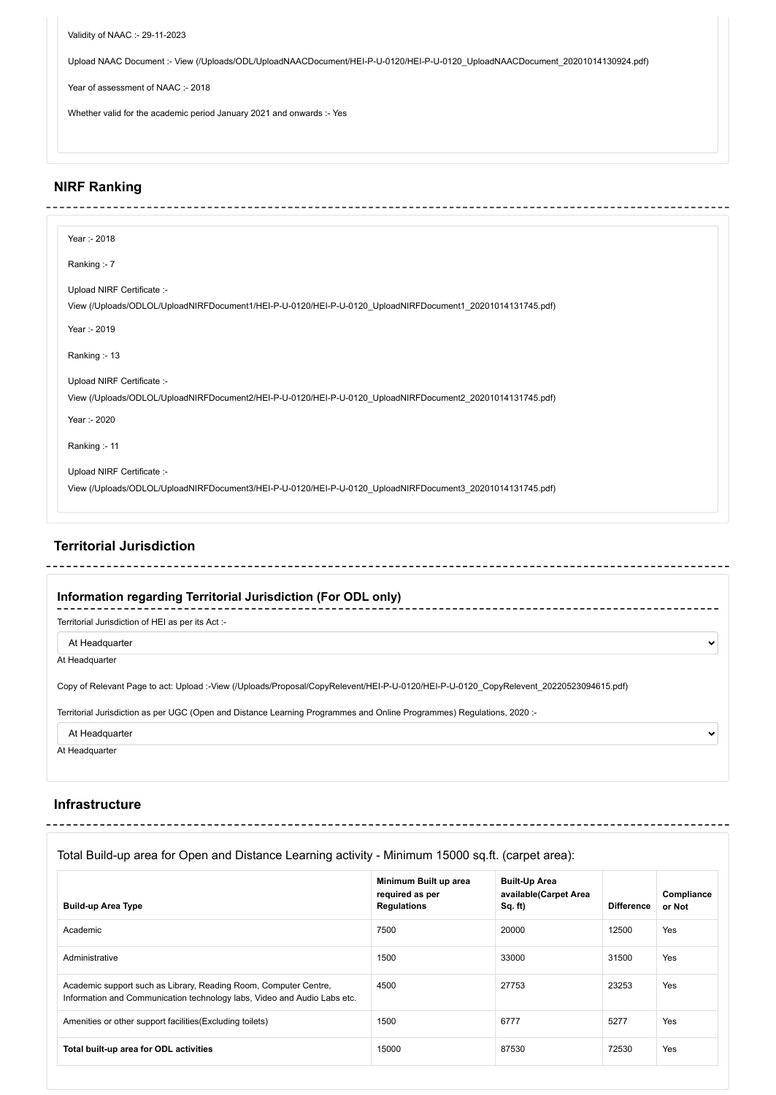Validity of NAAC :- 29-11-2023

Upload NAAC Document :- [View \(/Uploads/ODL/UploadNAACDocument/HEI-P-U-0120/HEI-P-U-0120\\_UploadNAACDocument\\_20201014130924.pdf\)](https://deb.ugc.ac.in/Uploads/ODL/UploadNAACDocument/HEI-P-U-0120/HEI-P-U-0120_UploadNAACDocument_20201014130924.pdf)

Year of assessment of NAAC :- 2018

Whether valid for the academic period January 2021 and onwards :- Yes

## **NIRF Ranking**

| Year :- 2018                                                                                               |
|------------------------------------------------------------------------------------------------------------|
| Ranking :- 7                                                                                               |
| Upload NIRF Certificate :-                                                                                 |
| View (/Uploads/ODLOL/UploadNIRFDocument1/HEI-P-U-0120/HEI-P-U-0120_UploadNIRFDocument1_20201014131745.pdf) |
| Year :- 2019                                                                                               |
| Ranking: - 13                                                                                              |
| Upload NIRF Certificate :-                                                                                 |
| View (/Uploads/ODLOL/UploadNIRFDocument2/HEI-P-U-0120/HEI-P-U-0120_UploadNIRFDocument2_20201014131745.pdf) |
| Year :- 2020                                                                                               |
| Ranking:-11                                                                                                |
| Upload NIRF Certificate :-                                                                                 |
| View (/Uploads/ODLOL/UploadNIRFDocument3/HEI-P-U-0120/HEI-P-U-0120_UploadNIRFDocument3_20201014131745.pdf) |

## **Territorial Jurisdiction**

| Information regarding Territorial Jurisdiction (For ODL only)                                                                          |              |
|----------------------------------------------------------------------------------------------------------------------------------------|--------------|
| Territorial Jurisdiction of HEI as per its Act :-                                                                                      |              |
| At Headquarter                                                                                                                         | $\checkmark$ |
| At Headquarter                                                                                                                         |              |
| Copy of Relevant Page to act: Upload :-View (/Uploads/Proposal/CopyRelevent/HEI-P-U-0120/HEI-P-U-0120 CopyRelevent 20220523094615.pdf) |              |
| Territorial Jurisdiction as per UGC (Open and Distance Learning Programmes and Online Programmes) Regulations, 2020 :-                 |              |
| At Headquarter                                                                                                                         | $\checkmark$ |
| At Headquarter                                                                                                                         |              |

### **Infrastructure**

## Total Build-up area for Open and Distance Learning activity - Minimum 15000 sq.ft. (carpet area):

| <b>Build-up Area Type</b>                                                                                                                    | Minimum Built up area<br>required as per<br><b>Regulations</b> | <b>Built-Up Area</b><br>available(Carpet Area<br>Sq. ft) | <b>Difference</b> | Compliance<br>or Not |
|----------------------------------------------------------------------------------------------------------------------------------------------|----------------------------------------------------------------|----------------------------------------------------------|-------------------|----------------------|
| Academic                                                                                                                                     | 7500                                                           | 20000                                                    | 12500             | Yes                  |
| Administrative                                                                                                                               | 1500                                                           | 33000                                                    | 31500             | Yes                  |
| Academic support such as Library, Reading Room, Computer Centre,<br>Information and Communication technology labs, Video and Audio Labs etc. | 4500                                                           | 27753                                                    | 23253             | Yes                  |
| Amenities or other support facilities (Excluding toilets)                                                                                    | 1500                                                           | 6777                                                     | 5277              | Yes                  |
| Total built-up area for ODL activities                                                                                                       | 15000                                                          | 87530                                                    | 72530             | Yes                  |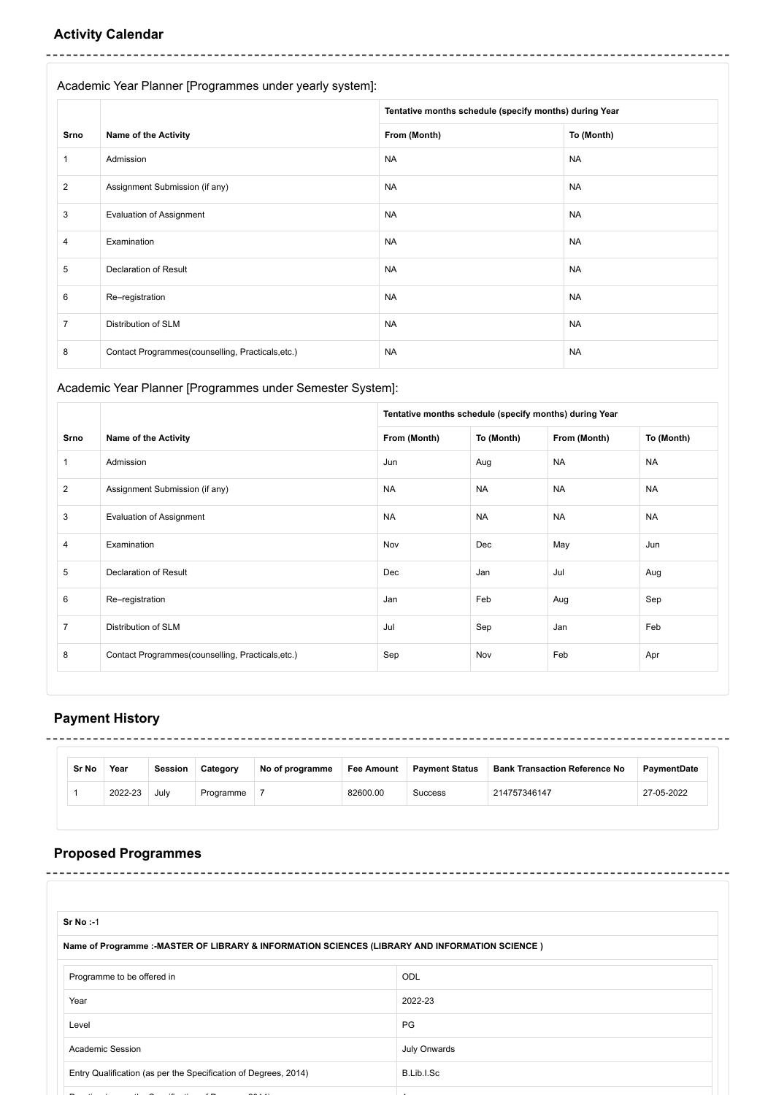## **Activity Calendar**

Academic Year Planner [Programmes under yearly system]:

|                |                                                   | Tentative months schedule (specify months) during Year |            |
|----------------|---------------------------------------------------|--------------------------------------------------------|------------|
| Srno           | <b>Name of the Activity</b>                       | From (Month)                                           | To (Month) |
| 1              | Admission                                         | <b>NA</b>                                              | <b>NA</b>  |
| $\overline{2}$ | Assignment Submission (if any)                    | <b>NA</b>                                              | <b>NA</b>  |
| 3              | <b>Evaluation of Assignment</b>                   | <b>NA</b>                                              | <b>NA</b>  |
| 4              | Examination                                       | <b>NA</b>                                              | <b>NA</b>  |
| 5              | <b>Declaration of Result</b>                      | <b>NA</b>                                              | <b>NA</b>  |
| 6              | Re-registration                                   | <b>NA</b>                                              | <b>NA</b>  |
| $\overline{7}$ | Distribution of SLM                               | <b>NA</b>                                              | <b>NA</b>  |
| 8              | Contact Programmes(counselling, Practicals, etc.) | <b>NA</b>                                              | <b>NA</b>  |

## Academic Year Planner [Programmes under Semester System]:

|                |                                                   | Tentative months schedule (specify months) during Year |            |              |            |
|----------------|---------------------------------------------------|--------------------------------------------------------|------------|--------------|------------|
| Srno           | <b>Name of the Activity</b>                       | From (Month)                                           | To (Month) | From (Month) | To (Month) |
| 1              | Admission                                         | Jun                                                    | Aug        | <b>NA</b>    | <b>NA</b>  |
| $\overline{2}$ | Assignment Submission (if any)                    | <b>NA</b>                                              | <b>NA</b>  | <b>NA</b>    | <b>NA</b>  |
| 3              | <b>Evaluation of Assignment</b>                   | <b>NA</b>                                              | <b>NA</b>  | <b>NA</b>    | <b>NA</b>  |
| 4              | Examination                                       | Nov                                                    | Dec        | May          | Jun        |
| 5              | <b>Declaration of Result</b>                      | Dec                                                    | Jan        | Jul          | Aug        |
| 6              | Re-registration                                   | Jan                                                    | Feb        | Aug          | Sep        |
| $\overline{7}$ | Distribution of SLM                               | Jul                                                    | Sep        | Jan          | Feb        |
| 8              | Contact Programmes(counselling, Practicals, etc.) | Sep                                                    | Nov        | Feb          | Apr        |

## **Payment History**

 $\overline{a}$ 

| Sr No | Year    | <b>Session</b> | Category  | No of programme | <b>Fee Amount</b> | <b>Payment Status</b> | <b>Bank Transaction Reference No</b> | PavmentDate |
|-------|---------|----------------|-----------|-----------------|-------------------|-----------------------|--------------------------------------|-------------|
|       | 2022-23 | July           | Programme |                 | 82600.00          | Success               | 214757346147                         | 27-05-2022  |

## **Proposed Programmes**

| <b>Sr No:-1</b>                                                                                |              |
|------------------------------------------------------------------------------------------------|--------------|
| Name of Programme :-MASTER OF LIBRARY & INFORMATION SCIENCES (LIBRARY AND INFORMATION SCIENCE) |              |
| Programme to be offered in                                                                     | <b>ODL</b>   |
| Year                                                                                           | 2022-23      |
| Level                                                                                          | PG           |
| <b>Academic Session</b>                                                                        | July Onwards |
| Entry Qualification (as per the Specification of Degrees, 2014)                                | B.Lib.I.Sc   |
|                                                                                                |              |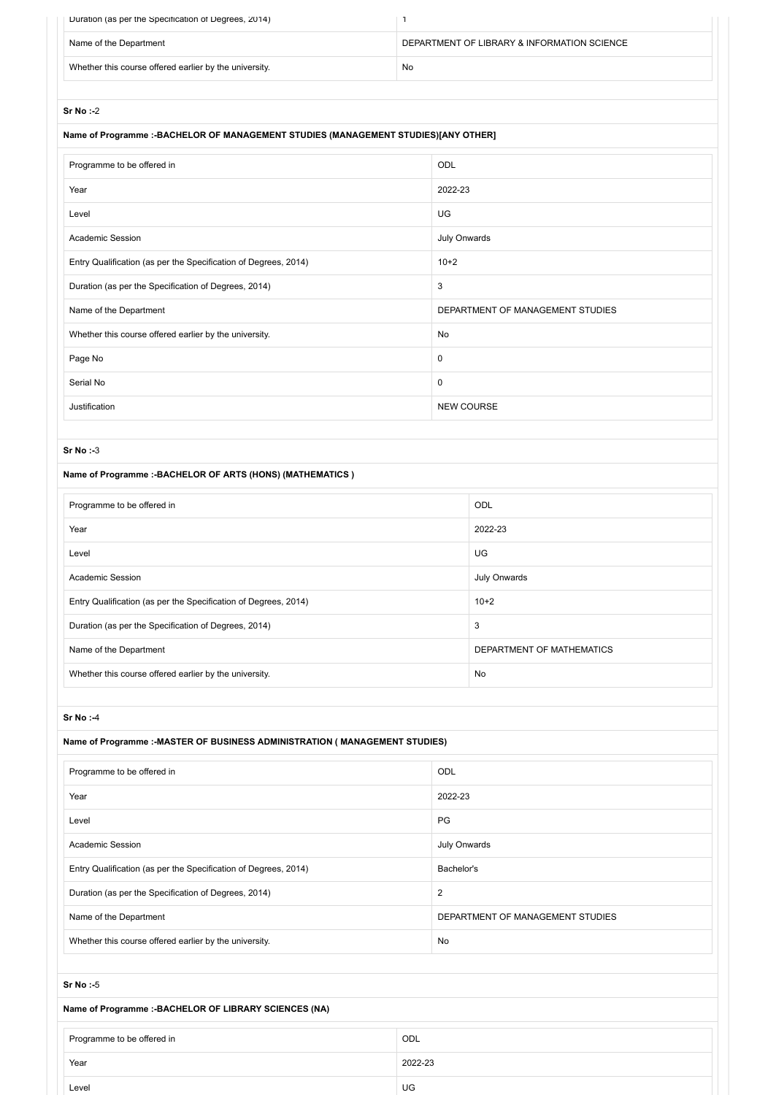| Duration (as per the Specification of Degrees, 2014)   |                                             |
|--------------------------------------------------------|---------------------------------------------|
| Name of the Department                                 | DEPARTMENT OF LIBRARY & INFORMATION SCIENCE |
| Whether this course offered earlier by the university. | No                                          |

## **Name of Programme :-BACHELOR OF MANAGEMENT STUDIES (MANAGEMENT STUDIES)[ANY OTHER]**

| Programme to be offered in                                      | ODL                              |
|-----------------------------------------------------------------|----------------------------------|
| Year                                                            | 2022-23                          |
| Level                                                           | UG                               |
| Academic Session                                                | July Onwards                     |
| Entry Qualification (as per the Specification of Degrees, 2014) | $10+2$                           |
| Duration (as per the Specification of Degrees, 2014)            | 3                                |
| Name of the Department                                          | DEPARTMENT OF MANAGEMENT STUDIES |
| Whether this course offered earlier by the university.          | <b>No</b>                        |
| Page No                                                         | $\mathbf 0$                      |
| Serial No                                                       | $\mathbf 0$                      |
| Justification                                                   | <b>NEW COURSE</b>                |

### **Sr No :-**3

### **Name of Programme :-BACHELOR OF ARTS (HONS) (MATHEMATICS )**

Level UG

| Programme to be offered in                                      | <b>ODL</b>                |
|-----------------------------------------------------------------|---------------------------|
| Year                                                            | 2022-23                   |
| Level                                                           | UG.                       |
| <b>Academic Session</b>                                         | July Onwards              |
| Entry Qualification (as per the Specification of Degrees, 2014) | $10+2$                    |
| Duration (as per the Specification of Degrees, 2014)            | 3                         |
| Name of the Department                                          | DEPARTMENT OF MATHEMATICS |
| Whether this course offered earlier by the university.          | No                        |

#### **Sr No :-**4

| Name of Programme :- MASTER OF BUSINESS ADMINISTRATION ( MANAGEMENT STUDIES) |                                  |  |  |
|------------------------------------------------------------------------------|----------------------------------|--|--|
| Programme to be offered in                                                   | ODL                              |  |  |
| Year                                                                         | 2022-23                          |  |  |
| Level                                                                        | PG                               |  |  |
| <b>Academic Session</b>                                                      | July Onwards                     |  |  |
| Entry Qualification (as per the Specification of Degrees, 2014)              | Bachelor's                       |  |  |
| Duration (as per the Specification of Degrees, 2014)                         | $\overline{2}$                   |  |  |
| Name of the Department                                                       | DEPARTMENT OF MANAGEMENT STUDIES |  |  |
| Whether this course offered earlier by the university.                       | <b>No</b>                        |  |  |
|                                                                              |                                  |  |  |
| Sr No:-5                                                                     |                                  |  |  |
| Name of Programme :- BACHELOR OF LIBRARY SCIENCES (NA)                       |                                  |  |  |
| Programme to be offered in                                                   | ODL                              |  |  |
| Year                                                                         | 2022-23                          |  |  |
|                                                                              |                                  |  |  |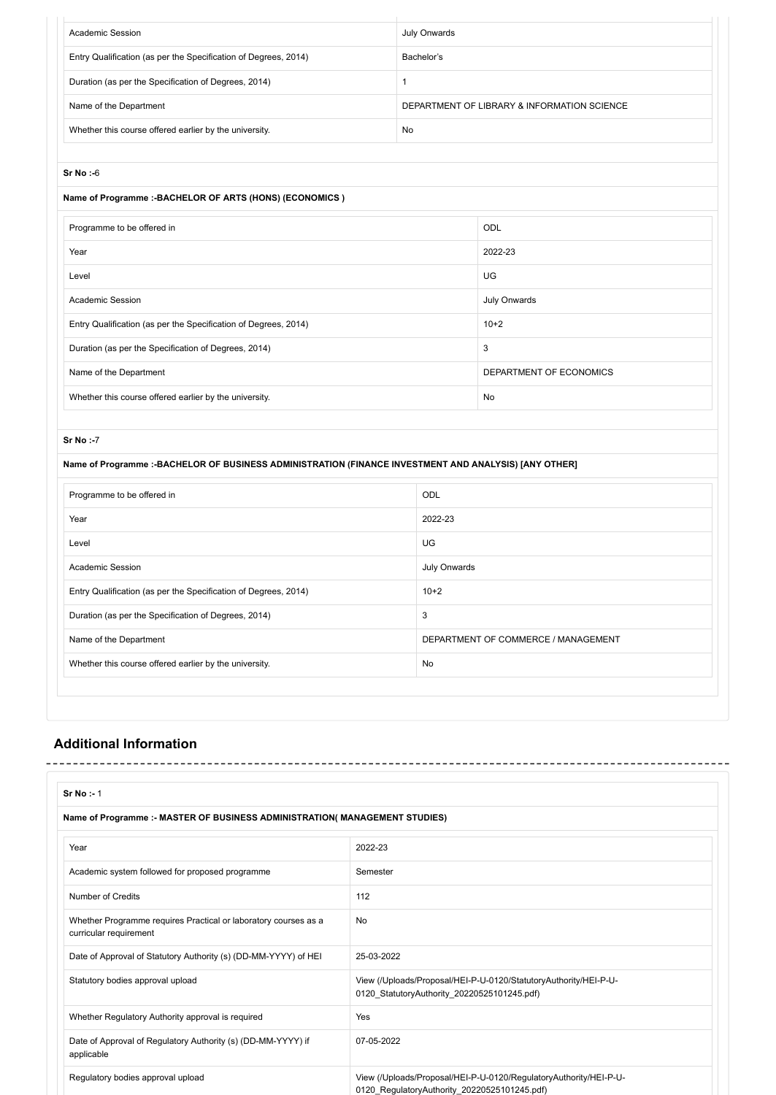| Academic Session                                                | July Onwards                                |
|-----------------------------------------------------------------|---------------------------------------------|
| Entry Qualification (as per the Specification of Degrees, 2014) | Bachelor's                                  |
| Duration (as per the Specification of Degrees, 2014)            |                                             |
| Name of the Department                                          | DEPARTMENT OF LIBRARY & INFORMATION SCIENCE |
| Whether this course offered earlier by the university.          | No                                          |

### **Name of Programme :-BACHELOR OF ARTS (HONS) (ECONOMICS )**

| Programme to be offered in                                      | <b>ODL</b>              |
|-----------------------------------------------------------------|-------------------------|
| Year                                                            | 2022-23                 |
| Level                                                           | UG                      |
| Academic Session                                                | July Onwards            |
| Entry Qualification (as per the Specification of Degrees, 2014) | $10+2$                  |
| Duration (as per the Specification of Degrees, 2014)            | 3                       |
| Name of the Department                                          | DEPARTMENT OF ECONOMICS |
| Whether this course offered earlier by the university.          | No                      |

#### **Sr No :-**7

### **Name of Programme :-BACHELOR OF BUSINESS ADMINISTRATION (FINANCE INVESTMENT AND ANALYSIS) [ANY OTHER]**

| Programme to be offered in                                      | <b>ODL</b>                          |
|-----------------------------------------------------------------|-------------------------------------|
| Year                                                            | 2022-23                             |
| Level                                                           | UG                                  |
| <b>Academic Session</b>                                         | July Onwards                        |
| Entry Qualification (as per the Specification of Degrees, 2014) | $10+2$                              |
| Duration (as per the Specification of Degrees, 2014)            | 3                                   |
| Name of the Department                                          | DEPARTMENT OF COMMERCE / MANAGEMENT |
| Whether this course offered earlier by the university.          | No                                  |
|                                                                 |                                     |

## **Additional Information**

| <b>Sr No:-1</b>                                                                           |                                                                                                                   |
|-------------------------------------------------------------------------------------------|-------------------------------------------------------------------------------------------------------------------|
| Name of Programme :- MASTER OF BUSINESS ADMINISTRATION( MANAGEMENT STUDIES)               |                                                                                                                   |
| Year                                                                                      | 2022-23                                                                                                           |
| Academic system followed for proposed programme                                           | Semester                                                                                                          |
| Number of Credits                                                                         | 112                                                                                                               |
| Whether Programme requires Practical or laboratory courses as a<br>curricular requirement | No                                                                                                                |
| Date of Approval of Statutory Authority (s) (DD-MM-YYYY) of HEI                           | 25-03-2022                                                                                                        |
| Statutory bodies approval upload                                                          | View (/Uploads/Proposal/HEI-P-U-0120/StatutoryAuthority/HEI-P-U-<br>0120 StatutoryAuthority 20220525101245.pdf)   |
| Whether Regulatory Authority approval is required                                         | Yes                                                                                                               |
| Date of Approval of Regulatory Authority (s) (DD-MM-YYYY) if<br>applicable                | 07-05-2022                                                                                                        |
| Regulatory bodies approval upload                                                         | View (/Uploads/Proposal/HEI-P-U-0120/RegulatoryAuthority/HEI-P-U-<br>0120_RegulatoryAuthority_20220525101245.pdf) |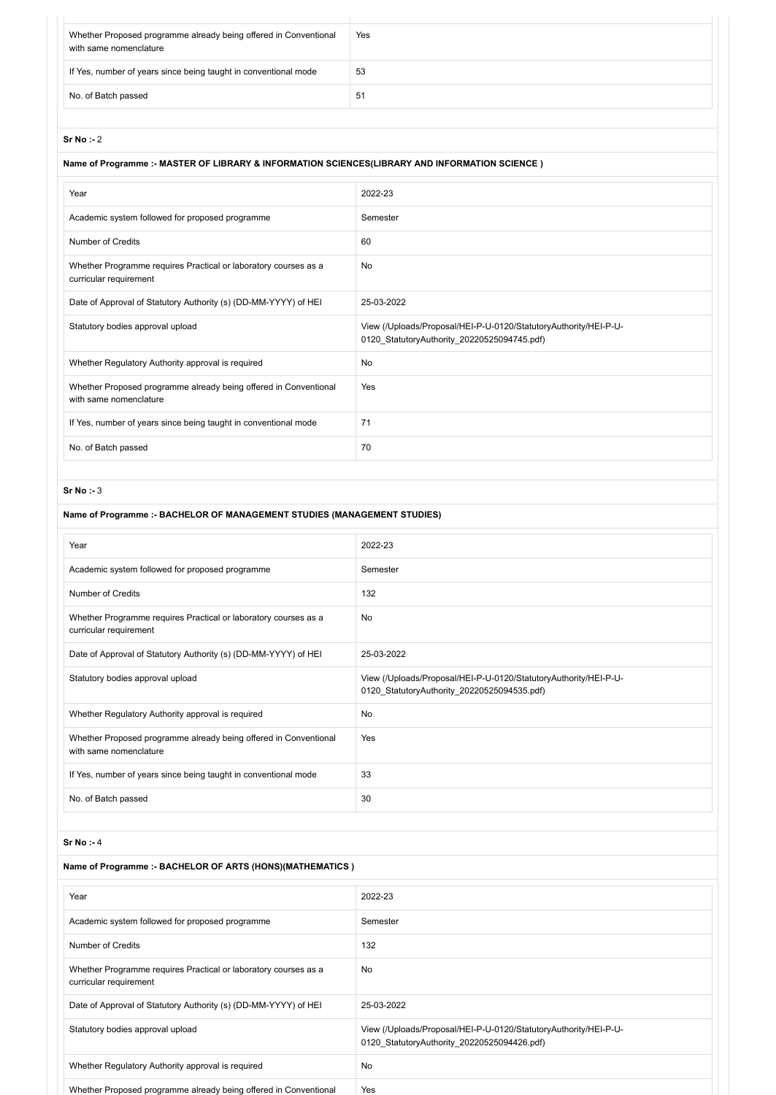| Whether Proposed programme already being offered in Conventional<br>with same nomenclature | Yes |
|--------------------------------------------------------------------------------------------|-----|
| If Yes, number of years since being taught in conventional mode                            | 53  |
| No. of Batch passed                                                                        | 51  |
|                                                                                            |     |

## **Name of Programme :- MASTER OF LIBRARY & INFORMATION SCIENCES(LIBRARY AND INFORMATION SCIENCE )**

| Year                                                                                       | 2022-23                                                                                                         |
|--------------------------------------------------------------------------------------------|-----------------------------------------------------------------------------------------------------------------|
| Academic system followed for proposed programme                                            | Semester                                                                                                        |
| Number of Credits                                                                          | 60                                                                                                              |
| Whether Programme requires Practical or laboratory courses as a<br>curricular requirement  | <b>No</b>                                                                                                       |
| Date of Approval of Statutory Authority (s) (DD-MM-YYYY) of HEI                            | 25-03-2022                                                                                                      |
| Statutory bodies approval upload                                                           | View (/Uploads/Proposal/HEI-P-U-0120/StatutoryAuthority/HEI-P-U-<br>0120 StatutoryAuthority 20220525094745.pdf) |
| Whether Regulatory Authority approval is required                                          | <b>No</b>                                                                                                       |
| Whether Proposed programme already being offered in Conventional<br>with same nomenclature | Yes                                                                                                             |
| If Yes, number of years since being taught in conventional mode                            | 71                                                                                                              |
| No. of Batch passed                                                                        | 70                                                                                                              |

### **Sr No :-** 3

## **Name of Programme :- BACHELOR OF MANAGEMENT STUDIES (MANAGEMENT STUDIES)**

| Year                                                                                       | 2022-23                                                                                                         |
|--------------------------------------------------------------------------------------------|-----------------------------------------------------------------------------------------------------------------|
| Academic system followed for proposed programme                                            | Semester                                                                                                        |
| Number of Credits                                                                          | 132                                                                                                             |
| Whether Programme requires Practical or laboratory courses as a<br>curricular requirement  | <b>No</b>                                                                                                       |
| Date of Approval of Statutory Authority (s) (DD-MM-YYYY) of HEI                            | 25-03-2022                                                                                                      |
| Statutory bodies approval upload                                                           | View (/Uploads/Proposal/HEI-P-U-0120/StatutoryAuthority/HEI-P-U-<br>0120 StatutoryAuthority 20220525094535.pdf) |
| Whether Regulatory Authority approval is required                                          | <b>No</b>                                                                                                       |
| Whether Proposed programme already being offered in Conventional<br>with same nomenclature | Yes                                                                                                             |
| If Yes, number of years since being taught in conventional mode                            | 33                                                                                                              |
| No. of Batch passed                                                                        | 30                                                                                                              |

#### **Sr No :-** 4

## **Name of Programme :- BACHELOR OF ARTS (HONS)(MATHEMATICS )**

| Year                                                                                      | 2022-23                                                                                                         |
|-------------------------------------------------------------------------------------------|-----------------------------------------------------------------------------------------------------------------|
| Academic system followed for proposed programme                                           | Semester                                                                                                        |
| Number of Credits                                                                         | 132                                                                                                             |
| Whether Programme requires Practical or laboratory courses as a<br>curricular requirement | <b>No</b>                                                                                                       |
| Date of Approval of Statutory Authority (s) (DD-MM-YYYY) of HEI                           | 25-03-2022                                                                                                      |
| Statutory bodies approval upload                                                          | View (/Uploads/Proposal/HEI-P-U-0120/StatutoryAuthority/HEI-P-U-<br>0120 StatutoryAuthority 20220525094426.pdf) |
| Whether Regulatory Authority approval is required                                         | <b>No</b>                                                                                                       |
| Whether Proposed programme already being offered in Conventional                          | Yes                                                                                                             |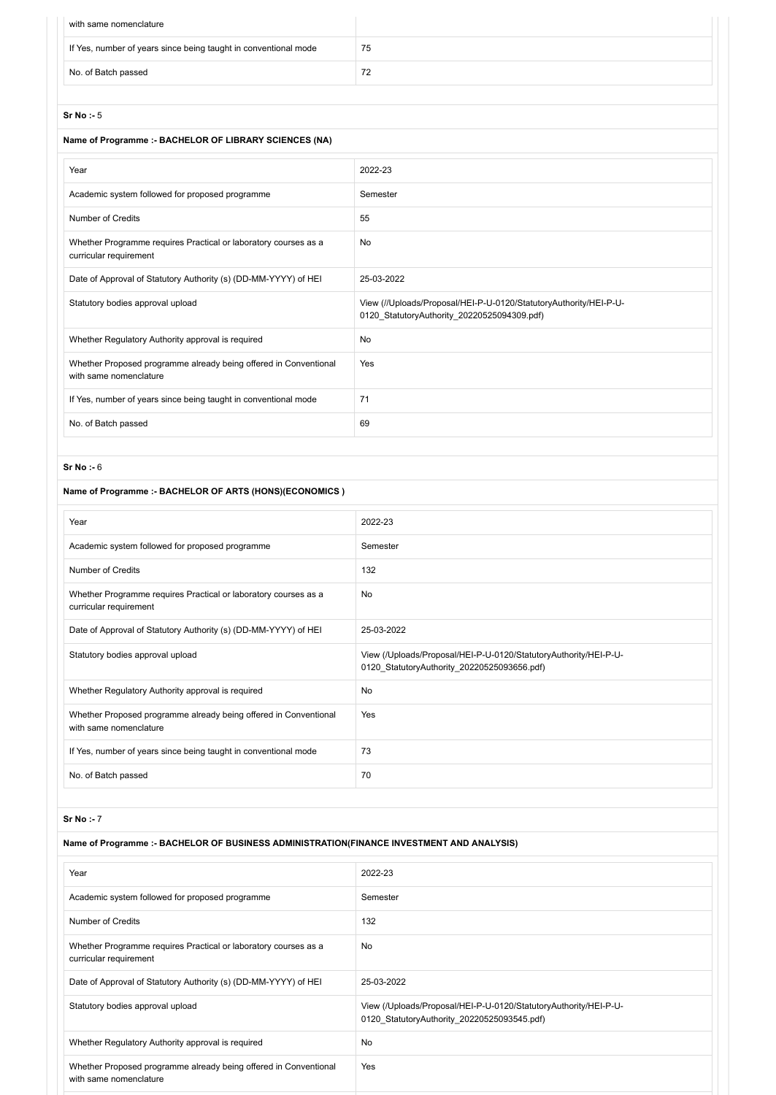| with same nomenclature                                          |    |
|-----------------------------------------------------------------|----|
| If Yes, number of years since being taught in conventional mode | 75 |
| No. of Batch passed                                             | 72 |

### **Name of Programme :- BACHELOR OF LIBRARY SCIENCES (NA)**

| Year                                                                                       | 2022-23                                                                                                          |
|--------------------------------------------------------------------------------------------|------------------------------------------------------------------------------------------------------------------|
| Academic system followed for proposed programme                                            | Semester                                                                                                         |
| Number of Credits                                                                          | 55                                                                                                               |
| Whether Programme requires Practical or laboratory courses as a<br>curricular requirement  | No                                                                                                               |
| Date of Approval of Statutory Authority (s) (DD-MM-YYYY) of HEI                            | 25-03-2022                                                                                                       |
| Statutory bodies approval upload                                                           | View (//Uploads/Proposal/HEI-P-U-0120/StatutoryAuthority/HEI-P-U-<br>0120 StatutoryAuthority 20220525094309.pdf) |
| Whether Regulatory Authority approval is required                                          | No                                                                                                               |
| Whether Proposed programme already being offered in Conventional<br>with same nomenclature | Yes                                                                                                              |
| If Yes, number of years since being taught in conventional mode                            | 71                                                                                                               |
| No. of Batch passed                                                                        | 69                                                                                                               |
|                                                                                            |                                                                                                                  |

#### **Sr No :-** 6

## **Name of Programme :- BACHELOR OF ARTS (HONS)(ECONOMICS )**

| Year                                                                                       | 2022-23                                                                                                         |
|--------------------------------------------------------------------------------------------|-----------------------------------------------------------------------------------------------------------------|
| Academic system followed for proposed programme                                            | Semester                                                                                                        |
| <b>Number of Credits</b>                                                                   | 132                                                                                                             |
| Whether Programme requires Practical or laboratory courses as a<br>curricular requirement  | No                                                                                                              |
| Date of Approval of Statutory Authority (s) (DD-MM-YYYY) of HEI                            | 25-03-2022                                                                                                      |
| Statutory bodies approval upload                                                           | View (/Uploads/Proposal/HEI-P-U-0120/StatutoryAuthority/HEI-P-U-<br>0120 StatutoryAuthority 20220525093656.pdf) |
| Whether Regulatory Authority approval is required                                          | No                                                                                                              |
| Whether Proposed programme already being offered in Conventional<br>with same nomenclature | Yes                                                                                                             |
| If Yes, number of years since being taught in conventional mode                            | 73                                                                                                              |
| No. of Batch passed                                                                        | 70                                                                                                              |

#### **Sr No :-** 7

## **Name of Programme :- BACHELOR OF BUSINESS ADMINISTRATION(FINANCE INVESTMENT AND ANALYSIS)**

| Year                                                                                       | 2022-23                                                                                                         |
|--------------------------------------------------------------------------------------------|-----------------------------------------------------------------------------------------------------------------|
| Academic system followed for proposed programme                                            | Semester                                                                                                        |
| Number of Credits                                                                          | 132                                                                                                             |
| Whether Programme requires Practical or laboratory courses as a<br>curricular requirement  | No                                                                                                              |
| Date of Approval of Statutory Authority (s) (DD-MM-YYYY) of HEI                            | 25-03-2022                                                                                                      |
| Statutory bodies approval upload                                                           | View (/Uploads/Proposal/HEI-P-U-0120/StatutoryAuthority/HEI-P-U-<br>0120 StatutoryAuthority 20220525093545.pdf) |
| Whether Regulatory Authority approval is required                                          | <b>No</b>                                                                                                       |
| Whether Proposed programme already being offered in Conventional<br>with same nomenclature | Yes                                                                                                             |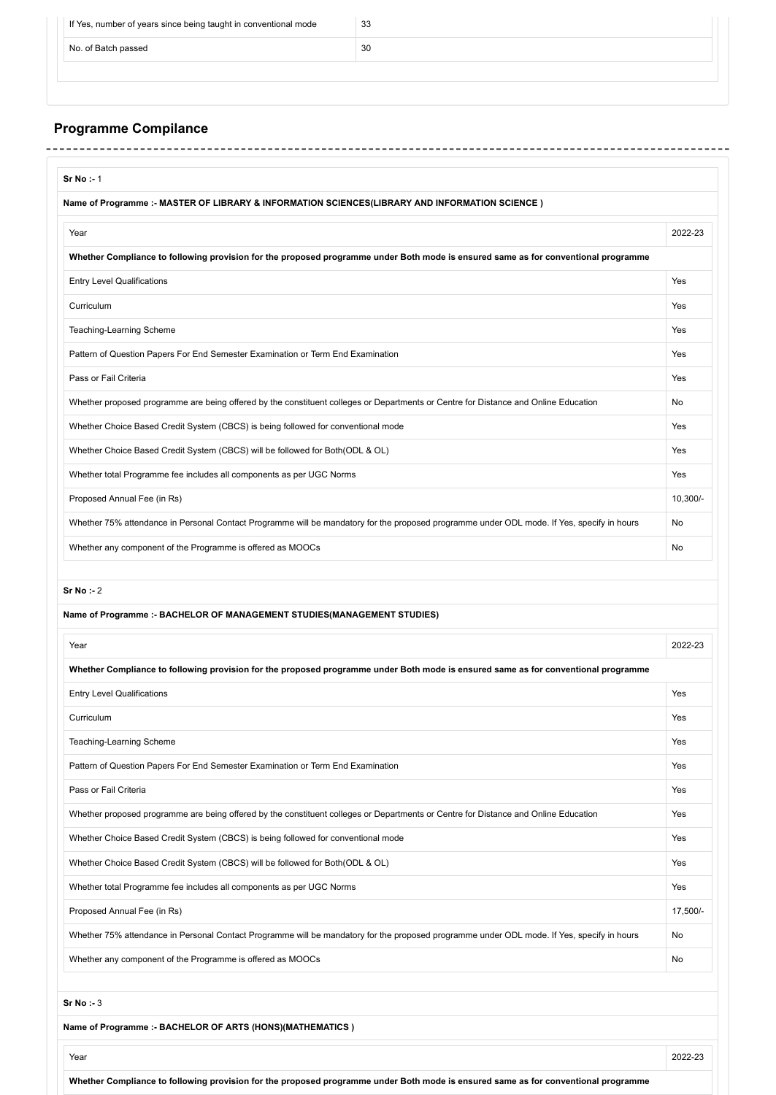| If Yes, number of years since being taught in conventional mode | 33 |  |
|-----------------------------------------------------------------|----|--|
| No. of Batch passed                                             | 30 |  |
|                                                                 |    |  |

## **Programme Compilance**

| Name of Programme :- MASTER OF LIBRARY & INFORMATION SCIENCES(LIBRARY AND INFORMATION SCIENCE )                                                                                                                                                                                                                               |                |
|-------------------------------------------------------------------------------------------------------------------------------------------------------------------------------------------------------------------------------------------------------------------------------------------------------------------------------|----------------|
| Year                                                                                                                                                                                                                                                                                                                          | 2022-23        |
| Whether Compliance to following provision for the proposed programme under Both mode is ensured same as for conventional programme                                                                                                                                                                                            |                |
| <b>Entry Level Qualifications</b>                                                                                                                                                                                                                                                                                             | Yes            |
| Curriculum                                                                                                                                                                                                                                                                                                                    | Yes            |
| Teaching-Learning Scheme                                                                                                                                                                                                                                                                                                      | Yes            |
| Pattern of Question Papers For End Semester Examination or Term End Examination                                                                                                                                                                                                                                               | Yes            |
| Pass or Fail Criteria                                                                                                                                                                                                                                                                                                         | Yes            |
| Whether proposed programme are being offered by the constituent colleges or Departments or Centre for Distance and Online Education                                                                                                                                                                                           | <b>No</b>      |
| Whether Choice Based Credit System (CBCS) is being followed for conventional mode                                                                                                                                                                                                                                             | Yes            |
| Whether Choice Based Credit System (CBCS) will be followed for Both (ODL & OL)                                                                                                                                                                                                                                                | Yes            |
| Whether total Programme fee includes all components as per UGC Norms                                                                                                                                                                                                                                                          | Yes            |
| Proposed Annual Fee (in Rs)                                                                                                                                                                                                                                                                                                   | 10,300/-       |
| Whether 75% attendance in Personal Contact Programme will be mandatory for the proposed programme under ODL mode. If Yes, specify in hours                                                                                                                                                                                    | No             |
| Whether any component of the Programme is offered as MOOCs                                                                                                                                                                                                                                                                    | <b>No</b>      |
|                                                                                                                                                                                                                                                                                                                               |                |
| Sr No : 2<br>Name of Programme :- BACHELOR OF MANAGEMENT STUDIES(MANAGEMENT STUDIES)<br>Year                                                                                                                                                                                                                                  |                |
|                                                                                                                                                                                                                                                                                                                               |                |
|                                                                                                                                                                                                                                                                                                                               | Yes            |
|                                                                                                                                                                                                                                                                                                                               | Yes            |
|                                                                                                                                                                                                                                                                                                                               | Yes            |
|                                                                                                                                                                                                                                                                                                                               | Yes            |
| Whether Compliance to following provision for the proposed programme under Both mode is ensured same as for conventional programme<br><b>Entry Level Qualifications</b><br>Curriculum<br>Teaching-Learning Scheme<br>Pattern of Question Papers For End Semester Examination or Term End Examination<br>Pass or Fail Criteria | 2022-23<br>Yes |
| Whether proposed programme are being offered by the constituent colleges or Departments or Centre for Distance and Online Education                                                                                                                                                                                           | Yes            |
|                                                                                                                                                                                                                                                                                                                               | Yes            |
| Whether Choice Based Credit System (CBCS) is being followed for conventional mode<br>Whether Choice Based Credit System (CBCS) will be followed for Both(ODL & OL)                                                                                                                                                            | Yes            |
|                                                                                                                                                                                                                                                                                                                               | Yes            |
|                                                                                                                                                                                                                                                                                                                               | 17,500/-       |
|                                                                                                                                                                                                                                                                                                                               | No             |
| Whether total Programme fee includes all components as per UGC Norms<br>Proposed Annual Fee (in Rs)<br>Whether 75% attendance in Personal Contact Programme will be mandatory for the proposed programme under ODL mode. If Yes, specify in hours<br>Whether any component of the Programme is offered as MOOCs               | No             |

**Whether Compliance to following provision for the proposed programme under Both mode is ensured same as for conventional programme**

Year 2022-23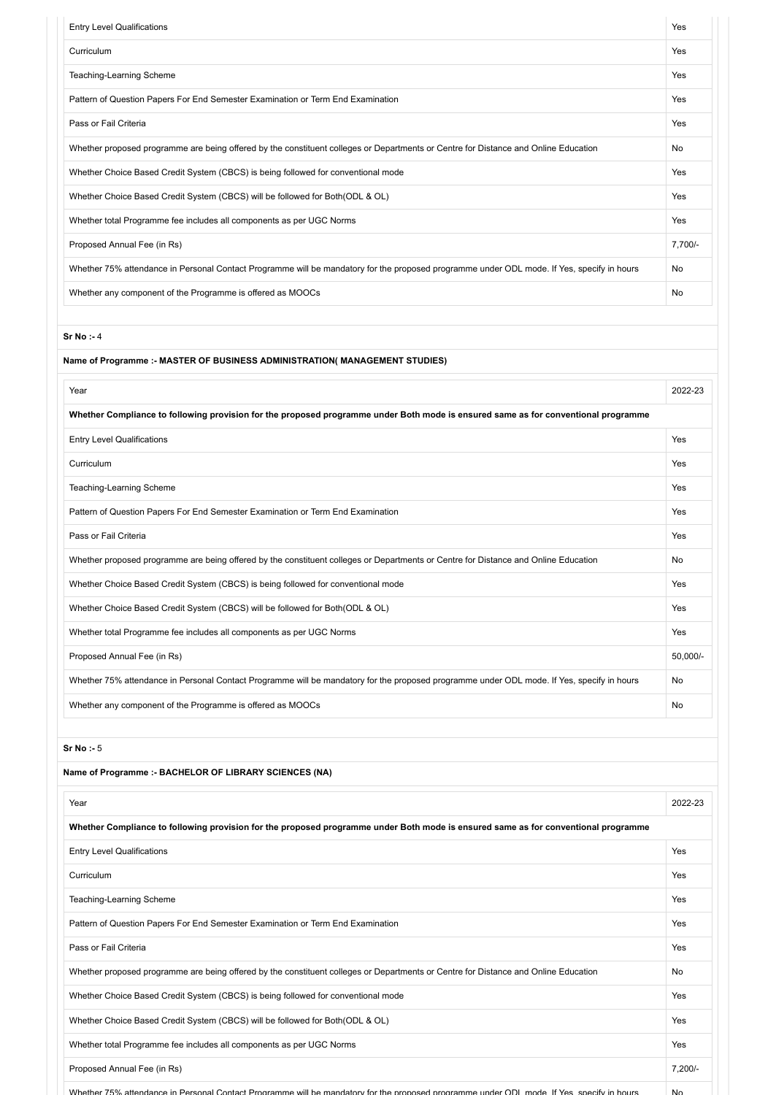| <b>Entry Level Qualifications</b>                                                                                                          | Yes       |
|--------------------------------------------------------------------------------------------------------------------------------------------|-----------|
| Curriculum                                                                                                                                 | Yes       |
| Teaching-Learning Scheme                                                                                                                   | Yes       |
| Pattern of Question Papers For End Semester Examination or Term End Examination                                                            | Yes       |
| Pass or Fail Criteria                                                                                                                      | Yes       |
| Whether proposed programme are being offered by the constituent colleges or Departments or Centre for Distance and Online Education        | No        |
| Whether Choice Based Credit System (CBCS) is being followed for conventional mode                                                          | Yes       |
| Whether Choice Based Credit System (CBCS) will be followed for Both(ODL & OL)                                                              | Yes       |
| Whether total Programme fee includes all components as per UGC Norms                                                                       | Yes       |
| Proposed Annual Fee (in Rs)                                                                                                                | 7,700/-   |
| Whether 75% attendance in Personal Contact Programme will be mandatory for the proposed programme under ODL mode. If Yes, specify in hours | No        |
| Whether any component of the Programme is offered as MOOCs                                                                                 | No        |
| Sr No: - 4                                                                                                                                 |           |
| Name of Programme :- MASTER OF BUSINESS ADMINISTRATION( MANAGEMENT STUDIES)                                                                |           |
| Year                                                                                                                                       | 2022-23   |
| Whether Compliance to following provision for the proposed programme under Both mode is ensured same as for conventional programme         |           |
| <b>Entry Level Qualifications</b>                                                                                                          | Yes       |
| Curriculum                                                                                                                                 | Yes       |
| Teaching-Learning Scheme                                                                                                                   | Yes       |
| Pattern of Question Papers For End Semester Examination or Term End Examination                                                            | Yes       |
| Pass or Fail Criteria                                                                                                                      | Yes       |
| Whether proposed programme are being offered by the constituent colleges or Departments or Centre for Distance and Online Education        | No        |
| Whether Choice Based Credit System (CBCS) is being followed for conventional mode                                                          | Yes       |
| Whether Choice Based Credit System (CBCS) will be followed for Both(ODL & OL)                                                              | Yes       |
| Whether total Programme fee includes all components as per UGC Norms                                                                       | Yes       |
| Proposed Annual Fee (in Rs)                                                                                                                | 50,000/-  |
| Whether 75% attendance in Personal Contact Programme will be mandatory for the proposed programme under ODL mode. If Yes, specify in hours | No        |
| Whether any component of the Programme is offered as MOOCs                                                                                 | No        |
| Sr No: - 5                                                                                                                                 |           |
| Name of Programme :- BACHELOR OF LIBRARY SCIENCES (NA)                                                                                     |           |
| Year                                                                                                                                       | 2022-23   |
| Whether Compliance to following provision for the proposed programme under Both mode is ensured same as for conventional programme         |           |
| <b>Entry Level Qualifications</b>                                                                                                          | Yes       |
| Curriculum                                                                                                                                 | Yes       |
| Teaching-Learning Scheme                                                                                                                   | Yes       |
| Pattern of Question Papers For End Semester Examination or Term End Examination                                                            | Yes       |
| Pass or Fail Criteria                                                                                                                      | Yes       |
| Whether proposed programme are being offered by the constituent colleges or Departments or Centre for Distance and Online Education        | No        |
| Whether Choice Based Credit System (CBCS) is being followed for conventional mode                                                          | Yes       |
| Whether Choice Based Credit System (CBCS) will be followed for Both(ODL & OL)                                                              | Yes       |
| Whether total Programme fee includes all components as per UGC Norms                                                                       | Yes       |
| Proposed Annual Fee (in Rs)                                                                                                                | $7,200/-$ |
| Whether 75% attendance in Personal Contact Programme will be mandatory for the proposed programme under ODL mode. If Yes, specify in hours | No.       |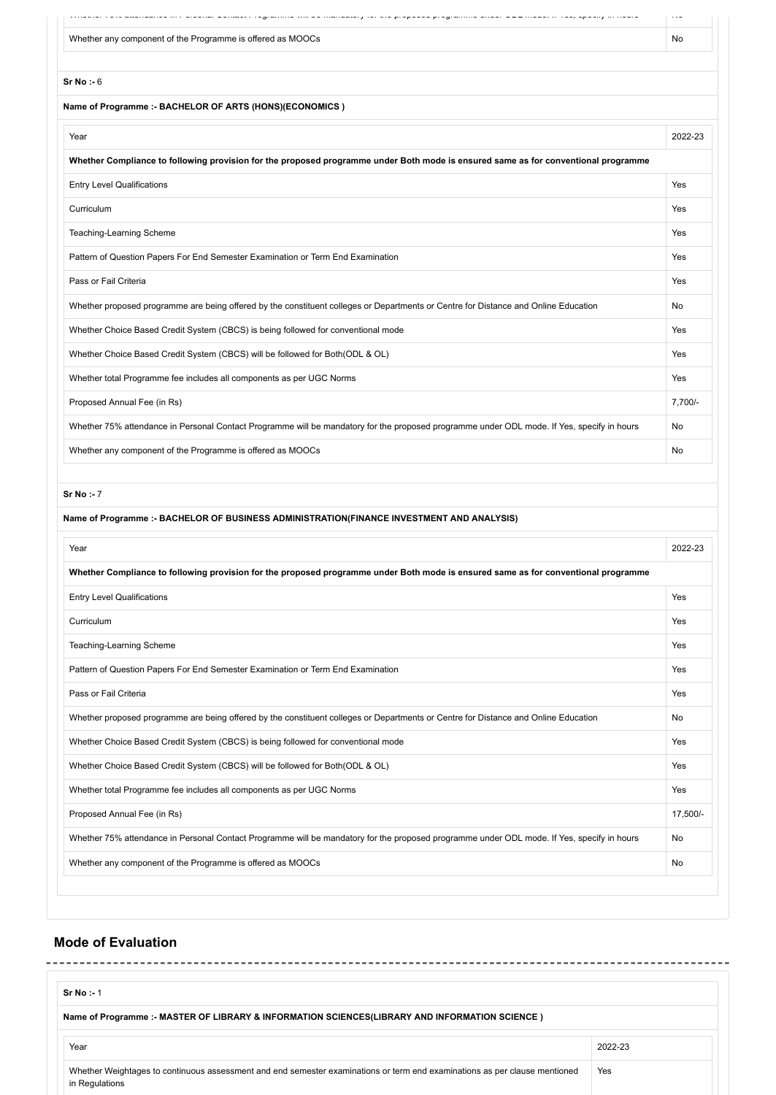|                                                                                                                                            | $\ddotsc$ |
|--------------------------------------------------------------------------------------------------------------------------------------------|-----------|
| Whether any component of the Programme is offered as MOOCs                                                                                 | No        |
|                                                                                                                                            |           |
| Sr No : 6                                                                                                                                  |           |
| Name of Programme :- BACHELOR OF ARTS (HONS)(ECONOMICS)                                                                                    |           |
| Year                                                                                                                                       | 2022-23   |
| Whether Compliance to following provision for the proposed programme under Both mode is ensured same as for conventional programme         |           |
| <b>Entry Level Qualifications</b>                                                                                                          | Yes       |
| Curriculum                                                                                                                                 | Yes       |
| Teaching-Learning Scheme                                                                                                                   | Yes       |
| Pattern of Question Papers For End Semester Examination or Term End Examination                                                            | Yes       |
| Pass or Fail Criteria                                                                                                                      | Yes       |
| Whether proposed programme are being offered by the constituent colleges or Departments or Centre for Distance and Online Education        | No        |
| Whether Choice Based Credit System (CBCS) is being followed for conventional mode                                                          | Yes       |
| Whether Choice Based Credit System (CBCS) will be followed for Both (ODL & OL)                                                             | Yes       |
| Whether total Programme fee includes all components as per UGC Norms                                                                       | Yes       |
| Proposed Annual Fee (in Rs)                                                                                                                | 7,700/-   |
| Whether 75% attendance in Personal Contact Programme will be mandatory for the proposed programme under ODL mode. If Yes, specify in hours | No        |
| Whether any component of the Programme is offered as MOOCs                                                                                 | No        |
|                                                                                                                                            |           |
| Sr No: - 7                                                                                                                                 |           |
| Name of Programme :- BACHELOR OF BUSINESS ADMINISTRATION(FINANCE INVESTMENT AND ANALYSIS)                                                  |           |
| Year                                                                                                                                       | 2022-23   |
| Whether Compliance to following provision for the proposed programme under Both mode is ensured same as for conventional programme         |           |
| <b>Entry Level Qualifications</b>                                                                                                          | Yes       |
| Curriculum                                                                                                                                 | Yes       |
| Teaching-Learning Scheme                                                                                                                   | Yes       |
| Pattern of Question Papers For End Semester Examination or Term End Examination                                                            | Yes       |
| Pass or Fail Criteria                                                                                                                      | Yes       |
| Whether proposed programme are being offered by the constituent colleges or Departments or Centre for Distance and Online Education        | No        |
| Whether Choice Based Credit System (CBCS) is being followed for conventional mode                                                          | Yes       |
| Whether Choice Based Credit System (CBCS) will be followed for Both(ODL & OL)                                                              | Yes       |
| Whether total Programme fee includes all components as per UGC Norms                                                                       | Yes       |
| Proposed Annual Fee (in Rs)                                                                                                                | 17,500/-  |
| Whether 75% attendance in Personal Contact Programme will be mandatory for the proposed programme under ODL mode. If Yes, specify in hours | No        |
| Whether any component of the Programme is offered as MOOCs                                                                                 | No        |
|                                                                                                                                            |           |

## **Mode of Evaluation**

| $Sr No : -1$                                                                                                                                 |         |
|----------------------------------------------------------------------------------------------------------------------------------------------|---------|
| Name of Programme :- MASTER OF LIBRARY & INFORMATION SCIENCES(LIBRARY AND INFORMATION SCIENCE)                                               |         |
| Year                                                                                                                                         | 2022-23 |
| Whether Weightages to continuous assessment and end semester examinations or term end examinations as per clause mentioned<br>in Regulations | Yes     |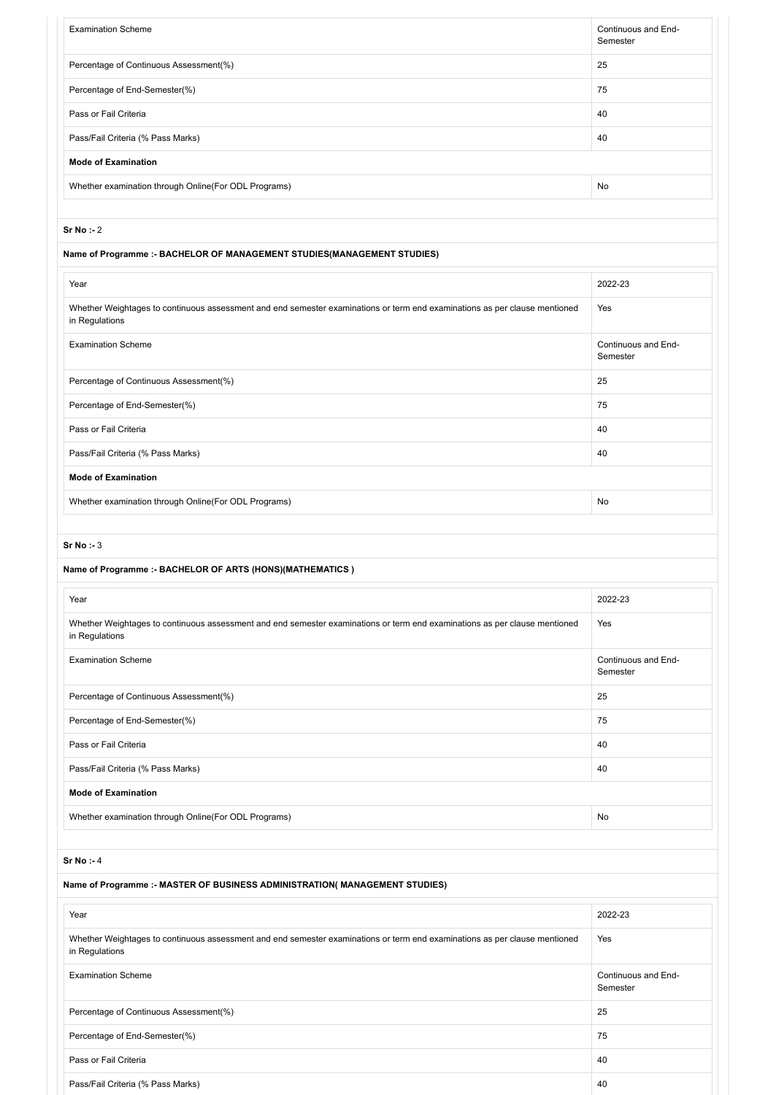| <b>Examination Scheme</b>                                                                                                                    | Continuous and End-<br>Semester |
|----------------------------------------------------------------------------------------------------------------------------------------------|---------------------------------|
| Percentage of Continuous Assessment(%)                                                                                                       | 25                              |
| Percentage of End-Semester(%)                                                                                                                | 75                              |
| Pass or Fail Criteria                                                                                                                        | 40                              |
| Pass/Fail Criteria (% Pass Marks)                                                                                                            | 40                              |
| <b>Mode of Examination</b>                                                                                                                   |                                 |
| Whether examination through Online(For ODL Programs)                                                                                         | No                              |
|                                                                                                                                              |                                 |
| Sr No : 2                                                                                                                                    |                                 |
| Name of Programme :- BACHELOR OF MANAGEMENT STUDIES(MANAGEMENT STUDIES)                                                                      |                                 |
| Year                                                                                                                                         | 2022-23                         |
| Whether Weightages to continuous assessment and end semester examinations or term end examinations as per clause mentioned<br>in Regulations | Yes                             |
| <b>Examination Scheme</b>                                                                                                                    | Continuous and End-<br>Semester |
| Percentage of Continuous Assessment(%)                                                                                                       | 25                              |
| Percentage of End-Semester(%)                                                                                                                | 75                              |
| Pass or Fail Criteria                                                                                                                        | 40                              |
| Pass/Fail Criteria (% Pass Marks)                                                                                                            | 40                              |
| <b>Mode of Examination</b>                                                                                                                   |                                 |
| Whether examination through Online(For ODL Programs)                                                                                         | No                              |
| Name of Programme :- BACHELOR OF ARTS (HONS)(MATHEMATICS)<br>Year                                                                            | 2022-23                         |
| Whether Weightages to continuous assessment and end semester examinations or term end examinations as per clause mentioned<br>in Regulations | Yes                             |
| <b>Examination Scheme</b>                                                                                                                    | Continuous and End-<br>Semester |
| Percentage of Continuous Assessment(%)                                                                                                       | 25                              |
| Percentage of End-Semester(%)                                                                                                                | 75                              |
| Pass or Fail Criteria                                                                                                                        | 40                              |
| Pass/Fail Criteria (% Pass Marks)                                                                                                            | 40                              |
| <b>Mode of Examination</b>                                                                                                                   |                                 |
| Whether examination through Online(For ODL Programs)                                                                                         | No                              |
| Sr No: $-4$                                                                                                                                  |                                 |
| Name of Programme :- MASTER OF BUSINESS ADMINISTRATION( MANAGEMENT STUDIES)                                                                  |                                 |
|                                                                                                                                              |                                 |
| Year                                                                                                                                         | 2022-23                         |
| Whether Weightages to continuous assessment and end semester examinations or term end examinations as per clause mentioned<br>in Regulations | Yes                             |
| <b>Examination Scheme</b>                                                                                                                    | Continuous and End-<br>Semester |
|                                                                                                                                              |                                 |
| Percentage of Continuous Assessment(%)                                                                                                       | 25                              |
| Percentage of End-Semester(%)                                                                                                                | 75                              |
| Pass or Fail Criteria                                                                                                                        | 40                              |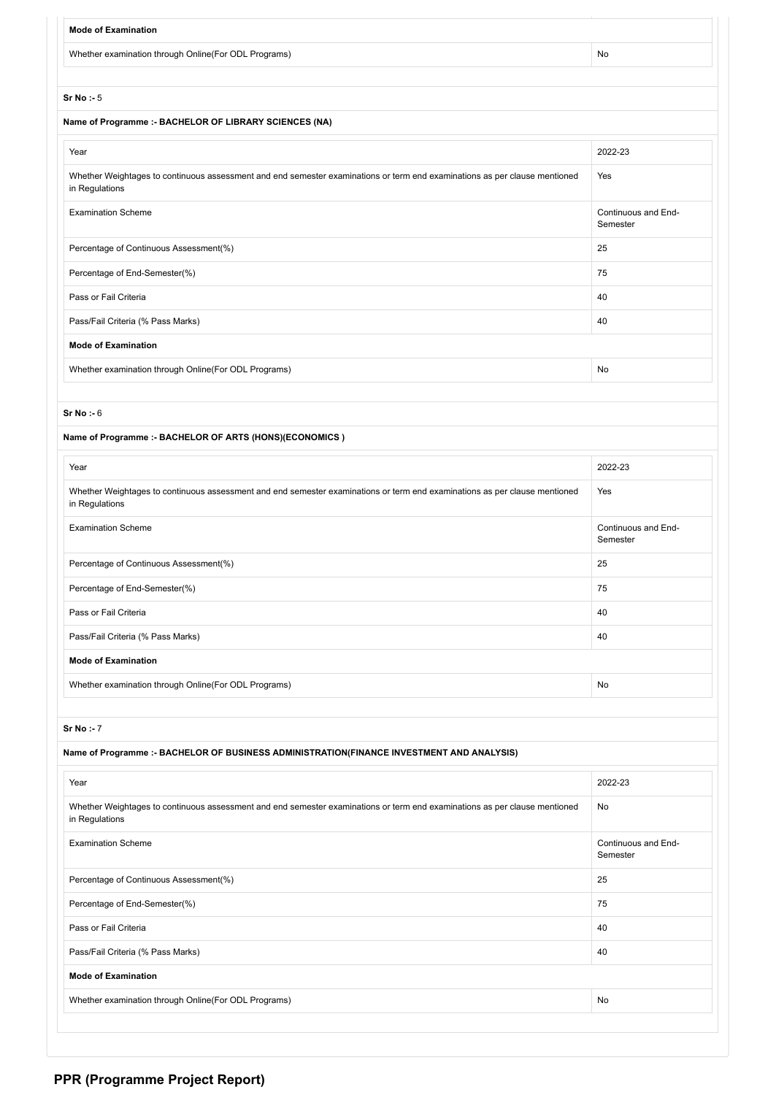| <b>Mode of Examination</b>                                                                                                                   |                                 |  |  |  |  |  |  |
|----------------------------------------------------------------------------------------------------------------------------------------------|---------------------------------|--|--|--|--|--|--|
| Whether examination through Online(For ODL Programs)                                                                                         | No                              |  |  |  |  |  |  |
|                                                                                                                                              |                                 |  |  |  |  |  |  |
| Sr No : 5                                                                                                                                    |                                 |  |  |  |  |  |  |
| Name of Programme :- BACHELOR OF LIBRARY SCIENCES (NA)                                                                                       |                                 |  |  |  |  |  |  |
| Year                                                                                                                                         | 2022-23                         |  |  |  |  |  |  |
| Whether Weightages to continuous assessment and end semester examinations or term end examinations as per clause mentioned<br>in Regulations | Yes                             |  |  |  |  |  |  |
| <b>Examination Scheme</b>                                                                                                                    | Continuous and End-<br>Semester |  |  |  |  |  |  |
| Percentage of Continuous Assessment(%)                                                                                                       | 25                              |  |  |  |  |  |  |
| Percentage of End-Semester(%)                                                                                                                | 75                              |  |  |  |  |  |  |
| Pass or Fail Criteria                                                                                                                        | 40                              |  |  |  |  |  |  |
| Pass/Fail Criteria (% Pass Marks)                                                                                                            | 40                              |  |  |  |  |  |  |
| <b>Mode of Examination</b>                                                                                                                   |                                 |  |  |  |  |  |  |
| Whether examination through Online(For ODL Programs)                                                                                         | No                              |  |  |  |  |  |  |
|                                                                                                                                              |                                 |  |  |  |  |  |  |
| Sr No: $-6$                                                                                                                                  |                                 |  |  |  |  |  |  |
| Name of Programme :- BACHELOR OF ARTS (HONS)(ECONOMICS)                                                                                      |                                 |  |  |  |  |  |  |
| Year                                                                                                                                         | 2022-23                         |  |  |  |  |  |  |
| Whether Weightages to continuous assessment and end semester examinations or term end examinations as per clause mentioned<br>in Regulations | Yes                             |  |  |  |  |  |  |
| <b>Examination Scheme</b>                                                                                                                    | Continuous and End-<br>Semester |  |  |  |  |  |  |
| Percentage of Continuous Assessment(%)                                                                                                       | 25                              |  |  |  |  |  |  |
| Percentage of End-Semester(%)                                                                                                                | 75                              |  |  |  |  |  |  |
| Pass or Fail Criteria                                                                                                                        | 40                              |  |  |  |  |  |  |
| Pass/Fail Criteria (% Pass Marks)                                                                                                            | 40                              |  |  |  |  |  |  |
| <b>Mode of Examination</b>                                                                                                                   |                                 |  |  |  |  |  |  |
| Whether examination through Online(For ODL Programs)                                                                                         | No                              |  |  |  |  |  |  |
|                                                                                                                                              |                                 |  |  |  |  |  |  |
| Sr No: - 7                                                                                                                                   |                                 |  |  |  |  |  |  |
| Name of Programme :- BACHELOR OF BUSINESS ADMINISTRATION(FINANCE INVESTMENT AND ANALYSIS)                                                    |                                 |  |  |  |  |  |  |
| Year                                                                                                                                         | 2022-23                         |  |  |  |  |  |  |
| Whether Weightages to continuous assessment and end semester examinations or term end examinations as per clause mentioned<br>in Regulations | No                              |  |  |  |  |  |  |
| <b>Examination Scheme</b>                                                                                                                    | Continuous and End-<br>Semester |  |  |  |  |  |  |
| Percentage of Continuous Assessment(%)                                                                                                       | 25                              |  |  |  |  |  |  |
| Percentage of End-Semester(%)                                                                                                                | 75                              |  |  |  |  |  |  |
| Pass or Fail Criteria                                                                                                                        | 40                              |  |  |  |  |  |  |
| Pass/Fail Criteria (% Pass Marks)                                                                                                            | 40                              |  |  |  |  |  |  |
| <b>Mode of Examination</b>                                                                                                                   |                                 |  |  |  |  |  |  |
| Whether examination through Online(For ODL Programs)                                                                                         | No                              |  |  |  |  |  |  |
|                                                                                                                                              |                                 |  |  |  |  |  |  |

# **PPR (Programme Project Report)**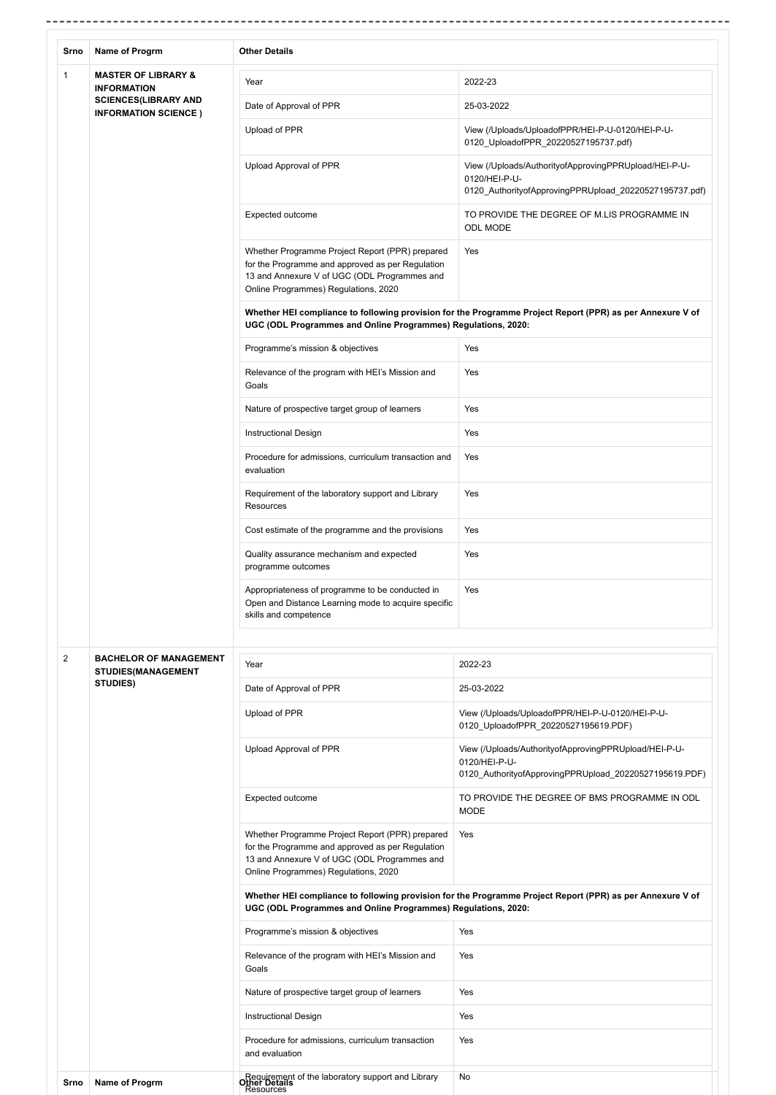| Srno           | Name of Progrm                                                         | <b>Other Details</b>                                                                                                                                                                        |                                                                                                                                  |
|----------------|------------------------------------------------------------------------|---------------------------------------------------------------------------------------------------------------------------------------------------------------------------------------------|----------------------------------------------------------------------------------------------------------------------------------|
| 1              | <b>MASTER OF LIBRARY &amp;</b><br><b>INFORMATION</b>                   | Year                                                                                                                                                                                        | 2022-23                                                                                                                          |
|                | <b>SCIENCES(LIBRARY AND</b><br><b>INFORMATION SCIENCE)</b>             | Date of Approval of PPR                                                                                                                                                                     | 25-03-2022                                                                                                                       |
|                |                                                                        | Upload of PPR                                                                                                                                                                               | View (/Uploads/UploadofPPR/HEI-P-U-0120/HEI-P-U-<br>0120_UploadofPPR_20220527195737.pdf)                                         |
|                |                                                                        | Upload Approval of PPR                                                                                                                                                                      | View (/Uploads/AuthorityofApprovingPPRUpload/HEI-P-U-<br>0120/HEI-P-U-<br>0120 AuthorityofApprovingPPRUpload 20220527195737.pdf) |
|                |                                                                        | Expected outcome                                                                                                                                                                            | TO PROVIDE THE DEGREE OF M.LIS PROGRAMME IN<br>ODL MODE                                                                          |
|                |                                                                        | Whether Programme Project Report (PPR) prepared<br>for the Programme and approved as per Regulation<br>13 and Annexure V of UGC (ODL Programmes and<br>Online Programmes) Regulations, 2020 | Yes                                                                                                                              |
|                |                                                                        | UGC (ODL Programmes and Online Programmes) Regulations, 2020:                                                                                                                               | Whether HEI compliance to following provision for the Programme Project Report (PPR) as per Annexure V of                        |
|                |                                                                        | Programme's mission & objectives                                                                                                                                                            | Yes                                                                                                                              |
|                |                                                                        | Relevance of the program with HEI's Mission and<br>Goals                                                                                                                                    | Yes                                                                                                                              |
|                |                                                                        | Nature of prospective target group of learners                                                                                                                                              | Yes                                                                                                                              |
|                |                                                                        | <b>Instructional Design</b>                                                                                                                                                                 | Yes                                                                                                                              |
|                |                                                                        | Procedure for admissions, curriculum transaction and<br>evaluation                                                                                                                          | Yes                                                                                                                              |
|                |                                                                        | Requirement of the laboratory support and Library<br>Resources                                                                                                                              | Yes                                                                                                                              |
|                |                                                                        | Cost estimate of the programme and the provisions                                                                                                                                           | Yes                                                                                                                              |
|                |                                                                        | Quality assurance mechanism and expected<br>programme outcomes                                                                                                                              | Yes                                                                                                                              |
|                |                                                                        | Appropriateness of programme to be conducted in<br>Open and Distance Learning mode to acquire specific<br>skills and competence                                                             | Yes                                                                                                                              |
|                |                                                                        |                                                                                                                                                                                             |                                                                                                                                  |
| $\overline{c}$ | <b>BACHELOR OF MANAGEMENT</b><br><b>STUDIES(MANAGEMENT</b><br>STUDIES) | Year                                                                                                                                                                                        | 2022-23                                                                                                                          |
|                |                                                                        | Date of Approval of PPR                                                                                                                                                                     | 25-03-2022                                                                                                                       |
|                |                                                                        | Upload of PPR                                                                                                                                                                               | View (/Uploads/UploadofPPR/HEI-P-U-0120/HEI-P-U-<br>0120 UploadofPPR 20220527195619.PDF)                                         |
|                |                                                                        | Upload Approval of PPR                                                                                                                                                                      | View (/Uploads/AuthorityofApprovingPPRUpload/HEI-P-U-<br>0120/HEI-P-U-<br>0120_AuthorityofApprovingPPRUpload_20220527195619.PDF) |
|                |                                                                        | Expected outcome                                                                                                                                                                            | TO PROVIDE THE DEGREE OF BMS PROGRAMME IN ODL<br><b>MODE</b>                                                                     |
|                |                                                                        | Whether Programme Project Report (PPR) prepared<br>for the Programme and approved as per Regulation<br>13 and Annexure V of UGC (ODL Programmes and<br>Online Programmes) Regulations, 2020 | Yes                                                                                                                              |
|                |                                                                        | UGC (ODL Programmes and Online Programmes) Regulations, 2020:                                                                                                                               | Whether HEI compliance to following provision for the Programme Project Report (PPR) as per Annexure V of                        |
|                |                                                                        | Programme's mission & objectives                                                                                                                                                            | Yes                                                                                                                              |
|                |                                                                        | Relevance of the program with HEI's Mission and<br>Goals                                                                                                                                    | Yes                                                                                                                              |
|                |                                                                        | Nature of prospective target group of learners                                                                                                                                              | Yes                                                                                                                              |
|                |                                                                        | Instructional Design                                                                                                                                                                        | Yes                                                                                                                              |
|                |                                                                        | Procedure for admissions, curriculum transaction<br>and evaluation                                                                                                                          | Yes                                                                                                                              |
| Srno           | Name of Progrm                                                         | Requirement of the laboratory support and Library<br>Other Details<br>Resources                                                                                                             | No                                                                                                                               |

-------------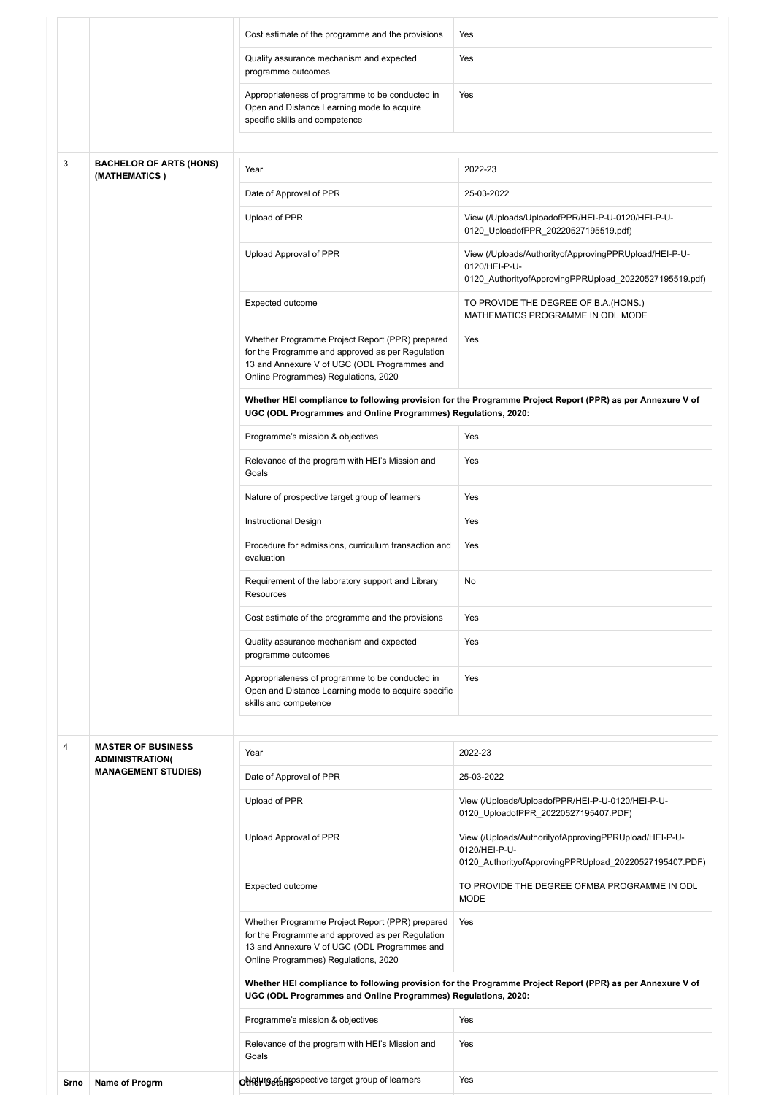|      |                                                     | Cost estimate of the programme and the provisions                                                                                                                                           | Yes                                                                                                                              |
|------|-----------------------------------------------------|---------------------------------------------------------------------------------------------------------------------------------------------------------------------------------------------|----------------------------------------------------------------------------------------------------------------------------------|
|      |                                                     | Quality assurance mechanism and expected<br>programme outcomes                                                                                                                              | Yes                                                                                                                              |
|      |                                                     | Appropriateness of programme to be conducted in<br>Open and Distance Learning mode to acquire<br>specific skills and competence                                                             | Yes                                                                                                                              |
| 3    | <b>BACHELOR OF ARTS (HONS)</b>                      | Year                                                                                                                                                                                        | 2022-23                                                                                                                          |
|      | (MATHEMATICS)                                       | Date of Approval of PPR                                                                                                                                                                     | 25-03-2022                                                                                                                       |
|      |                                                     |                                                                                                                                                                                             |                                                                                                                                  |
|      |                                                     | Upload of PPR                                                                                                                                                                               | View (/Uploads/UploadofPPR/HEI-P-U-0120/HEI-P-U-<br>0120_UploadofPPR_20220527195519.pdf)                                         |
|      |                                                     | Upload Approval of PPR                                                                                                                                                                      | View (/Uploads/AuthorityofApprovingPPRUpload/HEI-P-U-<br>0120/HEI-P-U-<br>0120_AuthorityofApprovingPPRUpload_20220527195519.pdf) |
|      |                                                     | Expected outcome                                                                                                                                                                            | TO PROVIDE THE DEGREE OF B.A. (HONS.)<br>MATHEMATICS PROGRAMME IN ODL MODE                                                       |
|      |                                                     | Whether Programme Project Report (PPR) prepared<br>for the Programme and approved as per Regulation<br>13 and Annexure V of UGC (ODL Programmes and<br>Online Programmes) Regulations, 2020 | Yes                                                                                                                              |
|      |                                                     | UGC (ODL Programmes and Online Programmes) Regulations, 2020:                                                                                                                               | Whether HEI compliance to following provision for the Programme Project Report (PPR) as per Annexure V of                        |
|      |                                                     | Programme's mission & objectives                                                                                                                                                            | Yes                                                                                                                              |
|      |                                                     | Relevance of the program with HEI's Mission and<br>Goals                                                                                                                                    | Yes                                                                                                                              |
|      |                                                     | Nature of prospective target group of learners                                                                                                                                              | Yes                                                                                                                              |
|      |                                                     | Instructional Design                                                                                                                                                                        | Yes                                                                                                                              |
|      |                                                     | Procedure for admissions, curriculum transaction and<br>evaluation                                                                                                                          | Yes                                                                                                                              |
|      |                                                     | Requirement of the laboratory support and Library<br>Resources                                                                                                                              | No                                                                                                                               |
|      |                                                     | Cost estimate of the programme and the provisions                                                                                                                                           | Yes                                                                                                                              |
|      |                                                     | Quality assurance mechanism and expected<br>programme outcomes                                                                                                                              | Yes                                                                                                                              |
|      |                                                     | Appropriateness of programme to be conducted in<br>Open and Distance Learning mode to acquire specific<br>skills and competence                                                             | Yes                                                                                                                              |
|      |                                                     |                                                                                                                                                                                             |                                                                                                                                  |
| 4    | <b>MASTER OF BUSINESS</b><br><b>ADMINISTRATION(</b> | Year                                                                                                                                                                                        | 2022-23                                                                                                                          |
|      | <b>MANAGEMENT STUDIES)</b>                          | Date of Approval of PPR                                                                                                                                                                     | 25-03-2022                                                                                                                       |
|      |                                                     | Upload of PPR                                                                                                                                                                               | View (/Uploads/UploadofPPR/HEI-P-U-0120/HEI-P-U-<br>0120_UploadofPPR_20220527195407.PDF)                                         |
|      |                                                     | Upload Approval of PPR                                                                                                                                                                      | View (/Uploads/AuthorityofApprovingPPRUpload/HEI-P-U-<br>0120/HEI-P-U-<br>0120_AuthorityofApprovingPPRUpload_20220527195407.PDF) |
|      |                                                     | Expected outcome                                                                                                                                                                            | TO PROVIDE THE DEGREE OFMBA PROGRAMME IN ODL<br><b>MODE</b>                                                                      |
|      |                                                     | Whether Programme Project Report (PPR) prepared<br>for the Programme and approved as per Regulation<br>13 and Annexure V of UGC (ODL Programmes and<br>Online Programmes) Regulations, 2020 | Yes                                                                                                                              |
|      |                                                     | UGC (ODL Programmes and Online Programmes) Regulations, 2020:                                                                                                                               | Whether HEI compliance to following provision for the Programme Project Report (PPR) as per Annexure V of                        |
|      |                                                     | Programme's mission & objectives                                                                                                                                                            | Yes                                                                                                                              |
|      |                                                     | Relevance of the program with HEI's Mission and<br>Goals                                                                                                                                    | Yes                                                                                                                              |
| Srno | Name of Progrm                                      | ONRUMB ALASSPECTIVE target group of learners                                                                                                                                                | Yes                                                                                                                              |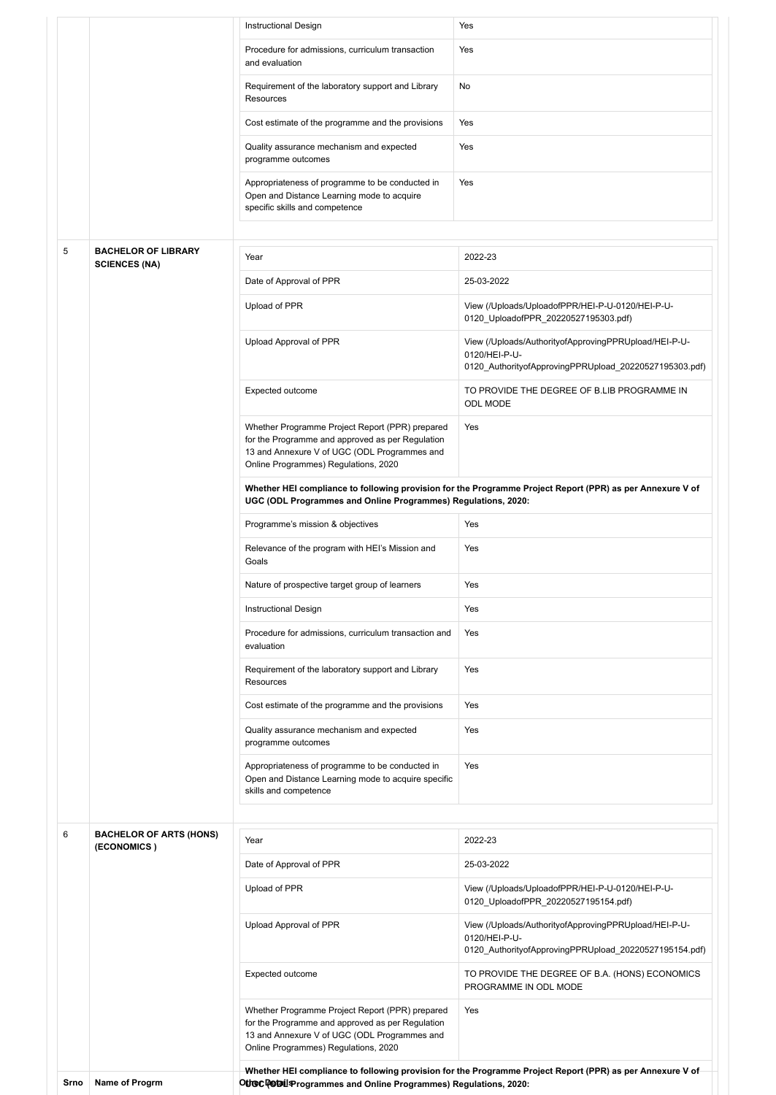|      |                                                    | <b>Instructional Design</b>                                                                                                                                                                 | Yes                                                                                                                              |  |  |
|------|----------------------------------------------------|---------------------------------------------------------------------------------------------------------------------------------------------------------------------------------------------|----------------------------------------------------------------------------------------------------------------------------------|--|--|
|      |                                                    | Procedure for admissions, curriculum transaction<br>and evaluation                                                                                                                          | Yes                                                                                                                              |  |  |
|      |                                                    | Requirement of the laboratory support and Library<br>Resources                                                                                                                              | No                                                                                                                               |  |  |
|      |                                                    | Cost estimate of the programme and the provisions                                                                                                                                           | Yes                                                                                                                              |  |  |
|      |                                                    | Quality assurance mechanism and expected<br>programme outcomes                                                                                                                              | Yes                                                                                                                              |  |  |
|      |                                                    | Appropriateness of programme to be conducted in<br>Open and Distance Learning mode to acquire<br>specific skills and competence                                                             | Yes                                                                                                                              |  |  |
|      |                                                    |                                                                                                                                                                                             |                                                                                                                                  |  |  |
| 5    | <b>BACHELOR OF LIBRARY</b><br><b>SCIENCES (NA)</b> | Year                                                                                                                                                                                        | 2022-23                                                                                                                          |  |  |
|      |                                                    | Date of Approval of PPR                                                                                                                                                                     | 25-03-2022                                                                                                                       |  |  |
|      |                                                    | Upload of PPR                                                                                                                                                                               | View (/Uploads/UploadofPPR/HEI-P-U-0120/HEI-P-U-<br>0120_UploadofPPR_20220527195303.pdf)                                         |  |  |
|      |                                                    | Upload Approval of PPR                                                                                                                                                                      | View (/Uploads/AuthorityofApprovingPPRUpload/HEI-P-U-<br>0120/HEI-P-U-<br>0120_AuthorityofApprovingPPRUpload_20220527195303.pdf) |  |  |
|      |                                                    | Expected outcome                                                                                                                                                                            | TO PROVIDE THE DEGREE OF B.LIB PROGRAMME IN<br><b>ODL MODE</b>                                                                   |  |  |
|      |                                                    | Whether Programme Project Report (PPR) prepared<br>for the Programme and approved as per Regulation<br>13 and Annexure V of UGC (ODL Programmes and<br>Online Programmes) Regulations, 2020 | Yes                                                                                                                              |  |  |
|      |                                                    | Whether HEI compliance to following provision for the Programme Project Report (PPR) as per Annexure V of<br>UGC (ODL Programmes and Online Programmes) Regulations, 2020:                  |                                                                                                                                  |  |  |
|      |                                                    | Programme's mission & objectives                                                                                                                                                            | Yes                                                                                                                              |  |  |
|      |                                                    | Relevance of the program with HEI's Mission and<br>Goals                                                                                                                                    | Yes                                                                                                                              |  |  |
|      |                                                    | Nature of prospective target group of learners                                                                                                                                              | Yes                                                                                                                              |  |  |
|      |                                                    | <b>Instructional Design</b>                                                                                                                                                                 | Yes                                                                                                                              |  |  |
|      |                                                    | Procedure for admissions, curriculum transaction and<br>evaluation                                                                                                                          | Yes                                                                                                                              |  |  |
|      |                                                    | Requirement of the laboratory support and Library<br>Resources                                                                                                                              | Yes                                                                                                                              |  |  |
|      |                                                    | Cost estimate of the programme and the provisions                                                                                                                                           | Yes                                                                                                                              |  |  |
|      |                                                    | Quality assurance mechanism and expected<br>programme outcomes                                                                                                                              | Yes                                                                                                                              |  |  |
|      |                                                    | Appropriateness of programme to be conducted in<br>Open and Distance Learning mode to acquire specific<br>skills and competence                                                             | Yes                                                                                                                              |  |  |
| 6    | <b>BACHELOR OF ARTS (HONS)</b>                     |                                                                                                                                                                                             |                                                                                                                                  |  |  |
|      | (ECONOMICS)                                        | Year                                                                                                                                                                                        | 2022-23                                                                                                                          |  |  |
|      |                                                    | Date of Approval of PPR                                                                                                                                                                     | 25-03-2022                                                                                                                       |  |  |
|      |                                                    | Upload of PPR                                                                                                                                                                               | View (/Uploads/UploadofPPR/HEI-P-U-0120/HEI-P-U-<br>0120_UploadofPPR_20220527195154.pdf)                                         |  |  |
|      |                                                    | Upload Approval of PPR                                                                                                                                                                      | View (/Uploads/AuthorityofApprovingPPRUpload/HEI-P-U-<br>0120/HEI-P-U-<br>0120_AuthorityofApprovingPPRUpload_20220527195154.pdf) |  |  |
|      |                                                    | Expected outcome                                                                                                                                                                            | TO PROVIDE THE DEGREE OF B.A. (HONS) ECONOMICS<br>PROGRAMME IN ODL MODE                                                          |  |  |
|      |                                                    | Whether Programme Project Report (PPR) prepared<br>for the Programme and approved as per Regulation<br>13 and Annexure V of UGC (ODL Programmes and<br>Online Programmes) Regulations, 2020 | Yes                                                                                                                              |  |  |
| Srno | Name of Progrm                                     | Othec Detail Programmes and Online Programmes) Regulations, 2020:                                                                                                                           | Whether HEI compliance to following provision for the Programme Project Report (PPR) as per Annexure V of                        |  |  |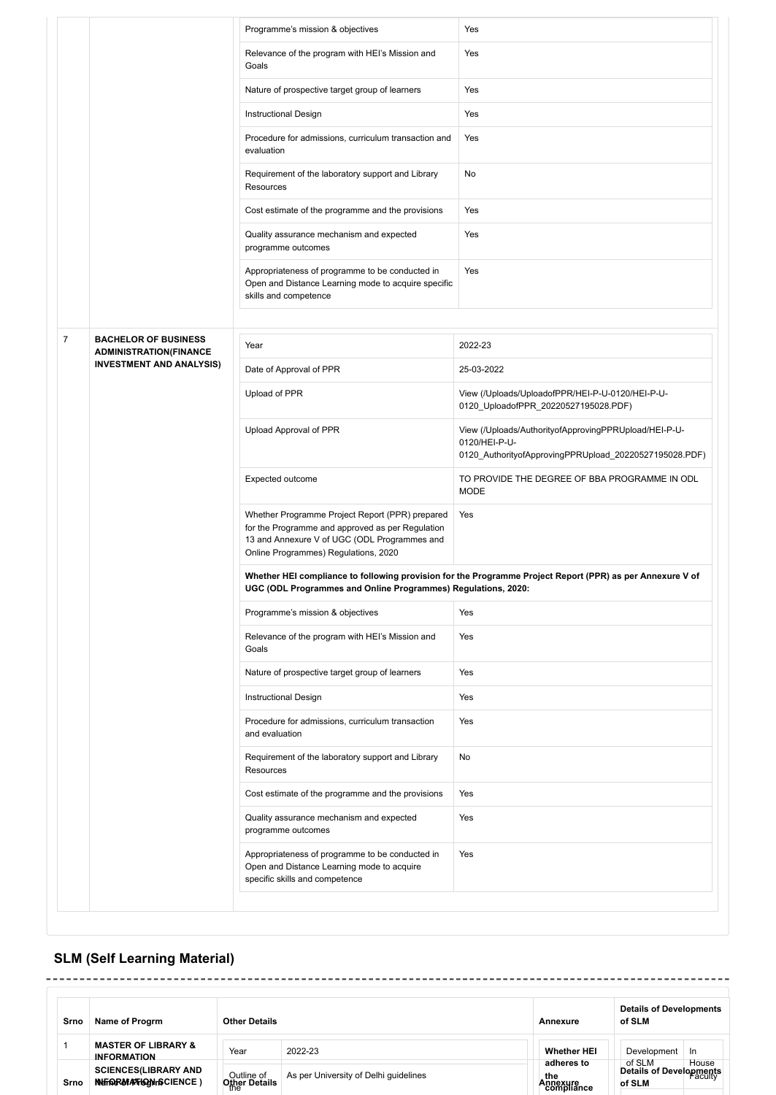|                |                                                              | Programme's mission & objectives                                                                                                                                                            | Yes                                                                                                                              |
|----------------|--------------------------------------------------------------|---------------------------------------------------------------------------------------------------------------------------------------------------------------------------------------------|----------------------------------------------------------------------------------------------------------------------------------|
|                |                                                              | Relevance of the program with HEI's Mission and<br>Goals                                                                                                                                    | Yes                                                                                                                              |
|                |                                                              | Nature of prospective target group of learners                                                                                                                                              | Yes                                                                                                                              |
|                |                                                              | <b>Instructional Design</b>                                                                                                                                                                 | Yes                                                                                                                              |
|                |                                                              | Procedure for admissions, curriculum transaction and<br>evaluation                                                                                                                          | Yes                                                                                                                              |
|                |                                                              | Requirement of the laboratory support and Library<br>Resources                                                                                                                              | No                                                                                                                               |
|                |                                                              | Cost estimate of the programme and the provisions                                                                                                                                           | Yes                                                                                                                              |
|                |                                                              | Quality assurance mechanism and expected<br>programme outcomes                                                                                                                              | Yes                                                                                                                              |
|                |                                                              | Appropriateness of programme to be conducted in<br>Open and Distance Learning mode to acquire specific<br>skills and competence                                                             | Yes                                                                                                                              |
|                |                                                              |                                                                                                                                                                                             |                                                                                                                                  |
| $\overline{7}$ | <b>BACHELOR OF BUSINESS</b><br><b>ADMINISTRATION(FINANCE</b> | Year                                                                                                                                                                                        | 2022-23                                                                                                                          |
|                | <b>INVESTMENT AND ANALYSIS)</b>                              | Date of Approval of PPR                                                                                                                                                                     | 25-03-2022                                                                                                                       |
|                |                                                              | Upload of PPR                                                                                                                                                                               | View (/Uploads/UploadofPPR/HEI-P-U-0120/HEI-P-U-<br>0120_UploadofPPR_20220527195028.PDF)                                         |
|                |                                                              | Upload Approval of PPR                                                                                                                                                                      | View (/Uploads/AuthorityofApprovingPPRUpload/HEI-P-U-<br>0120/HEI-P-U-<br>0120_AuthorityofApprovingPPRUpload_20220527195028.PDF) |
|                |                                                              | Expected outcome                                                                                                                                                                            | TO PROVIDE THE DEGREE OF BBA PROGRAMME IN ODL<br><b>MODE</b>                                                                     |
|                |                                                              | Whether Programme Project Report (PPR) prepared<br>for the Programme and approved as per Regulation<br>13 and Annexure V of UGC (ODL Programmes and<br>Online Programmes) Regulations, 2020 | Yes                                                                                                                              |
|                |                                                              | UGC (ODL Programmes and Online Programmes) Regulations, 2020:                                                                                                                               | Whether HEI compliance to following provision for the Programme Project Report (PPR) as per Annexure V of                        |
|                |                                                              | Programme's mission & objectives                                                                                                                                                            | Yes                                                                                                                              |
|                |                                                              | Relevance of the program with HEI's Mission and<br>Goals                                                                                                                                    | Yes                                                                                                                              |
|                |                                                              | Nature of prospective target group of learners                                                                                                                                              | Yes                                                                                                                              |
|                |                                                              | <b>Instructional Design</b>                                                                                                                                                                 | Yes                                                                                                                              |
|                |                                                              | Procedure for admissions, curriculum transaction<br>and evaluation                                                                                                                          | Yes                                                                                                                              |
|                |                                                              | Requirement of the laboratory support and Library<br>Resources                                                                                                                              | No                                                                                                                               |
|                |                                                              | Cost estimate of the programme and the provisions                                                                                                                                           | Yes                                                                                                                              |
|                |                                                              | Quality assurance mechanism and expected<br>programme outcomes                                                                                                                              | Yes                                                                                                                              |
|                |                                                              | Appropriateness of programme to be conducted in<br>Open and Distance Learning mode to acquire<br>specific skills and competence                                                             | Yes                                                                                                                              |

# **SLM (Self Learning Material)**

| Srno | <b>Details of Developments</b><br>Name of Progrm<br><b>Other Details</b><br>of SLM<br>Annexure |                                    |                                       |                               |  |                                             |       |  |
|------|------------------------------------------------------------------------------------------------|------------------------------------|---------------------------------------|-------------------------------|--|---------------------------------------------|-------|--|
|      | <b>MASTER OF LIBRARY &amp;</b><br><b>INFORMATION</b>                                           | Year                               | 2022-23                               | <b>Whether HEI</b>            |  | Development                                 | In    |  |
| Srno | <b>SCIENCES(LIBRARY AND</b><br>NUTORMATION IS CIENCE)                                          | Outline of<br><b>Other Details</b> | As per University of Delhi quidelines | adheres to<br>the<br>Annexure |  | of SLM<br>Details of Developments<br>of SLM | House |  |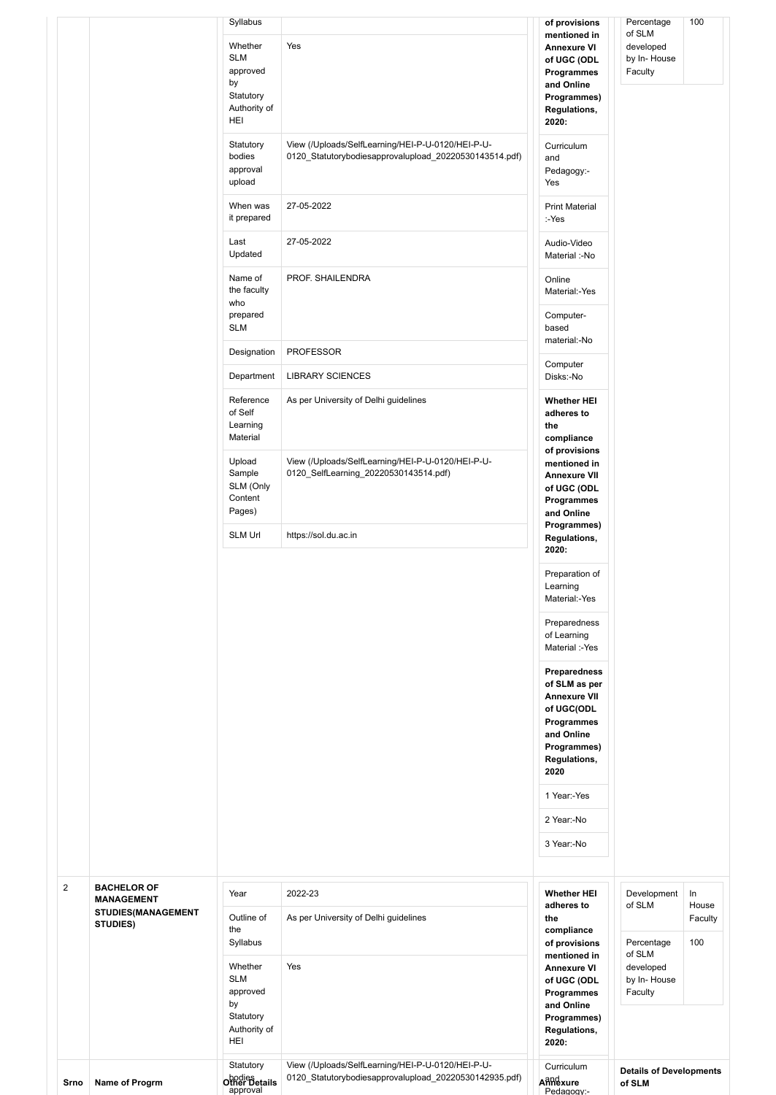|                |                                         | Syllabus                                                                                       |                                                                                                             | of provisions                                                                                                                                                                                                                                                                    | Percentage                                                  | 100              |
|----------------|-----------------------------------------|------------------------------------------------------------------------------------------------|-------------------------------------------------------------------------------------------------------------|----------------------------------------------------------------------------------------------------------------------------------------------------------------------------------------------------------------------------------------------------------------------------------|-------------------------------------------------------------|------------------|
|                |                                         | Whether<br><b>SLM</b><br>approved<br>by<br>Statutory<br>Authority of<br>HEI                    | Yes                                                                                                         | mentioned in<br><b>Annexure VI</b><br>of UGC (ODL<br>Programmes<br>and Online<br>Programmes)<br>Regulations,<br>2020:                                                                                                                                                            | of SLM<br>developed<br>by In-House<br>Faculty               |                  |
|                |                                         | Statutory<br>bodies<br>approval<br>upload                                                      | View (/Uploads/SelfLearning/HEI-P-U-0120/HEI-P-U-<br>0120_Statutorybodiesapprovalupload_20220530143514.pdf) | Curriculum<br>and<br>Pedagogy:-<br>Yes                                                                                                                                                                                                                                           |                                                             |                  |
|                |                                         | When was<br>it prepared                                                                        | 27-05-2022                                                                                                  | <b>Print Material</b><br>:-Yes                                                                                                                                                                                                                                                   |                                                             |                  |
|                |                                         | Last<br>Updated                                                                                | 27-05-2022                                                                                                  | Audio-Video<br>Material :-No                                                                                                                                                                                                                                                     |                                                             |                  |
|                |                                         | Name of<br>the faculty<br>who                                                                  | PROF. SHAILENDRA                                                                                            | Online<br>Material:-Yes                                                                                                                                                                                                                                                          |                                                             |                  |
|                |                                         | prepared<br><b>SLM</b>                                                                         |                                                                                                             | Computer-<br>based                                                                                                                                                                                                                                                               |                                                             |                  |
|                |                                         | Designation                                                                                    | <b>PROFESSOR</b>                                                                                            | material:-No<br>Computer                                                                                                                                                                                                                                                         |                                                             |                  |
|                |                                         | Department                                                                                     | <b>LIBRARY SCIENCES</b>                                                                                     | Disks:-No                                                                                                                                                                                                                                                                        |                                                             |                  |
|                |                                         | Reference<br>of Self<br>Learning<br>Material                                                   | As per University of Delhi guidelines                                                                       | <b>Whether HEI</b><br>adheres to<br>the<br>compliance                                                                                                                                                                                                                            |                                                             |                  |
|                |                                         | Upload<br>Sample<br>SLM (Only<br>Content<br>Pages)                                             | View (/Uploads/SelfLearning/HEI-P-U-0120/HEI-P-U-<br>0120_SelfLearning_20220530143514.pdf)                  | of provisions<br>mentioned in<br><b>Annexure VII</b><br>of UGC (ODL<br>Programmes<br>and Online                                                                                                                                                                                  |                                                             |                  |
|                |                                         | <b>SLM Url</b>                                                                                 | https://sol.du.ac.in                                                                                        | Programmes)<br>Regulations,<br>2020:                                                                                                                                                                                                                                             |                                                             |                  |
|                |                                         |                                                                                                |                                                                                                             | Preparation of<br>Learning<br>Material:-Yes<br>Preparedness<br>of Learning<br>Material :-Yes<br>Preparedness<br>of SLM as per<br><b>Annexure VII</b><br>of UGC(ODL<br>Programmes<br>and Online<br>Programmes)<br>Regulations,<br>2020<br>1 Year:-Yes<br>2 Year:-No<br>3 Year:-No |                                                             |                  |
| $\overline{2}$ | <b>BACHELOR OF</b><br><b>MANAGEMENT</b> | Year                                                                                           | 2022-23                                                                                                     | <b>Whether HEI</b>                                                                                                                                                                                                                                                               | Development                                                 | ln               |
|                | <b>STUDIES(MANAGEMENT</b><br>STUDIES)   | Outline of<br>the                                                                              | As per University of Delhi guidelines                                                                       | adheres to<br>the<br>compliance                                                                                                                                                                                                                                                  | of SLM                                                      | House<br>Faculty |
|                |                                         | Syllabus<br>Whether<br><b>SLM</b><br>approved<br>by<br>Statutory<br>Authority of<br><b>HEI</b> | Yes                                                                                                         | of provisions<br>mentioned in<br><b>Annexure VI</b><br>of UGC (ODL<br>Programmes<br>and Online<br>Programmes)<br>Regulations,<br>2020:                                                                                                                                           | Percentage<br>of SLM<br>developed<br>by In-House<br>Faculty | 100              |
| Srno           | Name of Progrm                          | Statutory<br>bodies<br>Other Details<br>approval                                               | View (/Uploads/SelfLearning/HEI-P-U-0120/HEI-P-U-<br>0120 Statutorybodiesapprovalupload 20220530142935.pdf) | Curriculum<br>Anndxure<br>Pedagogy:-                                                                                                                                                                                                                                             | <b>Details of Developments</b><br>of SLM                    |                  |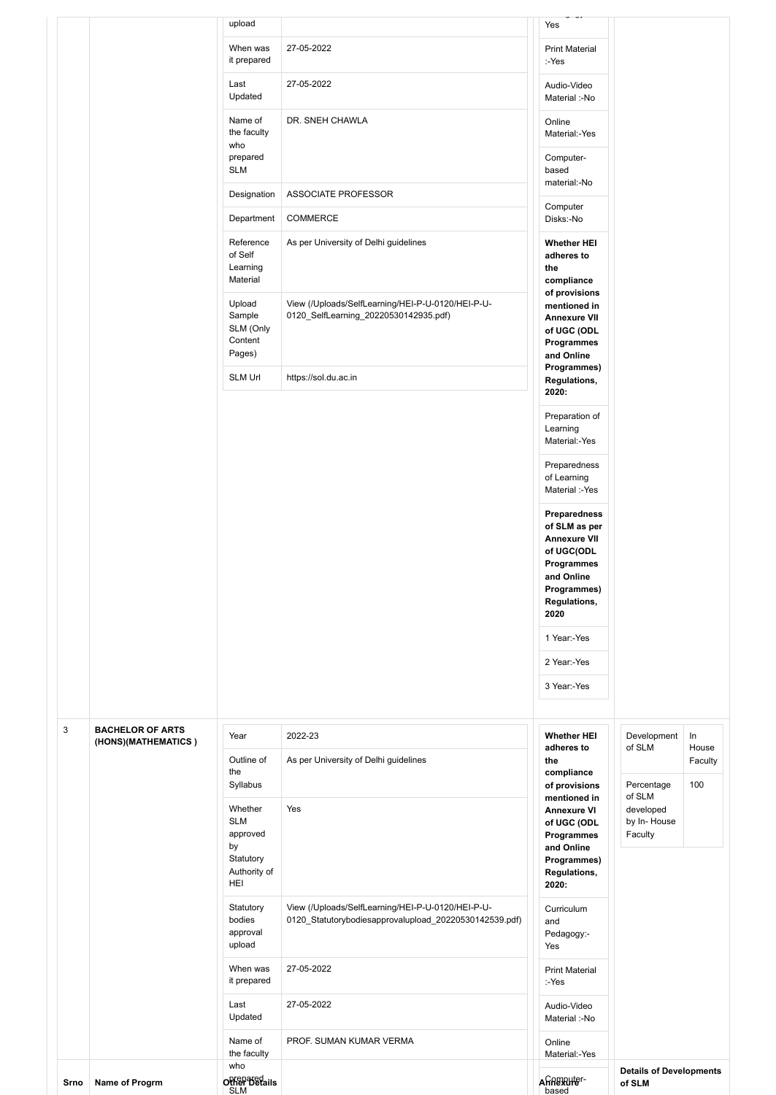|      |                                                | upload<br>When was<br>it prepared                                                        | 27-05-2022                                                                                                                          | Yes<br><b>Print Material</b><br>:-Yes                                                                                                        |                                                             |             |
|------|------------------------------------------------|------------------------------------------------------------------------------------------|-------------------------------------------------------------------------------------------------------------------------------------|----------------------------------------------------------------------------------------------------------------------------------------------|-------------------------------------------------------------|-------------|
|      |                                                | Last<br>Updated                                                                          | 27-05-2022                                                                                                                          | Audio-Video<br>Material :-No                                                                                                                 |                                                             |             |
|      |                                                | Name of<br>the faculty<br>who                                                            | DR. SNEH CHAWLA                                                                                                                     | Online<br>Material:-Yes                                                                                                                      |                                                             |             |
|      |                                                | prepared<br><b>SLM</b>                                                                   |                                                                                                                                     | Computer-<br>based<br>material:-No                                                                                                           |                                                             |             |
|      |                                                | Designation                                                                              | ASSOCIATE PROFESSOR                                                                                                                 | Computer                                                                                                                                     |                                                             |             |
|      |                                                | Department                                                                               | COMMERCE                                                                                                                            | Disks:-No                                                                                                                                    |                                                             |             |
|      |                                                | Reference<br>of Self<br>Learning<br>Material<br>Upload<br>Sample<br>SLM (Only<br>Content | As per University of Delhi guidelines<br>View (/Uploads/SelfLearning/HEI-P-U-0120/HEI-P-U-<br>0120_SelfLearning_20220530142935.pdf) | <b>Whether HEI</b><br>adheres to<br>the<br>compliance<br>of provisions<br>mentioned in<br><b>Annexure VII</b><br>of UGC (ODL<br>Programmes   |                                                             |             |
|      |                                                | Pages)                                                                                   |                                                                                                                                     | and Online                                                                                                                                   |                                                             |             |
|      |                                                | <b>SLM Url</b>                                                                           | https://sol.du.ac.in                                                                                                                | Programmes)<br>Regulations,<br>2020:                                                                                                         |                                                             |             |
|      |                                                |                                                                                          |                                                                                                                                     | Preparation of<br>Learning<br>Material:-Yes                                                                                                  |                                                             |             |
|      |                                                |                                                                                          |                                                                                                                                     | Preparedness<br>of Learning<br>Material :-Yes                                                                                                |                                                             |             |
|      |                                                |                                                                                          |                                                                                                                                     | <b>Preparedness</b><br>of SLM as per<br><b>Annexure VII</b><br>of UGC(ODL<br>Programmes<br>and Online<br>Programmes)<br>Regulations,<br>2020 |                                                             |             |
|      |                                                |                                                                                          |                                                                                                                                     | 1 Year:-Yes                                                                                                                                  |                                                             |             |
|      |                                                |                                                                                          |                                                                                                                                     | 2 Year:-Yes                                                                                                                                  |                                                             |             |
|      |                                                |                                                                                          |                                                                                                                                     | 3 Year:-Yes                                                                                                                                  |                                                             |             |
| 3    | <b>BACHELOR OF ARTS</b><br>(HONS)(MATHEMATICS) | Year                                                                                     | 2022-23                                                                                                                             | <b>Whether HEI</b><br>adheres to                                                                                                             | Development<br>of SLM                                       | In<br>House |
|      |                                                | Outline of<br>the                                                                        | As per University of Delhi guidelines                                                                                               | the<br>compliance                                                                                                                            |                                                             | Faculty     |
|      |                                                | Syllabus<br>Whether<br><b>SLM</b><br>approved<br>by                                      | Yes                                                                                                                                 | of provisions<br>mentioned in<br><b>Annexure VI</b><br>of UGC (ODL<br>Programmes<br>and Online                                               | Percentage<br>of SLM<br>developed<br>by In-House<br>Faculty | 100         |
|      |                                                | Statutory<br>Authority of<br>HEI                                                         |                                                                                                                                     | Programmes)<br>Regulations,<br>2020:                                                                                                         |                                                             |             |
|      |                                                | Statutory<br>bodies<br>approval<br>upload                                                | View (/Uploads/SelfLearning/HEI-P-U-0120/HEI-P-U-<br>0120_Statutorybodiesapprovalupload_20220530142539.pdf)                         | Curriculum<br>and<br>Pedagogy:-<br>Yes                                                                                                       |                                                             |             |
|      |                                                | When was<br>it prepared                                                                  | 27-05-2022                                                                                                                          | <b>Print Material</b><br>:-Yes                                                                                                               |                                                             |             |
|      |                                                | Last<br>Updated                                                                          | 27-05-2022                                                                                                                          | Audio-Video<br>Material :-No                                                                                                                 |                                                             |             |
|      |                                                | Name of<br>the faculty                                                                   | PROF. SUMAN KUMAR VERMA                                                                                                             | Online<br>Material:-Yes                                                                                                                      |                                                             |             |
| Srno | Name of Progrm                                 | who<br><b>Other Betails</b><br><b>SLM</b>                                                |                                                                                                                                     | Annexuter-<br>based                                                                                                                          | <b>Details of Developments</b><br>of SLM                    |             |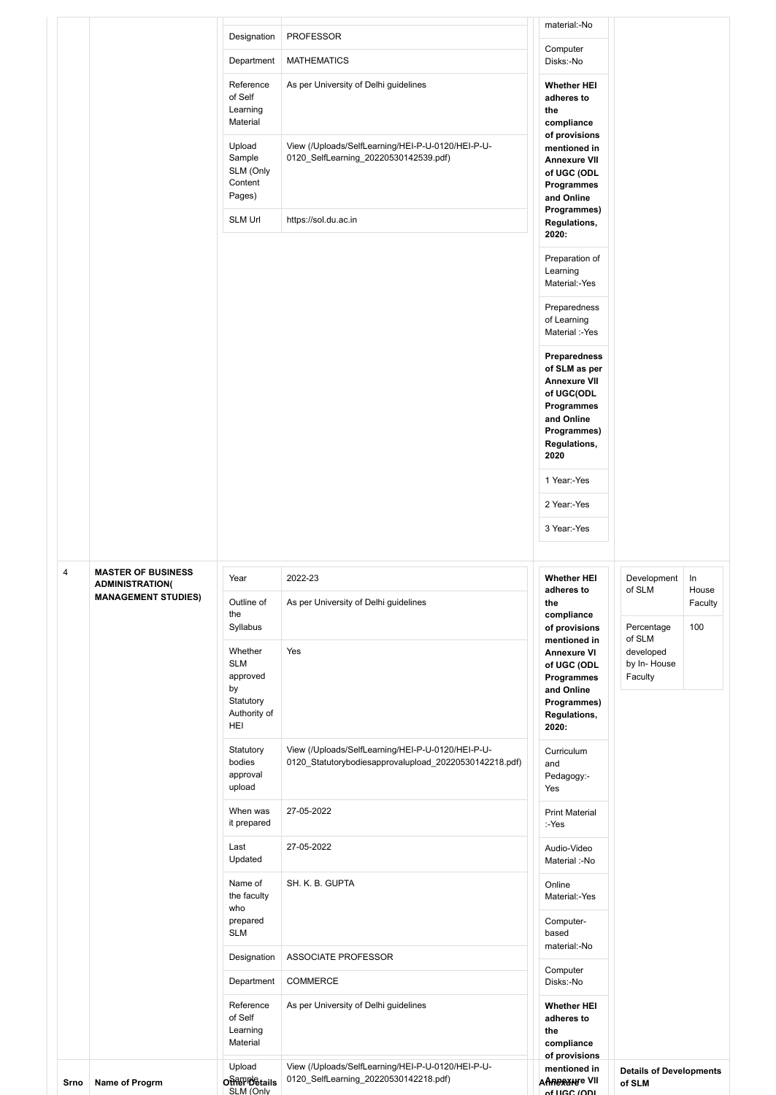| Srno           | Name of Progrm                                      | Upload<br><b>Other Details</b><br>SLM (Only        | View (/Uploads/SelfLearning/HEI-P-U-0120/HEI-P-U-<br>0120_SelfLearning_20220530142218.pdf)                  | mentioned in<br><b>AARERXHEE VII</b><br>of LIGC (ODL                                                                                  | <b>Details of Developments</b><br>of SLM         |                  |
|----------------|-----------------------------------------------------|----------------------------------------------------|-------------------------------------------------------------------------------------------------------------|---------------------------------------------------------------------------------------------------------------------------------------|--------------------------------------------------|------------------|
|                |                                                     | Reference<br>of Self<br>Learning<br>Material       | As per University of Delhi guidelines                                                                       | <b>Whether HEI</b><br>adheres to<br>the<br>compliance<br>of provisions                                                                |                                                  |                  |
|                |                                                     | Department                                         | COMMERCE                                                                                                    | Computer<br>Disks:-No                                                                                                                 |                                                  |                  |
|                |                                                     | <b>SLM</b><br>Designation                          | ASSOCIATE PROFESSOR                                                                                         | based<br>material:-No                                                                                                                 |                                                  |                  |
|                |                                                     | Name of<br>the faculty<br>who<br>prepared          | SH. K. B. GUPTA                                                                                             | Online<br>Material:-Yes<br>Computer-                                                                                                  |                                                  |                  |
|                |                                                     | Last<br>Updated                                    | 27-05-2022                                                                                                  | Audio-Video<br>Material :-No                                                                                                          |                                                  |                  |
|                |                                                     | When was<br>it prepared                            | 27-05-2022                                                                                                  | <b>Print Material</b><br>:-Yes                                                                                                        |                                                  |                  |
|                |                                                     | approval<br>upload                                 |                                                                                                             | Pedagogy:-<br>Yes                                                                                                                     |                                                  |                  |
|                |                                                     | Statutory<br>bodies                                | View (/Uploads/SelfLearning/HEI-P-U-0120/HEI-P-U-<br>0120_Statutorybodiesapprovalupload_20220530142218.pdf) | Curriculum<br>and                                                                                                                     |                                                  |                  |
|                |                                                     | approved<br>by<br>Statutory<br>Authority of<br>HEI |                                                                                                             | Programmes<br>and Online<br>Programmes)<br>Regulations,<br>2020:                                                                      | Faculty                                          |                  |
|                |                                                     | Syllabus<br>Whether<br><b>SLM</b>                  | Yes                                                                                                         | of provisions<br>mentioned in<br><b>Annexure VI</b><br>of UGC (ODL                                                                    | Percentage<br>of SLM<br>developed<br>by In-House | 100              |
|                | <b>MANAGEMENT STUDIES)</b>                          | Outline of<br>the                                  | As per University of Delhi guidelines                                                                       | adheres to<br>the<br>compliance                                                                                                       | of SLM                                           | House<br>Faculty |
| $\overline{4}$ | <b>MASTER OF BUSINESS</b><br><b>ADMINISTRATION(</b> | Year                                               | 2022-23                                                                                                     | <b>Whether HEI</b>                                                                                                                    | Development                                      | In               |
|                |                                                     |                                                    |                                                                                                             | 3 Year:-Yes                                                                                                                           |                                                  |                  |
|                |                                                     |                                                    |                                                                                                             | 2 Year:-Yes                                                                                                                           |                                                  |                  |
|                |                                                     |                                                    |                                                                                                             | 1 Year:-Yes                                                                                                                           |                                                  |                  |
|                |                                                     |                                                    |                                                                                                             | Preparedness<br>of SLM as per<br><b>Annexure VII</b><br>of UGC(ODL<br>Programmes<br>and Online<br>Programmes)<br>Regulations,<br>2020 |                                                  |                  |
|                |                                                     |                                                    |                                                                                                             | Preparedness<br>of Learning<br>Material :-Yes                                                                                         |                                                  |                  |
|                |                                                     |                                                    |                                                                                                             | Preparation of<br>Learning<br>Material:-Yes                                                                                           |                                                  |                  |
|                |                                                     | <b>SLM Url</b>                                     | https://sol.du.ac.in                                                                                        | Programmes)<br>Regulations,<br>2020:                                                                                                  |                                                  |                  |
|                |                                                     | Upload<br>Sample<br>SLM (Only<br>Content<br>Pages) | View (/Uploads/SelfLearning/HEI-P-U-0120/HEI-P-U-<br>0120 SelfLearning 20220530142539.pdf)                  | mentioned in<br><b>Annexure VII</b><br>of UGC (ODL<br>Programmes<br>and Online                                                        |                                                  |                  |
|                |                                                     | of Self<br>Learning<br>Material                    |                                                                                                             | adheres to<br>the<br>compliance<br>of provisions                                                                                      |                                                  |                  |
|                |                                                     | Department<br>Reference                            | <b>MATHEMATICS</b><br>As per University of Delhi guidelines                                                 | Disks:-No<br><b>Whether HEI</b>                                                                                                       |                                                  |                  |
|                |                                                     | Designation                                        | <b>PROFESSOR</b>                                                                                            | Computer                                                                                                                              |                                                  |                  |
|                |                                                     |                                                    |                                                                                                             | material:-No                                                                                                                          |                                                  |                  |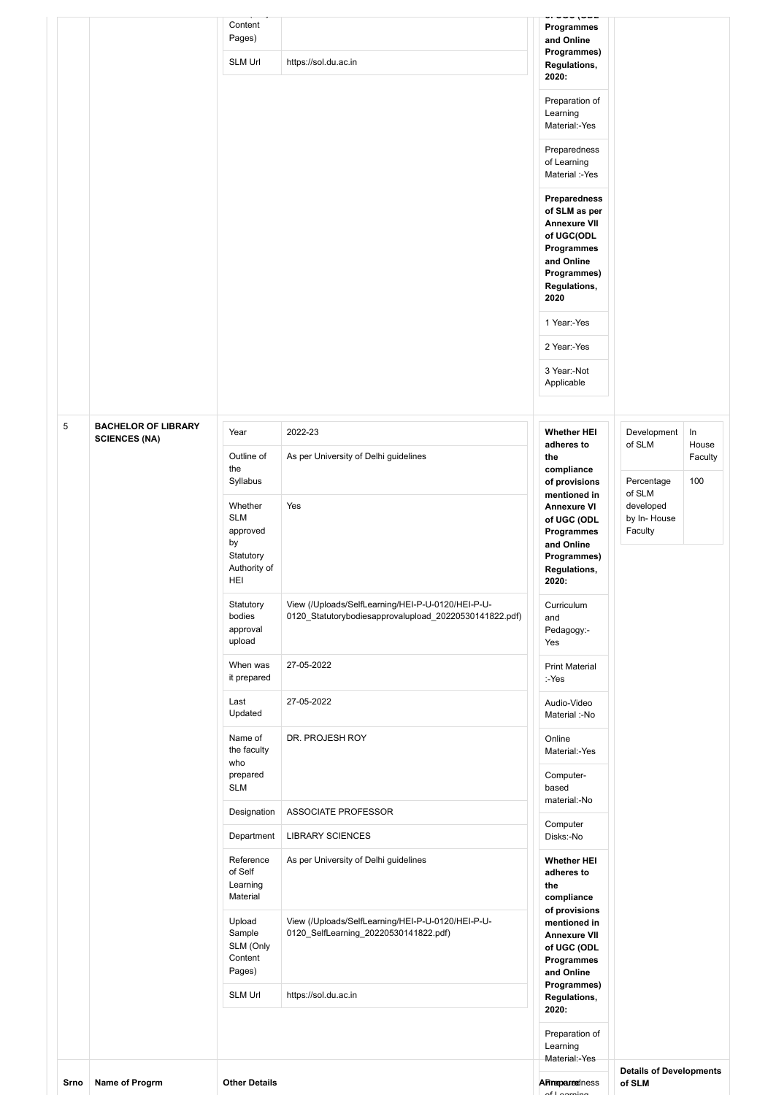|      |                                                    | Content<br>Pages)<br><b>SLM Url</b>                                                                                                                     | https://sol.du.ac.in                                                                                                                                                   | Programmes<br>and Online<br>Programmes)<br>Regulations,<br>2020:<br>Preparation of<br>Learning<br>Material:-Yes<br>Preparedness<br>of Learning<br>Material :-Yes<br><b>Preparedness</b><br>of SLM as per<br><b>Annexure VII</b><br>of UGC(ODL<br>Programmes<br>and Online<br>Programmes)<br>Regulations,<br>2020<br>1 Year:-Yes<br>2 Year:-Yes<br>3 Year:-Not<br>Applicable |                                                                                                                          |
|------|----------------------------------------------------|---------------------------------------------------------------------------------------------------------------------------------------------------------|------------------------------------------------------------------------------------------------------------------------------------------------------------------------|-----------------------------------------------------------------------------------------------------------------------------------------------------------------------------------------------------------------------------------------------------------------------------------------------------------------------------------------------------------------------------|--------------------------------------------------------------------------------------------------------------------------|
| 5    | <b>BACHELOR OF LIBRARY</b><br><b>SCIENCES (NA)</b> | Year<br>Outline of<br>the<br>Syllabus<br>Whether<br><b>SLM</b><br>approved<br>by<br>Statutory<br>Authority of<br>HEI<br>Statutory<br>bodies<br>approval | 2022-23<br>As per University of Delhi guidelines<br>Yes<br>View (/Uploads/SelfLearning/HEI-P-U-0120/HEI-P-U-<br>0120 Statutorybodiesapprovalupload 20220530141822.pdf) | <b>Whether HEI</b><br>adheres to<br>the<br>compliance<br>of provisions<br>mentioned in<br><b>Annexure VI</b><br>of UGC (ODL<br>Programmes<br>and Online<br>Programmes)<br>Regulations,<br>2020:<br>Curriculum<br>and<br>Pedagogy:-                                                                                                                                          | $\ln$<br>Development<br>of SLM<br>House<br>Faculty<br>100<br>Percentage<br>of SLM<br>developed<br>by In-House<br>Faculty |
|      |                                                    | upload<br>When was<br>it prepared                                                                                                                       | 27-05-2022                                                                                                                                                             | Yes<br><b>Print Material</b><br>:-Yes                                                                                                                                                                                                                                                                                                                                       |                                                                                                                          |
|      |                                                    | Last<br>Updated                                                                                                                                         | 27-05-2022                                                                                                                                                             | Audio-Video<br>Material :-No                                                                                                                                                                                                                                                                                                                                                |                                                                                                                          |
|      |                                                    | Name of<br>the faculty<br>who<br>prepared<br><b>SLM</b>                                                                                                 | DR. PROJESH ROY                                                                                                                                                        | Online<br>Material:-Yes<br>Computer-<br>based                                                                                                                                                                                                                                                                                                                               |                                                                                                                          |
|      |                                                    | Designation                                                                                                                                             | ASSOCIATE PROFESSOR                                                                                                                                                    | material:-No                                                                                                                                                                                                                                                                                                                                                                |                                                                                                                          |
|      |                                                    | Department                                                                                                                                              | <b>LIBRARY SCIENCES</b>                                                                                                                                                | Computer<br>Disks:-No                                                                                                                                                                                                                                                                                                                                                       |                                                                                                                          |
|      |                                                    | Reference<br>of Self<br>Learning<br>Material                                                                                                            | As per University of Delhi guidelines                                                                                                                                  | <b>Whether HEI</b><br>adheres to<br>the<br>compliance<br>of provisions                                                                                                                                                                                                                                                                                                      |                                                                                                                          |
|      |                                                    | Upload<br>Sample<br>SLM (Only<br>Content<br>Pages)<br>SLM Url                                                                                           | View (/Uploads/SelfLearning/HEI-P-U-0120/HEI-P-U-<br>0120_SelfLearning_20220530141822.pdf)<br>https://sol.du.ac.in                                                     | mentioned in<br><b>Annexure VII</b><br>of UGC (ODL<br>Programmes<br>and Online<br>Programmes)<br>Regulations,<br>2020:                                                                                                                                                                                                                                                      |                                                                                                                          |
|      |                                                    |                                                                                                                                                         |                                                                                                                                                                        | Preparation of<br>Learning                                                                                                                                                                                                                                                                                                                                                  |                                                                                                                          |
| Srno | Name of Progrm                                     | <b>Other Details</b>                                                                                                                                    |                                                                                                                                                                        | Material:-Yes<br>APIneparedness<br>of Loarning                                                                                                                                                                                                                                                                                                                              | <b>Details of Developments</b><br>of SLM                                                                                 |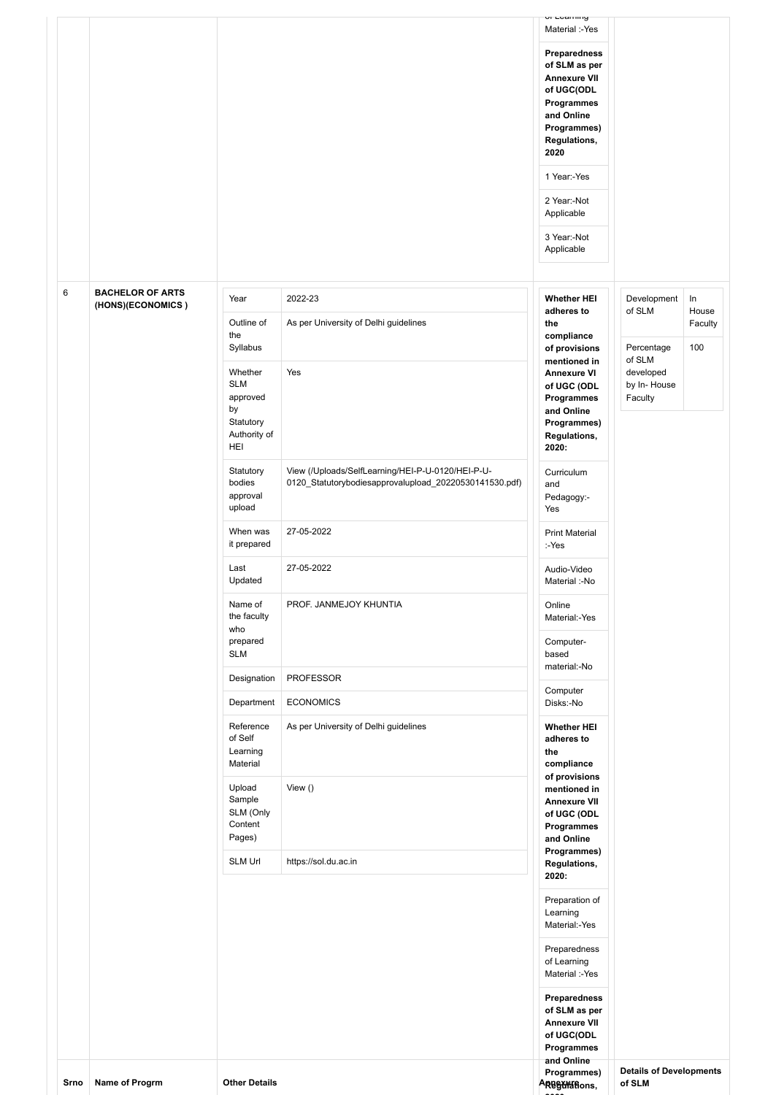|      |                                              |                                                                      |                                                                                                             | UI Learning<br>Material :-Yes<br>Preparedness<br>of SLM as per<br><b>Annexure VII</b><br>of UGC(ODL<br>Programmes<br>and Online<br>Programmes)<br>Regulations,<br>2020<br>1 Year:-Yes<br>2 Year:-Not<br>Applicable<br>3 Year:-Not<br>Applicable |                                               |                           |
|------|----------------------------------------------|----------------------------------------------------------------------|-------------------------------------------------------------------------------------------------------------|-------------------------------------------------------------------------------------------------------------------------------------------------------------------------------------------------------------------------------------------------|-----------------------------------------------|---------------------------|
| 6    | <b>BACHELOR OF ARTS</b><br>(HONS)(ECONOMICS) | Year<br>Outline of                                                   | 2022-23<br>As per University of Delhi guidelines                                                            | <b>Whether HEI</b><br>adheres to<br>the                                                                                                                                                                                                         | Development<br>of SLM                         | $\ln$<br>House<br>Faculty |
|      |                                              | the<br>Syllabus                                                      |                                                                                                             | compliance<br>of provisions                                                                                                                                                                                                                     | Percentage                                    | 100                       |
|      |                                              | Whether<br><b>SLM</b><br>approved<br>by<br>Statutory<br>Authority of | Yes                                                                                                         | mentioned in<br><b>Annexure VI</b><br>of UGC (ODL<br>Programmes<br>and Online<br>Programmes)<br>Regulations,                                                                                                                                    | of SLM<br>developed<br>by In-House<br>Faculty |                           |
|      |                                              | HEI<br>Statutory<br>bodies<br>approval<br>upload                     | View (/Uploads/SelfLearning/HEI-P-U-0120/HEI-P-U-<br>0120_Statutorybodiesapprovalupload_20220530141530.pdf) | 2020:<br>Curriculum<br>and<br>Pedagogy:-<br>Yes                                                                                                                                                                                                 |                                               |                           |
|      |                                              | When was<br>it prepared                                              | 27-05-2022                                                                                                  | <b>Print Material</b><br>:-Yes                                                                                                                                                                                                                  |                                               |                           |
|      |                                              | Last<br>Updated                                                      | 27-05-2022                                                                                                  | Audio-Video<br>Material :-No                                                                                                                                                                                                                    |                                               |                           |
|      |                                              | Name of<br>the faculty<br>who                                        | PROF. JANMEJOY KHUNTIA                                                                                      | Online<br>Material:-Yes                                                                                                                                                                                                                         |                                               |                           |
|      |                                              | prepared<br><b>SLM</b>                                               |                                                                                                             | Computer-<br>based<br>material:-No                                                                                                                                                                                                              |                                               |                           |
|      |                                              | Designation                                                          | <b>PROFESSOR</b>                                                                                            | Computer                                                                                                                                                                                                                                        |                                               |                           |
|      |                                              | Department                                                           | <b>ECONOMICS</b>                                                                                            | Disks:-No                                                                                                                                                                                                                                       |                                               |                           |
|      |                                              | Reference<br>of Self<br>Learning<br>Material                         | As per University of Delhi guidelines                                                                       | <b>Whether HEI</b><br>adheres to<br>the<br>compliance<br>of provisions                                                                                                                                                                          |                                               |                           |
|      |                                              | Upload<br>Sample<br>SLM (Only<br>Content<br>Pages)                   | View $()$                                                                                                   | mentioned in<br><b>Annexure VII</b><br>of UGC (ODL<br>Programmes<br>and Online<br>Programmes)                                                                                                                                                   |                                               |                           |
|      |                                              | <b>SLM Url</b>                                                       | https://sol.du.ac.in                                                                                        | Regulations,<br>2020:                                                                                                                                                                                                                           |                                               |                           |
|      |                                              |                                                                      |                                                                                                             | Preparation of<br>Learning<br>Material:-Yes<br>Preparedness<br>of Learning<br>Material :-Yes<br>Preparedness<br>of SLM as per                                                                                                                   |                                               |                           |
|      |                                              |                                                                      |                                                                                                             | <b>Annexure VII</b><br>of UGC(ODL<br>Programmes                                                                                                                                                                                                 |                                               |                           |
| Srno | Name of Progrm                               | <b>Other Details</b>                                                 |                                                                                                             | and Online<br>Programmes)<br>ARBEWHERONS,                                                                                                                                                                                                       | <b>Details of Developments</b><br>of SLM      |                           |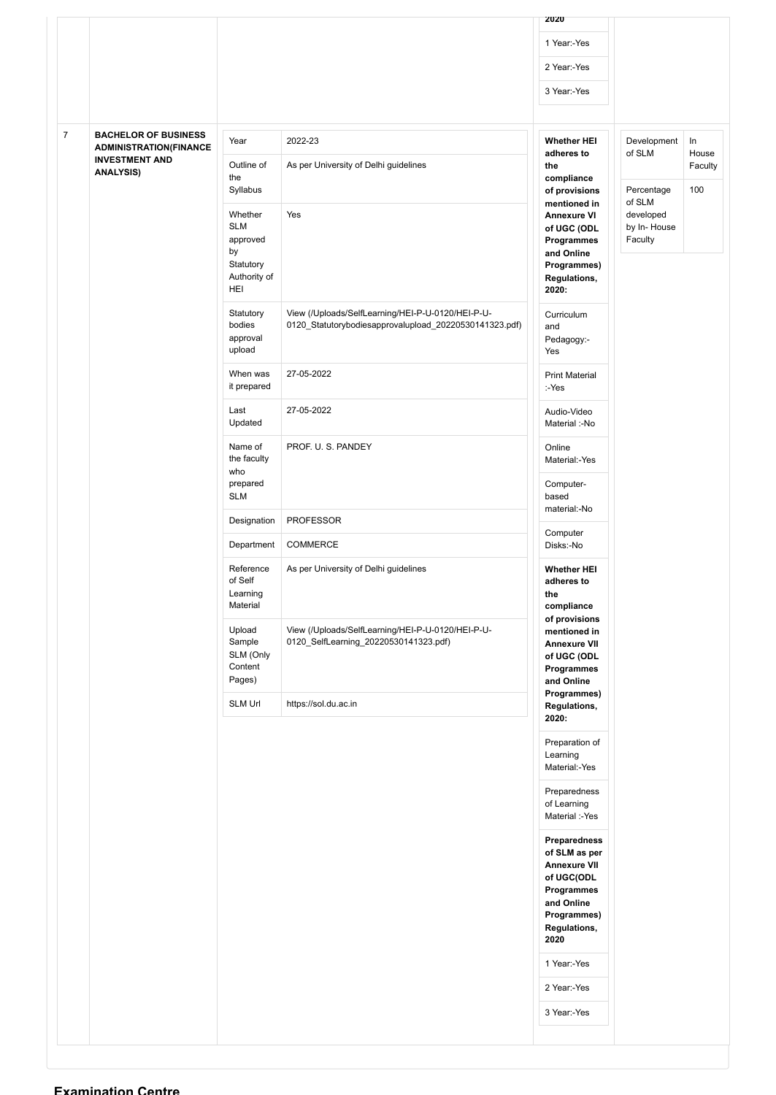|                |                                                                                       |                                                                             |                                                                                                             | 2020                                                                                                                                  |                                     |                |
|----------------|---------------------------------------------------------------------------------------|-----------------------------------------------------------------------------|-------------------------------------------------------------------------------------------------------------|---------------------------------------------------------------------------------------------------------------------------------------|-------------------------------------|----------------|
|                |                                                                                       |                                                                             |                                                                                                             | 1 Year:-Yes                                                                                                                           |                                     |                |
|                |                                                                                       |                                                                             |                                                                                                             | 2 Year:-Yes                                                                                                                           |                                     |                |
|                |                                                                                       |                                                                             |                                                                                                             | 3 Year:-Yes                                                                                                                           |                                     |                |
|                |                                                                                       |                                                                             |                                                                                                             |                                                                                                                                       |                                     |                |
| $\overline{7}$ | <b>BACHELOR OF BUSINESS</b><br><b>ADMINISTRATION(FINANCE</b><br><b>INVESTMENT AND</b> | Year<br>Outline of                                                          | 2022-23<br>As per University of Delhi guidelines                                                            | <b>Whether HEI</b><br>adheres to                                                                                                      | Development<br>of SLM               | In<br>House    |
|                | <b>ANALYSIS)</b>                                                                      | the<br>Syllabus                                                             |                                                                                                             | the<br>compliance<br>of provisions<br>mentioned in                                                                                    | Percentage<br>of SLM                | Faculty<br>100 |
|                |                                                                                       | Whether<br><b>SLM</b><br>approved<br>by<br>Statutory<br>Authority of<br>HEI | Yes                                                                                                         | <b>Annexure VI</b><br>of UGC (ODL<br>Programmes<br>and Online<br>Programmes)<br>Regulations,<br>2020:                                 | developed<br>by In-House<br>Faculty |                |
|                |                                                                                       | Statutory<br>bodies<br>approval<br>upload                                   | View (/Uploads/SelfLearning/HEI-P-U-0120/HEI-P-U-<br>0120_Statutorybodiesapprovalupload_20220530141323.pdf) | Curriculum<br>and<br>Pedagogy:-<br>Yes                                                                                                |                                     |                |
|                |                                                                                       | When was<br>it prepared                                                     | 27-05-2022                                                                                                  | <b>Print Material</b><br>:-Yes                                                                                                        |                                     |                |
|                |                                                                                       | Last<br>Updated                                                             | 27-05-2022                                                                                                  | Audio-Video<br>Material :-No                                                                                                          |                                     |                |
|                |                                                                                       | Name of<br>the faculty<br>who                                               | PROF. U. S. PANDEY                                                                                          | Online<br>Material:-Yes                                                                                                               |                                     |                |
|                |                                                                                       | prepared<br><b>SLM</b>                                                      |                                                                                                             | Computer-<br>based<br>material:-No                                                                                                    |                                     |                |
|                |                                                                                       | Designation                                                                 | <b>PROFESSOR</b>                                                                                            | Computer                                                                                                                              |                                     |                |
|                |                                                                                       | Department                                                                  | COMMERCE                                                                                                    | Disks:-No                                                                                                                             |                                     |                |
|                |                                                                                       | Reference<br>of Self<br>Learning<br>Material                                | As per University of Delhi guidelines                                                                       | <b>Whether HEI</b><br>adheres to<br>the<br>compliance<br>of provisions                                                                |                                     |                |
|                |                                                                                       | Upload<br>Sample<br>SLM (Only<br>Content<br>Pages)                          | View (/Uploads/SelfLearning/HEI-P-U-0120/HEI-P-U-<br>0120_SelfLearning_20220530141323.pdf)                  | mentioned in<br><b>Annexure VII</b><br>of UGC (ODL<br>Programmes<br>and Online<br>Programmes)                                         |                                     |                |
|                |                                                                                       | SLM Url                                                                     | https://sol.du.ac.in                                                                                        | Regulations,<br>2020:                                                                                                                 |                                     |                |
|                |                                                                                       |                                                                             |                                                                                                             | Preparation of<br>Learning<br>Material:-Yes                                                                                           |                                     |                |
|                |                                                                                       |                                                                             |                                                                                                             | Preparedness<br>of Learning<br>Material :-Yes                                                                                         |                                     |                |
|                |                                                                                       |                                                                             |                                                                                                             | Preparedness<br>of SLM as per<br><b>Annexure VII</b><br>of UGC(ODL<br>Programmes<br>and Online<br>Programmes)<br>Regulations,<br>2020 |                                     |                |
|                |                                                                                       |                                                                             |                                                                                                             | 1 Year:-Yes                                                                                                                           |                                     |                |
|                |                                                                                       |                                                                             |                                                                                                             | 2 Year:-Yes                                                                                                                           |                                     |                |
|                |                                                                                       |                                                                             |                                                                                                             | 3 Year:-Yes                                                                                                                           |                                     |                |
|                |                                                                                       |                                                                             |                                                                                                             |                                                                                                                                       |                                     |                |

#### **Examination Centre**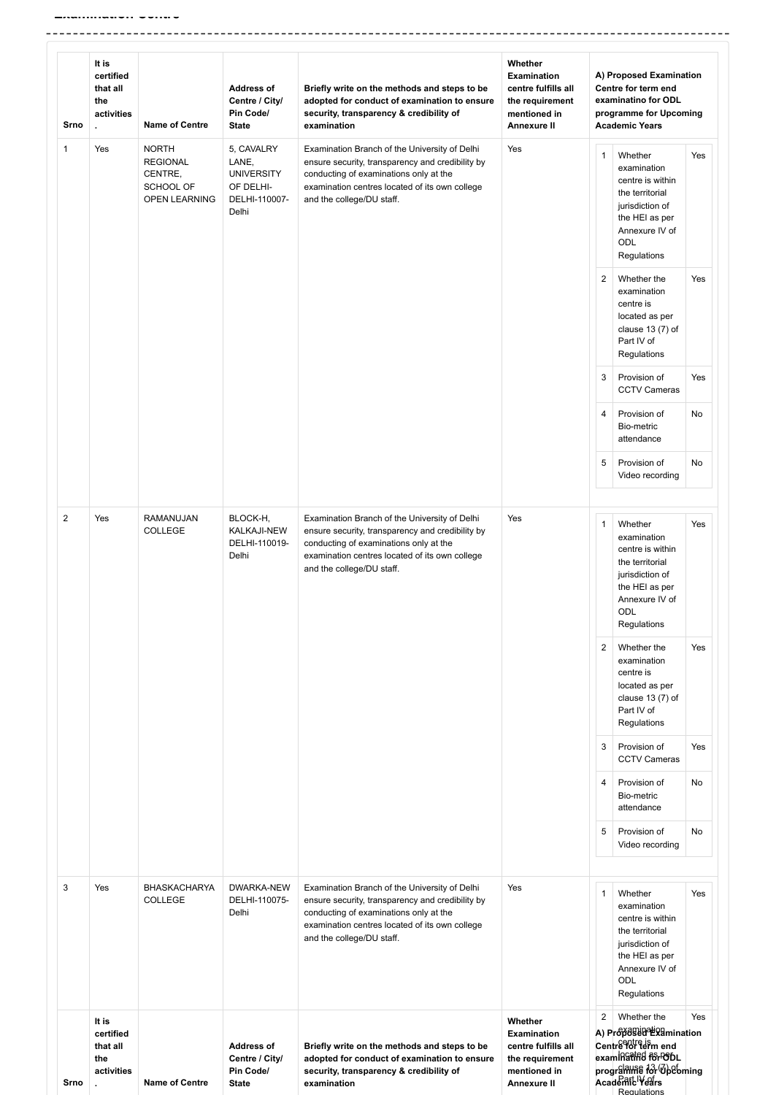-----------------------------------

| Srno           | It is<br>certified<br>that all<br>the<br>activities | <b>Name of Centre</b>                                                                  | <b>Address of</b><br>Centre / City/<br>Pin Code/<br><b>State</b>                | Briefly write on the methods and steps to be<br>adopted for conduct of examination to ensure<br>security, transparency & credibility of<br>examination                                                                     | Whether<br><b>Examination</b><br>centre fulfills all<br>the requirement<br>mentioned in<br>Annexure II |                | A) Proposed Examination<br>Centre for term end<br>examinatino for ODL<br>programme for Upcoming<br><b>Academic Years</b>                          |     |
|----------------|-----------------------------------------------------|----------------------------------------------------------------------------------------|---------------------------------------------------------------------------------|----------------------------------------------------------------------------------------------------------------------------------------------------------------------------------------------------------------------------|--------------------------------------------------------------------------------------------------------|----------------|---------------------------------------------------------------------------------------------------------------------------------------------------|-----|
| $\mathbf{1}$   | Yes                                                 | <b>NORTH</b><br><b>REGIONAL</b><br>CENTRE,<br><b>SCHOOL OF</b><br><b>OPEN LEARNING</b> | 5, CAVALRY<br>LANE,<br><b>UNIVERSITY</b><br>OF DELHI-<br>DELHI-110007-<br>Delhi | Examination Branch of the University of Delhi<br>ensure security, transparency and credibility by<br>conducting of examinations only at the<br>examination centres located of its own college<br>and the college/DU staff. | Yes                                                                                                    | 1              | Whether<br>examination<br>centre is within<br>the territorial<br>jurisdiction of<br>the HEI as per<br>Annexure IV of<br><b>ODL</b><br>Regulations | Yes |
|                |                                                     |                                                                                        |                                                                                 |                                                                                                                                                                                                                            |                                                                                                        | $\overline{2}$ | Whether the<br>examination<br>centre is<br>located as per<br>clause $13(7)$ of<br>Part IV of<br>Regulations                                       | Yes |
|                |                                                     |                                                                                        |                                                                                 |                                                                                                                                                                                                                            |                                                                                                        | 3              | Provision of<br><b>CCTV Cameras</b>                                                                                                               | Yes |
|                |                                                     |                                                                                        |                                                                                 |                                                                                                                                                                                                                            |                                                                                                        | 4              | Provision of<br>Bio-metric<br>attendance                                                                                                          | No  |
|                |                                                     |                                                                                        |                                                                                 |                                                                                                                                                                                                                            |                                                                                                        | 5              | Provision of<br>Video recording                                                                                                                   | No  |
| $\overline{2}$ | Yes                                                 | RAMANUJAN<br><b>COLLEGE</b>                                                            | BLOCK-H,<br>KALKAJI-NEW<br>DELHI-110019-<br>Delhi                               | Examination Branch of the University of Delhi<br>ensure security, transparency and credibility by<br>conducting of examinations only at the<br>examination centres located of its own college<br>and the college/DU staff. | Yes                                                                                                    | $\mathbf{1}$   | Whether<br>examination<br>centre is within<br>the territorial<br>jurisdiction of<br>the HEI as per<br>Annexure IV of<br>ODL<br>Regulations        | Yes |
|                |                                                     |                                                                                        |                                                                                 |                                                                                                                                                                                                                            |                                                                                                        | 2              | Whether the<br>examination<br>centre is<br>located as per<br>clause $13(7)$ of<br>Part IV of<br>Regulations                                       | Yes |
|                |                                                     |                                                                                        |                                                                                 |                                                                                                                                                                                                                            |                                                                                                        | 3              | Provision of<br><b>CCTV Cameras</b>                                                                                                               | Yes |
|                |                                                     |                                                                                        |                                                                                 |                                                                                                                                                                                                                            |                                                                                                        | $\overline{4}$ | Provision of<br>Bio-metric<br>attendance                                                                                                          | No  |
|                |                                                     |                                                                                        |                                                                                 |                                                                                                                                                                                                                            |                                                                                                        | 5              | Provision of<br>Video recording                                                                                                                   | No  |
| 3              | Yes                                                 | <b>BHASKACHARYA</b><br><b>COLLEGE</b>                                                  | DWARKA-NEW<br>DELHI-110075-<br>Delhi                                            | Examination Branch of the University of Delhi<br>ensure security, transparency and credibility by<br>conducting of examinations only at the<br>examination centres located of its own college<br>and the college/DU staff. | Yes                                                                                                    | $\mathbf{1}$   | Whether<br>examination<br>centre is within<br>the territorial<br>jurisdiction of<br>the HEI as per<br>Annexure IV of<br><b>ODL</b><br>Regulations | Yes |
| Srno           | It is<br>certified<br>that all<br>the<br>activities | <b>Name of Centre</b>                                                                  | <b>Address of</b><br>Centre / City/<br>Pin Code/<br><b>State</b>                | Briefly write on the methods and steps to be<br>adopted for conduct of examination to ensure<br>security, transparency & credibility of<br>examination                                                                     | Whether<br>Examination<br>centre fulfills all<br>the requirement<br>mentioned in<br>Annexure II        | $\overline{2}$ | Whether the<br>A) Projessignetion<br>Centre Porteism end<br>exam Ratified for PODL<br>programme for Opebming<br>Academit Years<br>Regulations     | Yes |

 $-$ 

-------

-------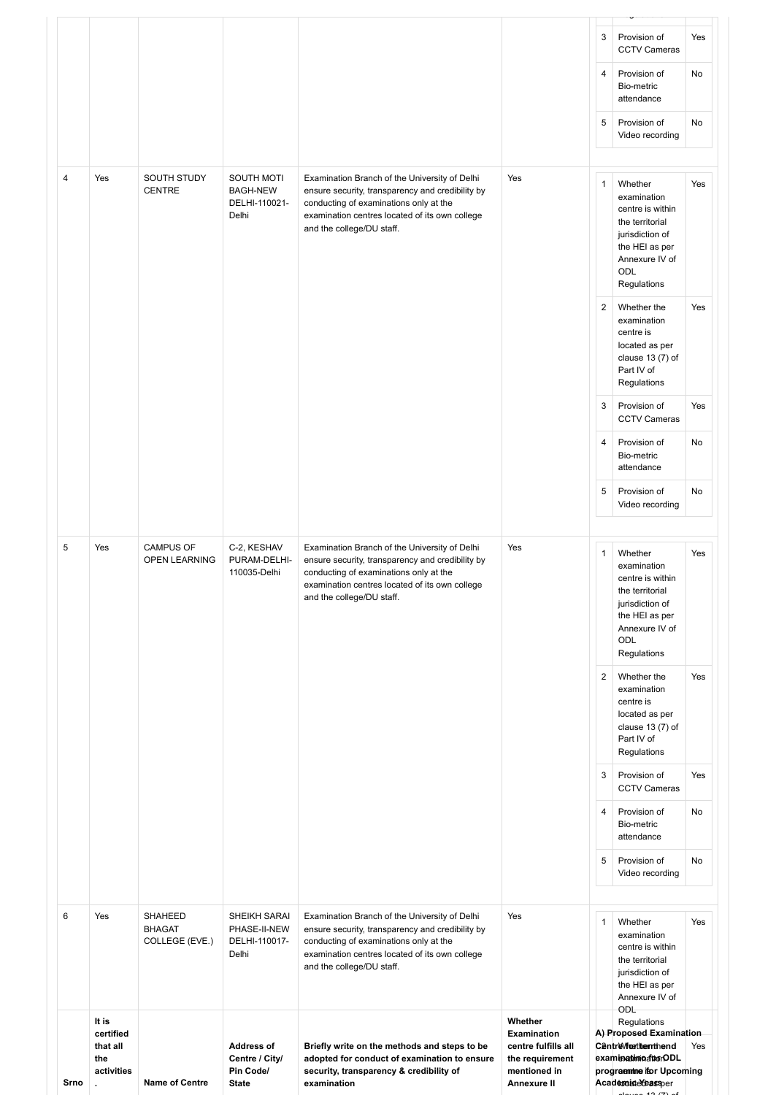|                |                                                     |                                            |                                                                  |                                                                                                                                                                                                                            |                                                                                                        | 3            | Provision of<br><b>CCTV Cameras</b>                                                                                                                 | Yes |
|----------------|-----------------------------------------------------|--------------------------------------------|------------------------------------------------------------------|----------------------------------------------------------------------------------------------------------------------------------------------------------------------------------------------------------------------------|--------------------------------------------------------------------------------------------------------|--------------|-----------------------------------------------------------------------------------------------------------------------------------------------------|-----|
|                |                                                     |                                            |                                                                  |                                                                                                                                                                                                                            |                                                                                                        | 4            | Provision of<br>Bio-metric<br>attendance                                                                                                            | No  |
|                |                                                     |                                            |                                                                  |                                                                                                                                                                                                                            |                                                                                                        | 5            | Provision of<br>Video recording                                                                                                                     | No  |
| $\overline{4}$ | Yes                                                 | SOUTH STUDY<br><b>CENTRE</b>               | SOUTH MOTI<br><b>BAGH-NEW</b><br>DELHI-110021-<br>Delhi          | Examination Branch of the University of Delhi<br>ensure security, transparency and credibility by<br>conducting of examinations only at the<br>examination centres located of its own college<br>and the college/DU staff. | Yes                                                                                                    | 1            | Whether<br>examination<br>centre is within<br>the territorial<br>jurisdiction of<br>the HEI as per<br>Annexure IV of<br>ODL<br>Regulations          | Yes |
|                |                                                     |                                            |                                                                  |                                                                                                                                                                                                                            |                                                                                                        | 2            | Whether the<br>examination<br>centre is<br>located as per<br>clause $13(7)$ of<br>Part IV of<br>Regulations                                         | Yes |
|                |                                                     |                                            |                                                                  |                                                                                                                                                                                                                            |                                                                                                        | 3            | Provision of<br><b>CCTV Cameras</b>                                                                                                                 | Yes |
|                |                                                     |                                            |                                                                  |                                                                                                                                                                                                                            |                                                                                                        | 4            | Provision of<br>Bio-metric<br>attendance                                                                                                            | No  |
|                |                                                     |                                            |                                                                  |                                                                                                                                                                                                                            |                                                                                                        | 5            | Provision of<br>Video recording                                                                                                                     | No  |
| 5              | Yes                                                 | <b>CAMPUS OF</b><br><b>OPEN LEARNING</b>   | C-2, KESHAV<br>PURAM-DELHI-<br>110035-Delhi                      | Examination Branch of the University of Delhi<br>ensure security, transparency and credibility by<br>conducting of examinations only at the<br>examination centres located of its own college<br>and the college/DU staff. | Yes                                                                                                    | $\mathbf{1}$ | Whether<br>examination<br>centre is within<br>the territorial<br>jurisdiction of<br>the HEI as per<br>Annexure IV of<br>ODL<br>Regulations          | Yes |
|                |                                                     |                                            |                                                                  |                                                                                                                                                                                                                            |                                                                                                        | 2            | Whether the<br>examination<br>centre is<br>located as per<br>clause $13(7)$ of<br>Part IV of<br>Regulations                                         | Yes |
|                |                                                     |                                            |                                                                  |                                                                                                                                                                                                                            |                                                                                                        | 3            | Provision of<br><b>CCTV Cameras</b>                                                                                                                 | Yes |
|                |                                                     |                                            |                                                                  |                                                                                                                                                                                                                            |                                                                                                        | 4            | Provision of<br>Bio-metric<br>attendance                                                                                                            | No  |
|                |                                                     |                                            |                                                                  |                                                                                                                                                                                                                            |                                                                                                        | 5            | Provision of<br>Video recording                                                                                                                     | No  |
| 6              | Yes                                                 | SHAHEED<br><b>BHAGAT</b><br>COLLEGE (EVE.) | SHEIKH SARAI<br>PHASE-II-NEW<br>DELHI-110017-<br>Delhi           | Examination Branch of the University of Delhi<br>ensure security, transparency and credibility by<br>conducting of examinations only at the<br>examination centres located of its own college<br>and the college/DU staff. | Yes                                                                                                    | 1            | Whether<br>examination<br>centre is within<br>the territorial<br>jurisdiction of<br>the HEI as per<br>Annexure IV of                                | Yes |
| Srno           | It is<br>certified<br>that all<br>the<br>activities | <b>Name of Centre</b>                      | <b>Address of</b><br>Centre / City/<br>Pin Code/<br><b>State</b> | Briefly write on the methods and steps to be<br>adopted for conduct of examination to ensure<br>security, transparency & credibility of<br>examination                                                                     | Whether<br><b>Examination</b><br>centre fulfills all<br>the requirement<br>mentioned in<br>Annexure II |              | ODL<br>Regulations<br>A) Proposed Examination<br><b>C</b> @ntreVfortibenthend<br>examinatimodurODL<br>programme for Upcoming<br>Academointe bassper | Yes |

Regulations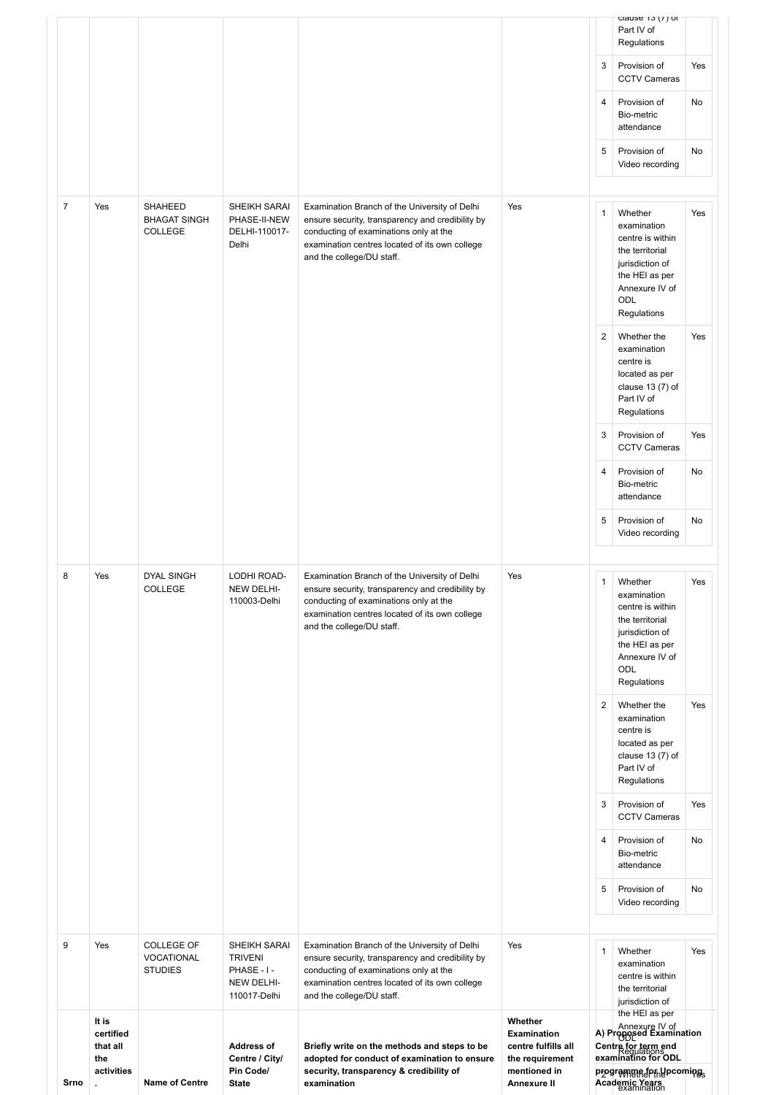| Srno           | It is<br>certified<br>that all<br>the<br>activities<br>÷. | <b>Name of Centre</b>                             | <b>Address of</b><br>Centre / City/<br>Pin Code/<br><b>State</b>            | Briefly write on the methods and steps to be<br>adopted for conduct of examination to ensure<br>security, transparency & credibility of<br>examination                                                                     | Whether<br><b>Examination</b><br>centre fulfills all<br>the requirement<br>mentioned in<br>Annexure II |                     | Annexure IV of<br>A) Proppsed Examination<br>Centre for term end<br>examinatino for ODL<br>programmaforhepcomings<br>Academic Years        |           |
|----------------|-----------------------------------------------------------|---------------------------------------------------|-----------------------------------------------------------------------------|----------------------------------------------------------------------------------------------------------------------------------------------------------------------------------------------------------------------------|--------------------------------------------------------------------------------------------------------|---------------------|--------------------------------------------------------------------------------------------------------------------------------------------|-----------|
| 9              | Yes                                                       | <b>COLLEGE OF</b><br>VOCATIONAL<br><b>STUDIES</b> | SHEIKH SARAI<br><b>TRIVENI</b><br>PHASE - I -<br>NEW DELHI-<br>110017-Delhi | Examination Branch of the University of Delhi<br>ensure security, transparency and credibility by<br>conducting of examinations only at the<br>examination centres located of its own college<br>and the college/DU staff. | Yes                                                                                                    | 1                   | Whether<br>examination<br>centre is within<br>the territorial<br>jurisdiction of<br>the HEI as per                                         | Yes       |
|                |                                                           |                                                   |                                                                             |                                                                                                                                                                                                                            |                                                                                                        | 5                   | Provision of<br>Video recording                                                                                                            | No        |
|                |                                                           |                                                   |                                                                             |                                                                                                                                                                                                                            |                                                                                                        | 4                   | Provision of<br>Bio-metric<br>attendance                                                                                                   | No        |
|                |                                                           |                                                   |                                                                             |                                                                                                                                                                                                                            |                                                                                                        | 3                   | Provision of<br><b>CCTV Cameras</b>                                                                                                        | Yes       |
|                |                                                           |                                                   |                                                                             |                                                                                                                                                                                                                            |                                                                                                        | 2                   | Whether the<br>examination<br>centre is<br>located as per<br>clause $13(7)$ of<br>Part IV of<br>Regulations                                | Yes       |
|                |                                                           | <b>COLLEGE</b>                                    | NEW DELHI-<br>110003-Delhi                                                  | ensure security, transparency and credibility by<br>conducting of examinations only at the<br>examination centres located of its own college<br>and the college/DU staff.                                                  |                                                                                                        | $\mathbf{1}$        | Whether<br>examination<br>centre is within<br>the territorial<br>jurisdiction of<br>the HEI as per<br>Annexure IV of<br>ODL<br>Regulations | Yes       |
| 8              | Yes                                                       | <b>DYAL SINGH</b>                                 | LODHI ROAD-                                                                 | Examination Branch of the University of Delhi                                                                                                                                                                              | Yes                                                                                                    |                     | Video recording                                                                                                                            |           |
|                |                                                           |                                                   |                                                                             |                                                                                                                                                                                                                            |                                                                                                        | 5                   | Bio-metric<br>attendance<br>Provision of                                                                                                   | No        |
|                |                                                           |                                                   |                                                                             |                                                                                                                                                                                                                            |                                                                                                        | 3<br>$\overline{4}$ | Provision of<br><b>CCTV Cameras</b><br>Provision of                                                                                        | Yes<br>No |
|                |                                                           |                                                   |                                                                             |                                                                                                                                                                                                                            |                                                                                                        | $\overline{2}$      | Whether the<br>examination<br>centre is<br>located as per<br>clause $13(7)$ of<br>Part IV of<br>Regulations                                | Yes       |
| $\overline{7}$ | Yes                                                       | SHAHEED<br><b>BHAGAT SINGH</b><br><b>COLLEGE</b>  | SHEIKH SARAI<br>PHASE-II-NEW<br>DELHI-110017-<br>Delhi                      | Examination Branch of the University of Delhi<br>ensure security, transparency and credibility by<br>conducting of examinations only at the<br>examination centres located of its own college<br>and the college/DU staff. | Yes                                                                                                    | $\mathbf{1}$        | Whether<br>examination<br>centre is within<br>the territorial<br>jurisdiction of<br>the HEI as per<br>Annexure IV of<br>ODL<br>Regulations | Yes       |
|                |                                                           |                                                   |                                                                             |                                                                                                                                                                                                                            |                                                                                                        | 5                   | Provision of<br>Video recording                                                                                                            | No        |
|                |                                                           |                                                   |                                                                             |                                                                                                                                                                                                                            |                                                                                                        | 4                   | Provision of<br>Bio-metric<br>attendance                                                                                                   | No        |
|                |                                                           |                                                   |                                                                             |                                                                                                                                                                                                                            |                                                                                                        | 3                   | Provision of<br><b>CCTV Cameras</b>                                                                                                        | Yes       |
|                |                                                           |                                                   |                                                                             |                                                                                                                                                                                                                            |                                                                                                        |                     | clause $13(1)$ or<br>Part IV of<br>Regulations                                                                                             |           |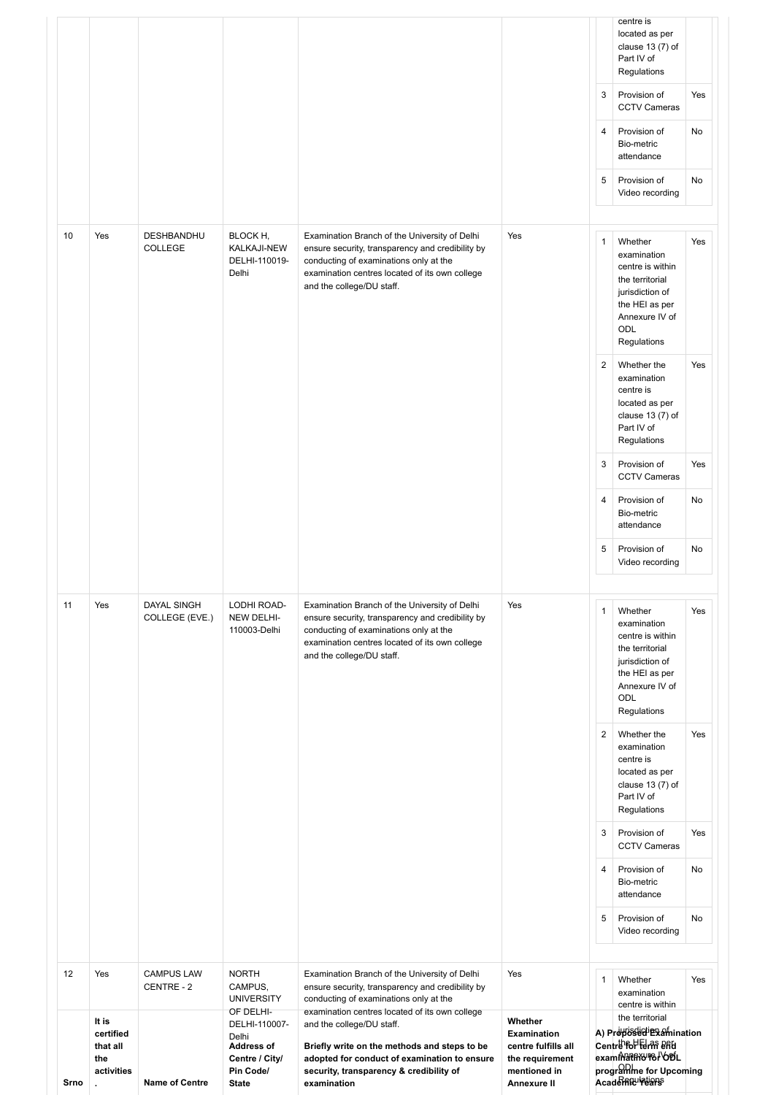| Srno | It is<br>certified<br>that all<br>the<br>activities<br>ä. | <b>Name of Centre</b>           | DELHI-110007-<br>Delhi<br><b>Address of</b><br>Centre / City/<br>Pin Code/<br><b>State</b> | and the college/DU staff.<br>Briefly write on the methods and steps to be<br>adopted for conduct of examination to ensure<br>security, transparency & credibility of<br>examination                                        | Whether<br><b>Examination</b><br>centre fulfills all<br>the requirement<br>mentioned in<br>Annexure II |                | the territorial<br>A) Propossection<br>Centre for Edmi 8AG<br>exammathy rel of<br>programme for Upcoming<br><b>AcademEulrears</b> |     |
|------|-----------------------------------------------------------|---------------------------------|--------------------------------------------------------------------------------------------|----------------------------------------------------------------------------------------------------------------------------------------------------------------------------------------------------------------------------|--------------------------------------------------------------------------------------------------------|----------------|-----------------------------------------------------------------------------------------------------------------------------------|-----|
| 12   | Yes                                                       | <b>CAMPUS LAW</b><br>CENTRE - 2 | <b>NORTH</b><br>CAMPUS,<br><b>UNIVERSITY</b><br>OF DELHI-                                  | Examination Branch of the University of Delhi<br>ensure security, transparency and credibility by<br>conducting of examinations only at the<br>examination centres located of its own college                              | Yes                                                                                                    | $\mathbf{1}$   | Whether<br>examination<br>centre is within                                                                                        | Yes |
|      |                                                           |                                 |                                                                                            |                                                                                                                                                                                                                            |                                                                                                        | 5              | Provision of<br>Video recording                                                                                                   | No  |
|      |                                                           |                                 |                                                                                            |                                                                                                                                                                                                                            |                                                                                                        | $\overline{4}$ | Provision of<br>Bio-metric<br>attendance                                                                                          | No  |
|      |                                                           |                                 |                                                                                            |                                                                                                                                                                                                                            |                                                                                                        | 3              | Regulations<br>Provision of<br><b>CCTV Cameras</b>                                                                                | Yes |
|      |                                                           |                                 |                                                                                            |                                                                                                                                                                                                                            |                                                                                                        | $\overline{c}$ | Whether the<br>examination<br>centre is<br>located as per<br>clause $13(7)$ of<br>Part IV of                                      | Yes |
|      |                                                           |                                 |                                                                                            |                                                                                                                                                                                                                            |                                                                                                        |                | the HEI as per<br>Annexure IV of<br>ODL<br>Regulations                                                                            |     |
| 11   | Yes                                                       | DAYAL SINGH<br>COLLEGE (EVE.)   | LODHI ROAD-<br>NEW DELHI-<br>110003-Delhi                                                  | Examination Branch of the University of Delhi<br>ensure security, transparency and credibility by<br>conducting of examinations only at the<br>examination centres located of its own college<br>and the college/DU staff. | Yes                                                                                                    | 1              | Whether<br>examination<br>centre is within<br>the territorial<br>jurisdiction of                                                  | Yes |
|      |                                                           |                                 |                                                                                            |                                                                                                                                                                                                                            |                                                                                                        | 5              | Provision of<br>Video recording                                                                                                   | No  |
|      |                                                           |                                 |                                                                                            |                                                                                                                                                                                                                            |                                                                                                        | 4              | Provision of<br>Bio-metric<br>attendance                                                                                          | No  |
|      |                                                           |                                 |                                                                                            |                                                                                                                                                                                                                            |                                                                                                        | 3              | Provision of<br><b>CCTV Cameras</b>                                                                                               | Yes |
|      |                                                           |                                 |                                                                                            |                                                                                                                                                                                                                            |                                                                                                        | 2              | Whether the<br>examination<br>centre is<br>located as per<br>clause $13(7)$ of<br>Part IV of<br>Regulations                       | Yes |
|      |                                                           |                                 |                                                                                            | and the college/DU staff.                                                                                                                                                                                                  |                                                                                                        |                | the territorial<br>jurisdiction of<br>the HEI as per<br>Annexure IV of<br>ODL<br>Regulations                                      |     |
| 10   | Yes                                                       | DESHBANDHU<br><b>COLLEGE</b>    | BLOCK H,<br>KALKAJI-NEW<br>DELHI-110019-<br>Delhi                                          | Examination Branch of the University of Delhi<br>ensure security, transparency and credibility by<br>conducting of examinations only at the<br>examination centres located of its own college                              | Yes                                                                                                    | 1              | Whether<br>examination<br>centre is within                                                                                        | Yes |
|      |                                                           |                                 |                                                                                            |                                                                                                                                                                                                                            |                                                                                                        | 5              | Provision of<br>Video recording                                                                                                   | No  |
|      |                                                           |                                 |                                                                                            |                                                                                                                                                                                                                            |                                                                                                        | $\overline{4}$ | Provision of<br>Bio-metric<br>attendance                                                                                          | No  |
|      |                                                           |                                 |                                                                                            |                                                                                                                                                                                                                            |                                                                                                        | 3              | Provision of<br><b>CCTV Cameras</b>                                                                                               | Yes |
|      |                                                           |                                 |                                                                                            |                                                                                                                                                                                                                            |                                                                                                        |                | centre is<br>located as per<br>clause $13(7)$ of<br>Part IV of<br>Regulations                                                     |     |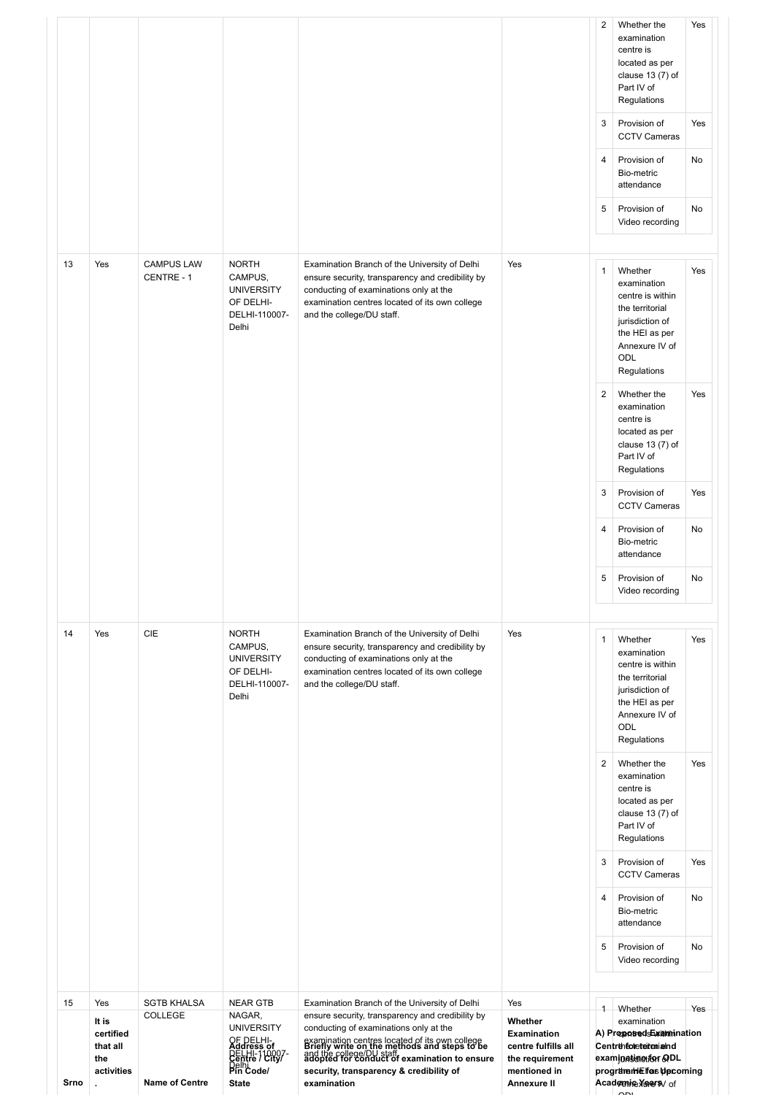|            |                                                                            |                                                               |                                                                                                                                          |                                                                                                                                                                                                                                                                                                                                      |                                                                                                               | $\overline{c}$<br>3<br>$\overline{4}$<br>5 | Whether the<br>examination<br>centre is<br>located as per<br>clause $13(7)$ of<br>Part IV of<br>Regulations<br>Provision of<br><b>CCTV Cameras</b><br>Provision of<br>Bio-metric<br>attendance<br>Provision of<br>Video recording                                                                | Yes<br>Yes<br>No<br>No |
|------------|----------------------------------------------------------------------------|---------------------------------------------------------------|------------------------------------------------------------------------------------------------------------------------------------------|--------------------------------------------------------------------------------------------------------------------------------------------------------------------------------------------------------------------------------------------------------------------------------------------------------------------------------------|---------------------------------------------------------------------------------------------------------------|--------------------------------------------|--------------------------------------------------------------------------------------------------------------------------------------------------------------------------------------------------------------------------------------------------------------------------------------------------|------------------------|
| 13         | Yes                                                                        | <b>CAMPUS LAW</b><br>CENTRE - 1                               | <b>NORTH</b><br>CAMPUS,<br><b>UNIVERSITY</b><br>OF DELHI-<br>DELHI-110007-<br>Delhi                                                      | Examination Branch of the University of Delhi<br>ensure security, transparency and credibility by<br>conducting of examinations only at the<br>examination centres located of its own college<br>and the college/DU staff.                                                                                                           | Yes                                                                                                           | $\mathbf{1}$<br>2<br>3                     | Whether<br>examination<br>centre is within<br>the territorial<br>jurisdiction of<br>the HEI as per<br>Annexure IV of<br>ODL<br>Regulations<br>Whether the<br>examination<br>centre is<br>located as per<br>clause $13(7)$ of<br>Part IV of<br>Regulations<br>Provision of                        | Yes<br>Yes<br>Yes      |
|            |                                                                            |                                                               |                                                                                                                                          |                                                                                                                                                                                                                                                                                                                                      |                                                                                                               | $\overline{4}$<br>5                        | <b>CCTV Cameras</b><br>Provision of<br>Bio-metric<br>attendance<br>Provision of<br>Video recording                                                                                                                                                                                               | No<br>No               |
| 14         | Yes                                                                        | <b>CIE</b>                                                    | <b>NORTH</b><br>CAMPUS,<br><b>UNIVERSITY</b><br>OF DELHI-<br>DELHI-110007-<br>Delhi                                                      | Examination Branch of the University of Delhi<br>ensure security, transparency and credibility by<br>conducting of examinations only at the<br>examination centres located of its own college<br>and the college/DU staff.                                                                                                           | Yes                                                                                                           | 1<br>$\overline{2}$<br>3                   | Whether<br>examination<br>centre is within<br>the territorial<br>jurisdiction of<br>the HEI as per<br>Annexure IV of<br>ODL<br>Regulations<br>Whether the<br>examination<br>centre is<br>located as per<br>clause $13(7)$ of<br>Part IV of<br>Regulations<br>Provision of<br><b>CCTV Cameras</b> | Yes<br>Yes<br>Yes      |
|            |                                                                            |                                                               |                                                                                                                                          |                                                                                                                                                                                                                                                                                                                                      |                                                                                                               | $\overline{4}$<br>5                        | Provision of<br>Bio-metric<br>attendance<br>Provision of<br>Video recording                                                                                                                                                                                                                      | No<br>No               |
| 15<br>Srno | Yes<br>It is<br>certified<br>that all<br>the<br>activities<br>$\mathbf{r}$ | <b>SGTB KHALSA</b><br><b>COLLEGE</b><br><b>Name of Centre</b> | <b>NEAR GTB</b><br>NAGAR,<br><b>UNIVERSITY</b><br>OF DELHI-<br>Address of<br>DELHI-10007-<br>Centre / City/<br>Pin Code/<br><b>State</b> | Examination Branch of the University of Delhi<br>ensure security, transparency and credibility by<br>conducting of examinations only at the<br>examination centres located of its own college<br>Briefly write on the methods and steps to be<br>and the college/DU staff.<br>security, transparency & credibility of<br>examination | Yes<br>Whether<br><b>Examination</b><br>centre fulfills all<br>the requirement<br>mentioned in<br>Annexure II | $\overline{1}$                             | Whether<br>examination<br>A) Proposed Examination<br>Centrenforeteronialnd<br>examination offer GDL<br>programme for Upcoming<br>Academine Years/ of                                                                                                                                             | Yes                    |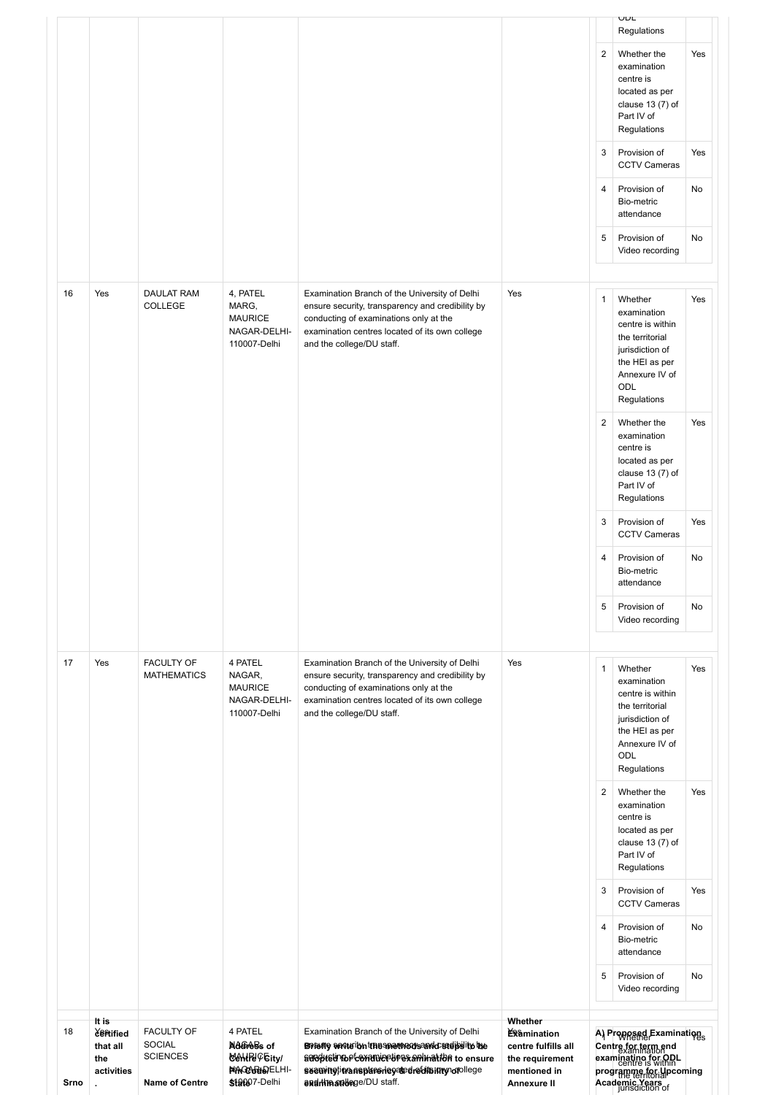| 18<br>Srno | <b>Certified</b><br>that all<br>the<br>activities | <b>FACULTY OF</b><br><b>SOCIAL</b><br><b>SCIENCES</b><br><b>Name of Centre</b> | 4 PATEL<br>Address of<br><b>CONTRO Eity/</b><br><b>NAGO BBDELHI-</b><br>\$19097-Delhi | Examination Branch of the University of Delhi<br>Briang annually the anomages and conditions<br>adoptetinopte multiples amination to ensure<br>seamingtimansplanerleyededrecitainny or ollege<br>endrimantege/DU staff.    | <b>Examination</b><br>centre fulfills all<br>the requirement<br>mentioned in<br><b>Annexure II</b> |                | A) Proposed Examinations<br>Centre for term end<br>examinatino for ORL<br>programme for Upcoming<br>Academic Years                                |     |
|------------|---------------------------------------------------|--------------------------------------------------------------------------------|---------------------------------------------------------------------------------------|----------------------------------------------------------------------------------------------------------------------------------------------------------------------------------------------------------------------------|----------------------------------------------------------------------------------------------------|----------------|---------------------------------------------------------------------------------------------------------------------------------------------------|-----|
|            | It is                                             |                                                                                |                                                                                       |                                                                                                                                                                                                                            | Whether                                                                                            | 5              | Provision of<br>Video recording                                                                                                                   | No  |
|            |                                                   |                                                                                |                                                                                       |                                                                                                                                                                                                                            |                                                                                                    | $\overline{4}$ | Provision of<br>Bio-metric<br>attendance                                                                                                          | No  |
|            |                                                   |                                                                                |                                                                                       |                                                                                                                                                                                                                            |                                                                                                    | 3              | Provision of<br><b>CCTV Cameras</b>                                                                                                               | Yes |
|            |                                                   |                                                                                |                                                                                       |                                                                                                                                                                                                                            |                                                                                                    | $\overline{2}$ | Whether the<br>examination<br>centre is<br>located as per<br>clause $13(7)$ of<br>Part IV of<br>Regulations                                       | Yes |
| 17         | Yes                                               | <b>FACULTY OF</b><br><b>MATHEMATICS</b>                                        | 4 PATEL<br>NAGAR,<br><b>MAURICE</b><br>NAGAR-DELHI-<br>110007-Delhi                   | Examination Branch of the University of Delhi<br>ensure security, transparency and credibility by<br>conducting of examinations only at the<br>examination centres located of its own college<br>and the college/DU staff. | Yes                                                                                                | $\mathbf{1}$   | Whether<br>examination<br>centre is within<br>the territorial<br>jurisdiction of<br>the HEI as per<br>Annexure IV of<br><b>ODL</b><br>Regulations | Yes |
|            |                                                   |                                                                                |                                                                                       |                                                                                                                                                                                                                            |                                                                                                    | 5              | Provision of<br>Video recording                                                                                                                   | No  |
|            |                                                   |                                                                                |                                                                                       |                                                                                                                                                                                                                            |                                                                                                    | $\overline{4}$ | Provision of<br>Bio-metric<br>attendance                                                                                                          | No  |
|            |                                                   |                                                                                |                                                                                       |                                                                                                                                                                                                                            |                                                                                                    | 3              | Provision of<br><b>CCTV Cameras</b>                                                                                                               | Yes |
|            |                                                   |                                                                                |                                                                                       |                                                                                                                                                                                                                            |                                                                                                    | $\overline{2}$ | Whether the<br>examination<br>centre is<br>located as per<br>clause $13(7)$ of<br>Part IV of<br>Regulations                                       | Yes |
| 16         | Yes                                               | DAULAT RAM<br>COLLEGE                                                          | 4, PATEL<br>MARG,<br><b>MAURICE</b><br>NAGAR-DELHI-<br>110007-Delhi                   | Examination Branch of the University of Delhi<br>ensure security, transparency and credibility by<br>conducting of examinations only at the<br>examination centres located of its own college<br>and the college/DU staff. | Yes                                                                                                | $\mathbf{1}$   | Whether<br>examination<br>centre is within<br>the territorial<br>jurisdiction of<br>the HEI as per<br>Annexure IV of<br>ODL<br>Regulations        | Yes |
|            |                                                   |                                                                                |                                                                                       |                                                                                                                                                                                                                            |                                                                                                    | 5              | Provision of<br>Video recording                                                                                                                   | No  |
|            |                                                   |                                                                                |                                                                                       |                                                                                                                                                                                                                            |                                                                                                    | $\overline{4}$ | Provision of<br>Bio-metric<br>attendance                                                                                                          | No  |
|            |                                                   |                                                                                |                                                                                       |                                                                                                                                                                                                                            |                                                                                                    | 3              | Provision of<br><b>CCTV Cameras</b>                                                                                                               | Yes |
|            |                                                   |                                                                                |                                                                                       |                                                                                                                                                                                                                            |                                                                                                    | $\overline{2}$ | Whether the<br>examination<br>centre is<br>located as per<br>clause $13(7)$ of<br>Part IV of<br>Regulations                                       | Yes |
|            |                                                   |                                                                                |                                                                                       |                                                                                                                                                                                                                            |                                                                                                    |                | UUL<br>Regulations                                                                                                                                |     |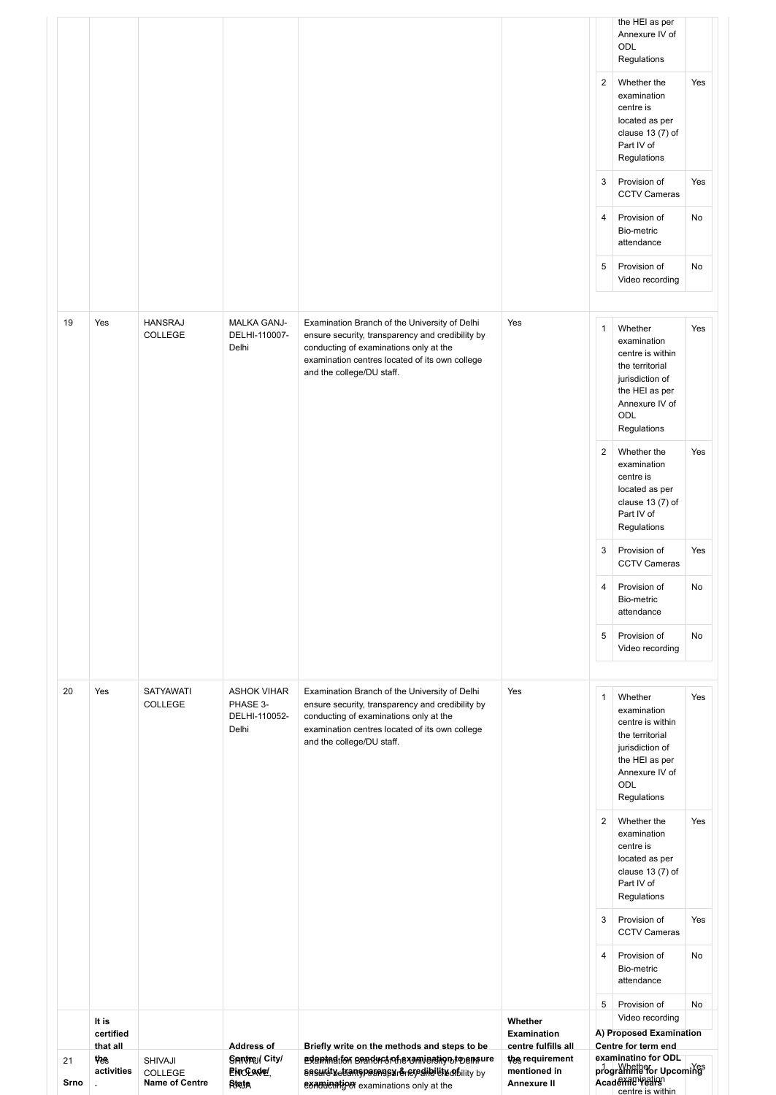| 21<br>Srno | thes<br>activities             | <b>SHIVAJI</b><br>COLLEGE<br><b>Name of Centre</b> | Sentre / City/<br>ENCEADE!<br>Rigia                      | adented to seaductof examination to ensure<br>ansuratyetramsparangsurency ship lift ability by<br>examination examinations only at the                                                                                     | the requirement<br>mentioned in<br><b>Annexure II</b> |                | examinatino for ODL<br>programme for Upcomings<br>Academetrication<br>centre is within                                                     |          |
|------------|--------------------------------|----------------------------------------------------|----------------------------------------------------------|----------------------------------------------------------------------------------------------------------------------------------------------------------------------------------------------------------------------------|-------------------------------------------------------|----------------|--------------------------------------------------------------------------------------------------------------------------------------------|----------|
|            | It is<br>certified<br>that all |                                                    | <b>Address of</b>                                        | Briefly write on the methods and steps to be                                                                                                                                                                               | Whether<br>Examination<br>centre fulfills all         |                | Video recording<br>A) Proposed Examination<br>Centre for term end                                                                          |          |
|            |                                |                                                    |                                                          |                                                                                                                                                                                                                            |                                                       | 4<br>5         | Provision of<br>Bio-metric<br>attendance<br>Provision of                                                                                   | No<br>No |
|            |                                |                                                    |                                                          |                                                                                                                                                                                                                            |                                                       | 3              | Provision of<br><b>CCTV Cameras</b>                                                                                                        | Yes      |
|            |                                |                                                    |                                                          |                                                                                                                                                                                                                            |                                                       | 2              | Whether the<br>examination<br>centre is<br>located as per<br>clause 13 (7) of<br>Part IV of<br>Regulations                                 | Yes      |
| 20         | Yes                            | <b>SATYAWATI</b><br>COLLEGE                        | <b>ASHOK VIHAR</b><br>PHASE 3-<br>DELHI-110052-<br>Delhi | Examination Branch of the University of Delhi<br>ensure security, transparency and credibility by<br>conducting of examinations only at the<br>examination centres located of its own college<br>and the college/DU staff. | Yes                                                   | $\mathbf{1}$   | Whether<br>examination<br>centre is within<br>the territorial<br>jurisdiction of<br>the HEI as per<br>Annexure IV of<br>ODL<br>Regulations | Yes      |
|            |                                |                                                    |                                                          |                                                                                                                                                                                                                            |                                                       | 5              | Provision of<br>Video recording                                                                                                            | No       |
|            |                                |                                                    |                                                          |                                                                                                                                                                                                                            |                                                       | 4              | Provision of<br>Bio-metric<br>attendance                                                                                                   | No       |
|            |                                |                                                    |                                                          |                                                                                                                                                                                                                            |                                                       | 3              | Provision of<br><b>CCTV Cameras</b>                                                                                                        | Yes      |
|            |                                |                                                    |                                                          |                                                                                                                                                                                                                            |                                                       | 2              | Whether the<br>examination<br>centre is<br>located as per<br>clause $13(7)$ of<br>Part IV of<br>Regulations                                | Yes      |
|            |                                |                                                    |                                                          | examination centres located of its own college<br>and the college/DU staff.                                                                                                                                                |                                                       |                | centre is within<br>the territorial<br>jurisdiction of<br>the HEI as per<br>Annexure IV of<br>ODL<br>Regulations                           |          |
| 19         | Yes                            | <b>HANSRAJ</b><br>COLLEGE                          | <b>MALKA GANJ-</b><br>DELHI-110007-<br>Delhi             | Examination Branch of the University of Delhi<br>ensure security, transparency and credibility by<br>conducting of examinations only at the                                                                                | Yes                                                   | $\mathbf{1}$   | Whether<br>examination                                                                                                                     | Yes      |
|            |                                |                                                    |                                                          |                                                                                                                                                                                                                            |                                                       | 5              | attendance<br>Provision of<br>Video recording                                                                                              | No       |
|            |                                |                                                    |                                                          |                                                                                                                                                                                                                            |                                                       | 4              | <b>CCTV Cameras</b><br>Provision of<br>Bio-metric                                                                                          | No       |
|            |                                |                                                    |                                                          |                                                                                                                                                                                                                            |                                                       | 3              | Regulations<br>Provision of                                                                                                                | Yes      |
|            |                                |                                                    |                                                          |                                                                                                                                                                                                                            |                                                       | $\overline{2}$ | Whether the<br>examination<br>centre is<br>located as per<br>clause $13(7)$ of<br>Part IV of                                               | Yes      |
|            |                                |                                                    |                                                          |                                                                                                                                                                                                                            |                                                       |                | the HEI as per<br>Annexure IV of<br>ODL<br>Regulations                                                                                     |          |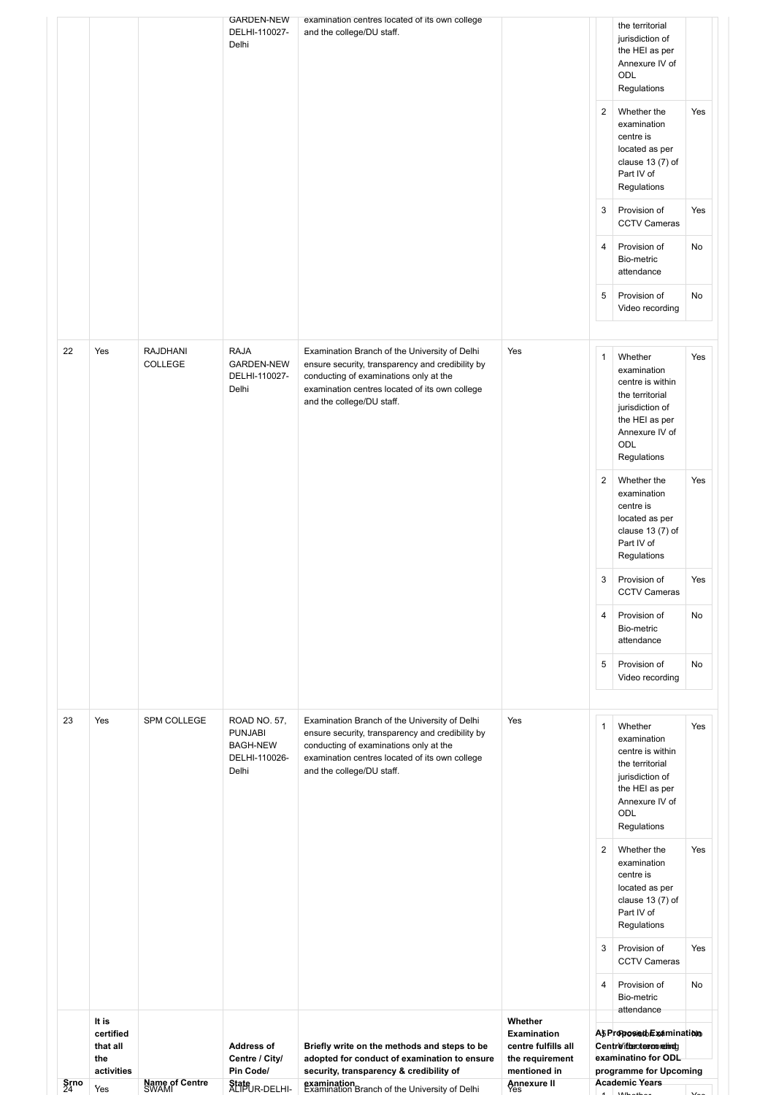| $\frac{\textsf{Srno}}{24}$ | that all<br>the<br>activities<br>Yes | Name of Centre<br>SWAMI    | <b>Address of</b><br>Centre / City/<br>Pin Code/<br>State <sub>UR-DELHI-</sub> | Briefly write on the methods and steps to be<br>adopted for conduct of examination to ensure<br>security, transparency & credibility of<br>examination<br>Examination Branch of the University of Delhi                    | centre fulfills all<br>the requirement<br>mentioned in<br>Annexure II |                     | Centre/iteroterronethdo<br>examinatino for ODL<br>programme for Upcoming<br><b>Academic Years</b>                                          |     |
|----------------------------|--------------------------------------|----------------------------|--------------------------------------------------------------------------------|----------------------------------------------------------------------------------------------------------------------------------------------------------------------------------------------------------------------------|-----------------------------------------------------------------------|---------------------|--------------------------------------------------------------------------------------------------------------------------------------------|-----|
|                            | It is<br>certified                   |                            |                                                                                |                                                                                                                                                                                                                            | Whether<br><b>Examination</b>                                         |                     | Provision of<br>Bio-metric<br>attendance<br>A5 ProposisobExamination                                                                       | No  |
|                            |                                      |                            |                                                                                |                                                                                                                                                                                                                            |                                                                       | 3<br>$\overline{4}$ | Provision of<br><b>CCTV Cameras</b>                                                                                                        | Yes |
|                            |                                      |                            |                                                                                |                                                                                                                                                                                                                            |                                                                       | $\overline{2}$      | Whether the<br>examination<br>centre is<br>located as per<br>clause $13(7)$ of<br>Part IV of<br>Regulations                                | Yes |
| 23                         | Yes                                  | SPM COLLEGE                | ROAD NO. 57,<br><b>PUNJABI</b><br><b>BAGH-NEW</b><br>DELHI-110026-<br>Delhi    | Examination Branch of the University of Delhi<br>ensure security, transparency and credibility by<br>conducting of examinations only at the<br>examination centres located of its own college<br>and the college/DU staff. | Yes                                                                   | 1                   | Whether<br>examination<br>centre is within<br>the territorial<br>jurisdiction of<br>the HEI as per<br>Annexure IV of<br>ODL<br>Regulations | Yes |
|                            |                                      |                            |                                                                                |                                                                                                                                                                                                                            |                                                                       | 5                   | Provision of<br>Video recording                                                                                                            | No  |
|                            |                                      |                            |                                                                                |                                                                                                                                                                                                                            |                                                                       | 4                   | Provision of<br>Bio-metric<br>attendance                                                                                                   | No  |
|                            |                                      |                            |                                                                                |                                                                                                                                                                                                                            |                                                                       | 3                   | Provision of<br><b>CCTV Cameras</b>                                                                                                        | Yes |
|                            |                                      |                            |                                                                                |                                                                                                                                                                                                                            |                                                                       | $\sqrt{2}$          | Whether the<br>examination<br>centre is<br>located as per<br>clause $13(7)$ of<br>Part IV of<br>Regulations                                | Yes |
| 22                         | Yes                                  | <b>RAJDHANI</b><br>COLLEGE | <b>RAJA</b><br><b>GARDEN-NEW</b><br>DELHI-110027-<br>Delhi                     | Examination Branch of the University of Delhi<br>ensure security, transparency and credibility by<br>conducting of examinations only at the<br>examination centres located of its own college<br>and the college/DU staff. | Yes                                                                   | 1                   | Whether<br>examination<br>centre is within<br>the territorial<br>jurisdiction of<br>the HEI as per<br>Annexure IV of<br>ODL<br>Regulations | Yes |
|                            |                                      |                            |                                                                                |                                                                                                                                                                                                                            |                                                                       | 5                   | Provision of<br>Video recording                                                                                                            | No  |
|                            |                                      |                            |                                                                                |                                                                                                                                                                                                                            |                                                                       | 4                   | Provision of<br>Bio-metric<br>attendance                                                                                                   | No  |
|                            |                                      |                            |                                                                                |                                                                                                                                                                                                                            |                                                                       | 3                   | clause $13(7)$ of<br>Part IV of<br>Regulations<br>Provision of<br><b>CCTV Cameras</b>                                                      | Yes |
|                            |                                      |                            |                                                                                |                                                                                                                                                                                                                            |                                                                       | $\overline{2}$      | Whether the<br>examination<br>centre is<br>located as per                                                                                  | Yes |
|                            |                                      |                            | <b>GARDEN-NEW</b><br>DELHI-110027-<br>Delhi                                    | examination centres located of its own college<br>and the college/DU staff.                                                                                                                                                |                                                                       |                     | the territorial<br>jurisdiction of<br>the HEI as per<br>Annexure IV of<br>ODL<br>Regulations                                               |     |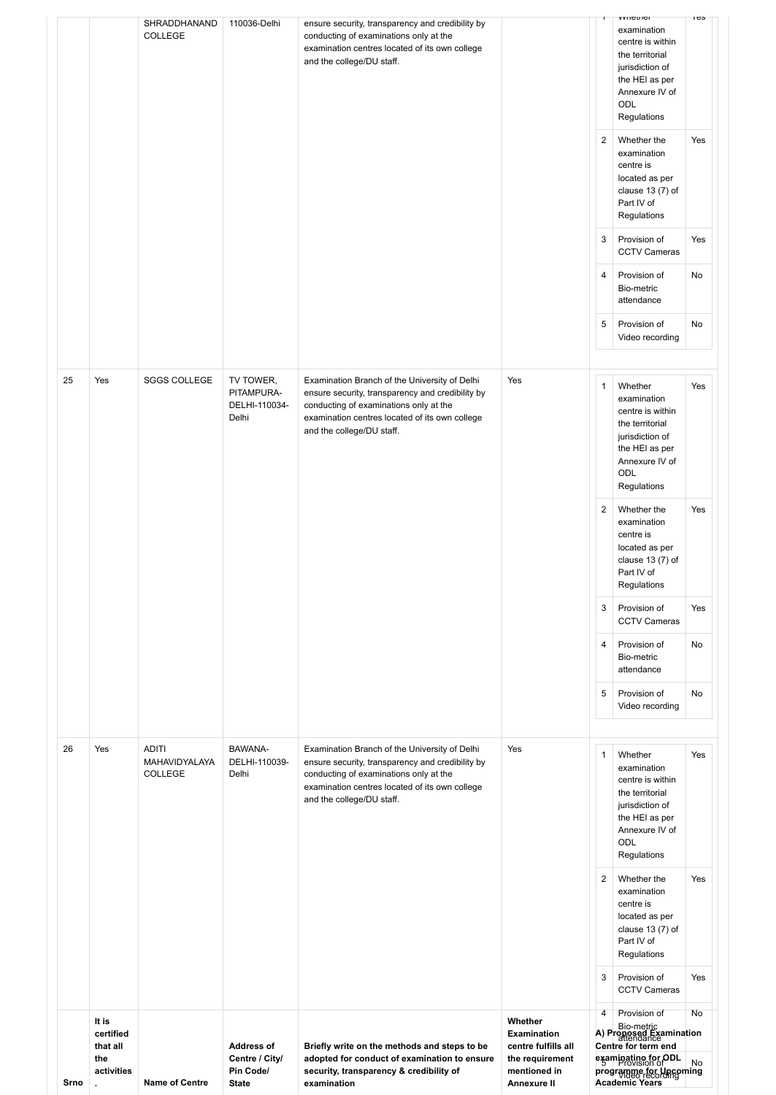| Srno | It is<br>certified<br>that all<br>the<br>activities | <b>Name of Centre</b>                           | <b>Address of</b><br>Centre / City/<br>Pin Code/<br><b>State</b> | Briefly write on the methods and steps to be<br>adopted for conduct of examination to ensure<br>security, transparency & credibility of<br>examination                                                                     | Whether<br><b>Examination</b><br>centre fulfills all<br>the requirement<br>mentioned in<br>Annexure II |                     | Bio-metric<br>A) Proposed Examination<br>Centre for term end<br>examinatino for ODL<br>programme for Uncoming<br>Academic Years            | No        |
|------|-----------------------------------------------------|-------------------------------------------------|------------------------------------------------------------------|----------------------------------------------------------------------------------------------------------------------------------------------------------------------------------------------------------------------------|--------------------------------------------------------------------------------------------------------|---------------------|--------------------------------------------------------------------------------------------------------------------------------------------|-----------|
|      |                                                     |                                                 |                                                                  |                                                                                                                                                                                                                            |                                                                                                        | 3<br>$\overline{4}$ | Provision of<br><b>CCTV Cameras</b><br>Provision of                                                                                        | Yes<br>No |
|      |                                                     |                                                 |                                                                  |                                                                                                                                                                                                                            |                                                                                                        | $\overline{2}$      | Whether the<br>examination<br>centre is<br>located as per<br>clause $13(7)$ of<br>Part IV of<br>Regulations                                | Yes       |
| 26   | Yes                                                 | <b>ADITI</b><br>MAHAVIDYALAYA<br><b>COLLEGE</b> | BAWANA-<br>DELHI-110039-<br>Delhi                                | Examination Branch of the University of Delhi<br>ensure security, transparency and credibility by<br>conducting of examinations only at the<br>examination centres located of its own college<br>and the college/DU staff. | Yes                                                                                                    | $\mathbf{1}$        | Whether<br>examination<br>centre is within<br>the territorial<br>jurisdiction of<br>the HEI as per<br>Annexure IV of<br>ODL<br>Regulations | Yes       |
|      |                                                     |                                                 |                                                                  |                                                                                                                                                                                                                            |                                                                                                        | 5                   | Provision of<br>Video recording                                                                                                            | No        |
|      |                                                     |                                                 |                                                                  |                                                                                                                                                                                                                            |                                                                                                        | $\overline{4}$      | <b>CCTV Cameras</b><br>Provision of<br>Bio-metric<br>attendance                                                                            | No        |
|      |                                                     |                                                 |                                                                  |                                                                                                                                                                                                                            |                                                                                                        | 3                   | Regulations<br>Provision of                                                                                                                | Yes       |
|      |                                                     |                                                 |                                                                  |                                                                                                                                                                                                                            |                                                                                                        | $\overline{2}$      | Whether the<br>examination<br>centre is<br>located as per<br>clause 13 (7) of<br>Part IV of                                                | Yes       |
|      |                                                     |                                                 |                                                                  |                                                                                                                                                                                                                            |                                                                                                        |                     | jurisdiction of<br>the HEI as per<br>Annexure IV of<br>ODL<br>Regulations                                                                  |           |
| 25   | Yes                                                 | <b>SGGS COLLEGE</b>                             | TV TOWER,<br>PITAMPURA-<br>DELHI-110034-<br>Delhi                | Examination Branch of the University of Delhi<br>ensure security, transparency and credibility by<br>conducting of examinations only at the<br>examination centres located of its own college<br>and the college/DU staff. | Yes                                                                                                    | $\mathbf{1}$        | Whether<br>examination<br>centre is within<br>the territorial                                                                              | Yes       |
|      |                                                     |                                                 |                                                                  |                                                                                                                                                                                                                            |                                                                                                        | 5                   | Provision of<br>Video recording                                                                                                            | No        |
|      |                                                     |                                                 |                                                                  |                                                                                                                                                                                                                            |                                                                                                        | $\overline{4}$      | Provision of<br>Bio-metric<br>attendance                                                                                                   | No        |
|      |                                                     |                                                 |                                                                  |                                                                                                                                                                                                                            |                                                                                                        | 3                   | Provision of<br><b>CCTV Cameras</b>                                                                                                        | Yes       |
|      |                                                     |                                                 |                                                                  |                                                                                                                                                                                                                            |                                                                                                        | $\overline{2}$      | Whether the<br>examination<br>centre is<br>located as per<br>clause $13(7)$ of<br>Part IV of<br>Regulations                                | Yes       |
|      |                                                     | SHRADDHANAND<br><b>COLLEGE</b>                  | 110036-Delhi                                                     | ensure security, transparency and credibility by<br>conducting of examinations only at the<br>examination centres located of its own college<br>and the college/DU staff.                                                  |                                                                                                        |                     | examination<br>centre is within<br>the territorial<br>jurisdiction of<br>the HEI as per<br>Annexure IV of<br>ODL<br>Regulations            |           |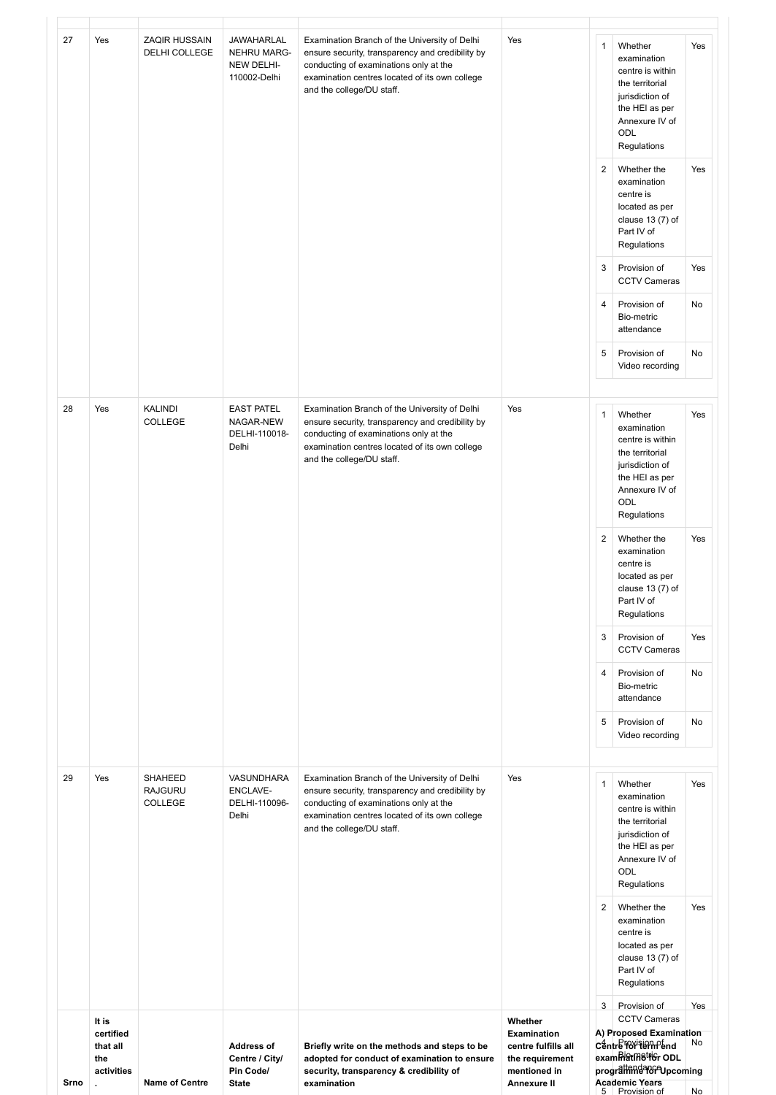| Srno | $\ddot{\phantom{a}}$                                | <b>Name of Centre</b>                 | <b>State</b>                                             | examination                                                                                                                                                                                                                | Annexure II                                                                             |                     | <b>Academic Years</b><br>5 Provision of                                                                                                    | No         |
|------|-----------------------------------------------------|---------------------------------------|----------------------------------------------------------|----------------------------------------------------------------------------------------------------------------------------------------------------------------------------------------------------------------------------|-----------------------------------------------------------------------------------------|---------------------|--------------------------------------------------------------------------------------------------------------------------------------------|------------|
|      | It is<br>certified<br>that all<br>the<br>activities |                                       | <b>Address of</b><br>Centre / City/<br>Pin Code/         | Briefly write on the methods and steps to be<br>adopted for conduct of examination to ensure<br>security, transparency & credibility of                                                                                    | Whether<br><b>Examination</b><br>centre fulfills all<br>the requirement<br>mentioned in |                     | <b>CCTV Cameras</b><br>A) Proposed Examination<br>Centre for term end<br>exammatinetrior ODL<br>prograttendator Upcoming                   | No         |
|      |                                                     |                                       |                                                          |                                                                                                                                                                                                                            |                                                                                         | $\overline{2}$<br>3 | Whether the<br>examination<br>centre is<br>located as per<br>clause $13(7)$ of<br>Part IV of<br>Regulations<br>Provision of                | Yes<br>Yes |
| 29   | Yes                                                 | SHAHEED<br><b>RAJGURU</b><br>COLLEGE  | VASUNDHARA<br>ENCLAVE-<br>DELHI-110096-<br>Delhi         | Examination Branch of the University of Delhi<br>ensure security, transparency and credibility by<br>conducting of examinations only at the<br>examination centres located of its own college<br>and the college/DU staff. | Yes                                                                                     | 1                   | Whether<br>examination<br>centre is within<br>the territorial<br>jurisdiction of<br>the HEI as per<br>Annexure IV of<br>ODL<br>Regulations | Yes        |
|      |                                                     |                                       |                                                          |                                                                                                                                                                                                                            |                                                                                         | 5                   | Bio-metric<br>attendance<br>Provision of<br>Video recording                                                                                | No         |
|      |                                                     |                                       |                                                          |                                                                                                                                                                                                                            |                                                                                         | 3<br>4              | Provision of<br><b>CCTV Cameras</b><br>Provision of                                                                                        | Yes<br>No  |
|      |                                                     |                                       |                                                          |                                                                                                                                                                                                                            |                                                                                         | $\overline{2}$      | Whether the<br>examination<br>centre is<br>located as per<br>clause $13(7)$ of<br>Part IV of<br>Regulations                                | Yes        |
|      |                                                     |                                       |                                                          | examination centres located of its own college<br>and the college/DU staff.                                                                                                                                                |                                                                                         |                     | the territorial<br>jurisdiction of<br>the HEI as per<br>Annexure IV of<br>ODL<br>Regulations                                               |            |
| 28   | Yes                                                 | KALINDI<br>COLLEGE                    | <b>EAST PATEL</b><br>NAGAR-NEW<br>DELHI-110018-<br>Delhi | Examination Branch of the University of Delhi<br>ensure security, transparency and credibility by<br>conducting of examinations only at the                                                                                | Yes                                                                                     | $\mathbf{1}$        | Whether<br>examination<br>centre is within                                                                                                 | Yes        |
|      |                                                     |                                       |                                                          |                                                                                                                                                                                                                            |                                                                                         | 5                   | Provision of<br>Video recording                                                                                                            | No         |
|      |                                                     |                                       |                                                          |                                                                                                                                                                                                                            |                                                                                         | 4                   | <b>CCTV Cameras</b><br>Provision of<br>Bio-metric<br>attendance                                                                            | No         |
|      |                                                     |                                       |                                                          |                                                                                                                                                                                                                            |                                                                                         | 3                   | centre is<br>located as per<br>clause $13(7)$ of<br>Part IV of<br>Regulations<br>Provision of                                              | Yes        |
|      |                                                     |                                       |                                                          |                                                                                                                                                                                                                            |                                                                                         | 2                   | Regulations<br>Whether the<br>examination                                                                                                  | Yes        |
|      |                                                     |                                       | NEW DELHI-<br>110002-Delhi                               | ensure security, transparency and credibility by<br>conducting of examinations only at the<br>examination centres located of its own college<br>and the college/DU staff.                                                  |                                                                                         |                     | examination<br>centre is within<br>the territorial<br>jurisdiction of<br>the HEI as per<br>Annexure IV of<br>ODL                           |            |
| 27   | Yes                                                 | <b>ZAQIR HUSSAIN</b><br>DELHI COLLEGE | JAWAHARLAL<br><b>NEHRU MARG-</b>                         | Examination Branch of the University of Delhi                                                                                                                                                                              | Yes                                                                                     | $\mathbf{1}$        | Whether                                                                                                                                    | Yes        |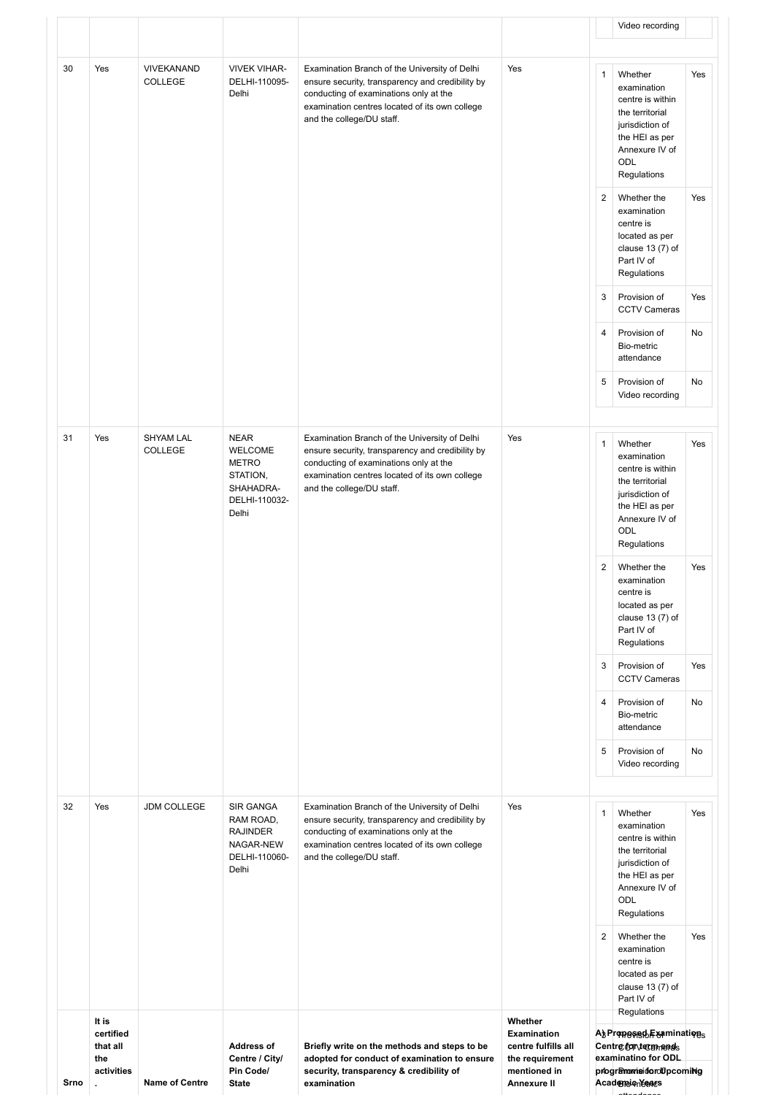| Srno | activities<br>$\ddot{\phantom{a}}$    | <b>Name of Centre</b>       | Pin Code/<br><b>State</b>                                                                 | adopted for conduct of examination to ensure<br>security, transparency & credibility of<br>examination                                                                                                                     | the requirement<br>mentioned in<br>Annexure II       |                | programmeidordfpcoming<br>Academientears                                                                                                          |            |
|------|---------------------------------------|-----------------------------|-------------------------------------------------------------------------------------------|----------------------------------------------------------------------------------------------------------------------------------------------------------------------------------------------------------------------------|------------------------------------------------------|----------------|---------------------------------------------------------------------------------------------------------------------------------------------------|------------|
|      | It is<br>certified<br>that all<br>the |                             | <b>Address of</b><br>Centre / City/                                                       | Briefly write on the methods and steps to be                                                                                                                                                                               | Whether<br><b>Examination</b><br>centre fulfills all |                | A} Propesed F& minations<br>Centre for term ends<br>examinatino for ODL                                                                           |            |
|      |                                       |                             |                                                                                           |                                                                                                                                                                                                                            |                                                      | 2              | Whether the<br>examination<br>centre is<br>located as per<br>clause $13(7)$ of<br>Part IV of<br>Regulations                                       | Yes        |
| 32   | Yes                                   | <b>JDM COLLEGE</b>          | SIR GANGA<br>RAM ROAD,<br><b>RAJINDER</b><br>NAGAR-NEW<br>DELHI-110060-<br>Delhi          | Examination Branch of the University of Delhi<br>ensure security, transparency and credibility by<br>conducting of examinations only at the<br>examination centres located of its own college<br>and the college/DU staff. | Yes                                                  | $\mathbf{1}$   | Whether<br>examination<br>centre is within<br>the territorial<br>jurisdiction of<br>the HEI as per<br>Annexure IV of<br><b>ODL</b><br>Regulations | Yes        |
|      |                                       |                             |                                                                                           |                                                                                                                                                                                                                            |                                                      | 5              | Bio-metric<br>attendance<br>Provision of<br>Video recording                                                                                       | No         |
|      |                                       |                             |                                                                                           |                                                                                                                                                                                                                            |                                                      | 4              | <b>CCTV Cameras</b><br>Provision of                                                                                                               | No         |
|      |                                       |                             |                                                                                           |                                                                                                                                                                                                                            |                                                      | 2<br>3         | Whether the<br>examination<br>centre is<br>located as per<br>clause $13(7)$ of<br>Part IV of<br>Regulations<br>Provision of                       | Yes<br>Yes |
| 31   | Yes                                   | <b>SHYAM LAL</b><br>COLLEGE | <b>NEAR</b><br>WELCOME<br><b>METRO</b><br>STATION,<br>SHAHADRA-<br>DELHI-110032-<br>Delhi | Examination Branch of the University of Delhi<br>ensure security, transparency and credibility by<br>conducting of examinations only at the<br>examination centres located of its own college<br>and the college/DU staff. | Yes                                                  | $\mathbf{1}$   | Whether<br>examination<br>centre is within<br>the territorial<br>jurisdiction of<br>the HEI as per<br>Annexure IV of<br>ODL<br>Regulations        | Yes        |
|      |                                       |                             |                                                                                           |                                                                                                                                                                                                                            |                                                      | 5              | Provision of<br>Video recording                                                                                                                   | No         |
|      |                                       |                             |                                                                                           |                                                                                                                                                                                                                            |                                                      | $\overline{4}$ | Provision of<br>Bio-metric<br>attendance                                                                                                          | No         |
|      |                                       |                             |                                                                                           |                                                                                                                                                                                                                            |                                                      | 3              | Regulations<br>Provision of<br><b>CCTV Cameras</b>                                                                                                | Yes        |
|      |                                       |                             |                                                                                           |                                                                                                                                                                                                                            |                                                      | $\overline{2}$ | Whether the<br>examination<br>centre is<br>located as per<br>clause 13 (7) of<br>Part IV of                                                       | Yes        |
|      |                                       | COLLEGE                     | DELHI-110095-<br>Delhi                                                                    | ensure security, transparency and credibility by<br>conducting of examinations only at the<br>examination centres located of its own college<br>and the college/DU staff.                                                  |                                                      | $\mathbf{1}$   | Whether<br>examination<br>centre is within<br>the territorial<br>jurisdiction of<br>the HEI as per<br>Annexure IV of<br>ODL<br>Regulations        | Yes        |
| 30   | Yes                                   | <b>VIVEKANAND</b>           | <b>VIVEK VIHAR-</b>                                                                       | Examination Branch of the University of Delhi                                                                                                                                                                              | Yes                                                  |                | Video recording                                                                                                                                   |            |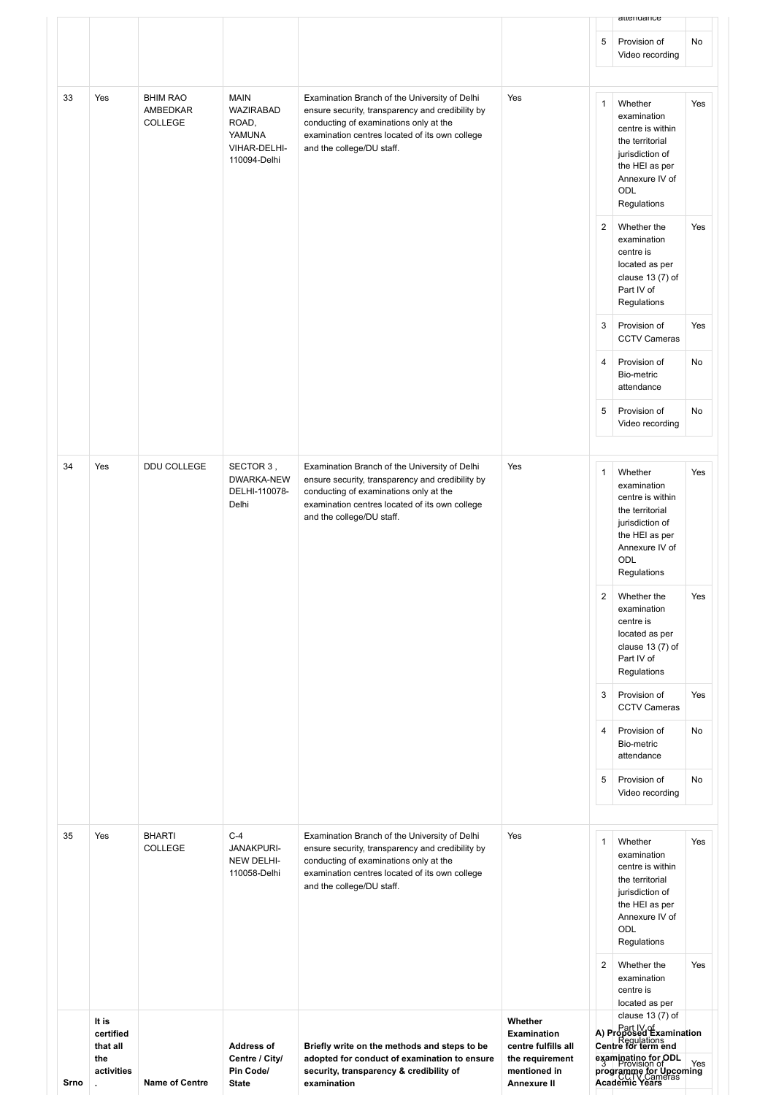| 5<br>Provision of<br>No<br>Video recording<br>33<br>Yes<br><b>BHIM RAO</b><br><b>MAIN</b><br>Yes<br>Examination Branch of the University of Delhi<br>$\mathbf{1}$<br>Whether<br>Yes<br><b>WAZIRABAD</b><br>AMBEDKAR<br>ensure security, transparency and credibility by<br>examination<br>COLLEGE<br>ROAD,<br>conducting of examinations only at the<br>centre is within<br>YAMUNA<br>examination centres located of its own college<br>the territorial<br>VIHAR-DELHI-<br>and the college/DU staff.<br>jurisdiction of<br>110094-Delhi<br>the HEI as per<br>Annexure IV of<br><b>ODL</b><br>Regulations<br>2<br>Whether the<br>Yes<br>examination<br>centre is<br>located as per<br>clause $13(7)$ of<br>Part IV of<br>Regulations<br>Provision of<br>Yes<br>3<br><b>CCTV Cameras</b><br>Provision of<br>4<br>No<br>Bio-metric<br>attendance<br>5<br>Provision of<br>No<br>Video recording<br>34<br>Yes<br>DDU COLLEGE<br>Examination Branch of the University of Delhi<br>SECTOR 3,<br>Yes<br>Whether<br>$\mathbf{1}$<br>Yes<br>DWARKA-NEW<br>ensure security, transparency and credibility by<br>examination<br>DELHI-110078-<br>conducting of examinations only at the<br>centre is within<br>Delhi<br>examination centres located of its own college<br>the territorial<br>and the college/DU staff.<br>jurisdiction of<br>the HEI as per<br>Annexure IV of<br>ODL<br>Regulations<br>2<br>Yes<br>Whether the<br>examination<br>centre is<br>located as per<br>clause $13(7)$ of<br>Part IV of<br>Regulations<br>3<br>Provision of<br>Yes<br><b>CCTV Cameras</b><br>4<br>Provision of<br>No<br>Bio-metric<br>attendance<br>5<br>Provision of<br>No<br>Video recording<br><b>BHARTI</b><br>$C-4$<br>Yes<br>35<br>Yes<br>Examination Branch of the University of Delhi<br>Whether<br>$\mathbf{1}$<br>Yes<br>COLLEGE<br><b>JANAKPURI-</b><br>ensure security, transparency and credibility by<br>examination<br>NEW DELHI-<br>conducting of examinations only at the<br>centre is within<br>110058-Delhi<br>examination centres located of its own college<br>the territorial<br>and the college/DU staff.<br>jurisdiction of<br>the HEI as per<br>Annexure IV of<br>ODL<br>Regulations<br>2<br>Whether the<br>Yes<br>examination<br>centre is<br>located as per<br>clause $13(7)$ of | Srno | certified<br>that all<br>the<br>activities | <b>Name of Centre</b> | <b>Address of</b><br>Centre / City/<br>Pin Code/<br><b>State</b> | Briefly write on the methods and steps to be<br>adopted for conduct of examination to ensure<br>security, transparency & credibility of<br>examination | <b>Examination</b><br>centre fulfills all<br>the requirement<br>mentioned in<br><b>Annexure II</b> | A) Proposed Examination<br>Centre for term end<br>examinatino for ODL<br>programme for Upcoming<br>Academic Years |  |
|----------------------------------------------------------------------------------------------------------------------------------------------------------------------------------------------------------------------------------------------------------------------------------------------------------------------------------------------------------------------------------------------------------------------------------------------------------------------------------------------------------------------------------------------------------------------------------------------------------------------------------------------------------------------------------------------------------------------------------------------------------------------------------------------------------------------------------------------------------------------------------------------------------------------------------------------------------------------------------------------------------------------------------------------------------------------------------------------------------------------------------------------------------------------------------------------------------------------------------------------------------------------------------------------------------------------------------------------------------------------------------------------------------------------------------------------------------------------------------------------------------------------------------------------------------------------------------------------------------------------------------------------------------------------------------------------------------------------------------------------------------------------------------------------------------------------------------------------------------------------------------------------------------------------------------------------------------------------------------------------------------------------------------------------------------------------------------------------------------------------------------------------------------------------------------------------------------------------------------------------------------------------------------------|------|--------------------------------------------|-----------------------|------------------------------------------------------------------|--------------------------------------------------------------------------------------------------------------------------------------------------------|----------------------------------------------------------------------------------------------------|-------------------------------------------------------------------------------------------------------------------|--|
|                                                                                                                                                                                                                                                                                                                                                                                                                                                                                                                                                                                                                                                                                                                                                                                                                                                                                                                                                                                                                                                                                                                                                                                                                                                                                                                                                                                                                                                                                                                                                                                                                                                                                                                                                                                                                                                                                                                                                                                                                                                                                                                                                                                                                                                                                        |      | It is                                      |                       |                                                                  |                                                                                                                                                        | Whether                                                                                            |                                                                                                                   |  |
|                                                                                                                                                                                                                                                                                                                                                                                                                                                                                                                                                                                                                                                                                                                                                                                                                                                                                                                                                                                                                                                                                                                                                                                                                                                                                                                                                                                                                                                                                                                                                                                                                                                                                                                                                                                                                                                                                                                                                                                                                                                                                                                                                                                                                                                                                        |      |                                            |                       |                                                                  |                                                                                                                                                        |                                                                                                    |                                                                                                                   |  |
|                                                                                                                                                                                                                                                                                                                                                                                                                                                                                                                                                                                                                                                                                                                                                                                                                                                                                                                                                                                                                                                                                                                                                                                                                                                                                                                                                                                                                                                                                                                                                                                                                                                                                                                                                                                                                                                                                                                                                                                                                                                                                                                                                                                                                                                                                        |      |                                            |                       |                                                                  |                                                                                                                                                        |                                                                                                    |                                                                                                                   |  |
|                                                                                                                                                                                                                                                                                                                                                                                                                                                                                                                                                                                                                                                                                                                                                                                                                                                                                                                                                                                                                                                                                                                                                                                                                                                                                                                                                                                                                                                                                                                                                                                                                                                                                                                                                                                                                                                                                                                                                                                                                                                                                                                                                                                                                                                                                        |      |                                            |                       |                                                                  |                                                                                                                                                        |                                                                                                    |                                                                                                                   |  |
|                                                                                                                                                                                                                                                                                                                                                                                                                                                                                                                                                                                                                                                                                                                                                                                                                                                                                                                                                                                                                                                                                                                                                                                                                                                                                                                                                                                                                                                                                                                                                                                                                                                                                                                                                                                                                                                                                                                                                                                                                                                                                                                                                                                                                                                                                        |      |                                            |                       |                                                                  |                                                                                                                                                        |                                                                                                    |                                                                                                                   |  |
|                                                                                                                                                                                                                                                                                                                                                                                                                                                                                                                                                                                                                                                                                                                                                                                                                                                                                                                                                                                                                                                                                                                                                                                                                                                                                                                                                                                                                                                                                                                                                                                                                                                                                                                                                                                                                                                                                                                                                                                                                                                                                                                                                                                                                                                                                        |      |                                            |                       |                                                                  |                                                                                                                                                        |                                                                                                    |                                                                                                                   |  |
|                                                                                                                                                                                                                                                                                                                                                                                                                                                                                                                                                                                                                                                                                                                                                                                                                                                                                                                                                                                                                                                                                                                                                                                                                                                                                                                                                                                                                                                                                                                                                                                                                                                                                                                                                                                                                                                                                                                                                                                                                                                                                                                                                                                                                                                                                        |      |                                            |                       |                                                                  |                                                                                                                                                        |                                                                                                    |                                                                                                                   |  |
|                                                                                                                                                                                                                                                                                                                                                                                                                                                                                                                                                                                                                                                                                                                                                                                                                                                                                                                                                                                                                                                                                                                                                                                                                                                                                                                                                                                                                                                                                                                                                                                                                                                                                                                                                                                                                                                                                                                                                                                                                                                                                                                                                                                                                                                                                        |      |                                            |                       |                                                                  |                                                                                                                                                        |                                                                                                    |                                                                                                                   |  |
|                                                                                                                                                                                                                                                                                                                                                                                                                                                                                                                                                                                                                                                                                                                                                                                                                                                                                                                                                                                                                                                                                                                                                                                                                                                                                                                                                                                                                                                                                                                                                                                                                                                                                                                                                                                                                                                                                                                                                                                                                                                                                                                                                                                                                                                                                        |      |                                            |                       |                                                                  |                                                                                                                                                        |                                                                                                    |                                                                                                                   |  |
|                                                                                                                                                                                                                                                                                                                                                                                                                                                                                                                                                                                                                                                                                                                                                                                                                                                                                                                                                                                                                                                                                                                                                                                                                                                                                                                                                                                                                                                                                                                                                                                                                                                                                                                                                                                                                                                                                                                                                                                                                                                                                                                                                                                                                                                                                        |      |                                            |                       |                                                                  |                                                                                                                                                        |                                                                                                    |                                                                                                                   |  |
|                                                                                                                                                                                                                                                                                                                                                                                                                                                                                                                                                                                                                                                                                                                                                                                                                                                                                                                                                                                                                                                                                                                                                                                                                                                                                                                                                                                                                                                                                                                                                                                                                                                                                                                                                                                                                                                                                                                                                                                                                                                                                                                                                                                                                                                                                        |      |                                            |                       |                                                                  |                                                                                                                                                        |                                                                                                    |                                                                                                                   |  |
|                                                                                                                                                                                                                                                                                                                                                                                                                                                                                                                                                                                                                                                                                                                                                                                                                                                                                                                                                                                                                                                                                                                                                                                                                                                                                                                                                                                                                                                                                                                                                                                                                                                                                                                                                                                                                                                                                                                                                                                                                                                                                                                                                                                                                                                                                        |      |                                            |                       |                                                                  |                                                                                                                                                        |                                                                                                    |                                                                                                                   |  |
|                                                                                                                                                                                                                                                                                                                                                                                                                                                                                                                                                                                                                                                                                                                                                                                                                                                                                                                                                                                                                                                                                                                                                                                                                                                                                                                                                                                                                                                                                                                                                                                                                                                                                                                                                                                                                                                                                                                                                                                                                                                                                                                                                                                                                                                                                        |      |                                            |                       |                                                                  |                                                                                                                                                        |                                                                                                    |                                                                                                                   |  |
|                                                                                                                                                                                                                                                                                                                                                                                                                                                                                                                                                                                                                                                                                                                                                                                                                                                                                                                                                                                                                                                                                                                                                                                                                                                                                                                                                                                                                                                                                                                                                                                                                                                                                                                                                                                                                                                                                                                                                                                                                                                                                                                                                                                                                                                                                        |      |                                            |                       |                                                                  |                                                                                                                                                        |                                                                                                    |                                                                                                                   |  |
| attendance                                                                                                                                                                                                                                                                                                                                                                                                                                                                                                                                                                                                                                                                                                                                                                                                                                                                                                                                                                                                                                                                                                                                                                                                                                                                                                                                                                                                                                                                                                                                                                                                                                                                                                                                                                                                                                                                                                                                                                                                                                                                                                                                                                                                                                                                             |      |                                            |                       |                                                                  |                                                                                                                                                        |                                                                                                    |                                                                                                                   |  |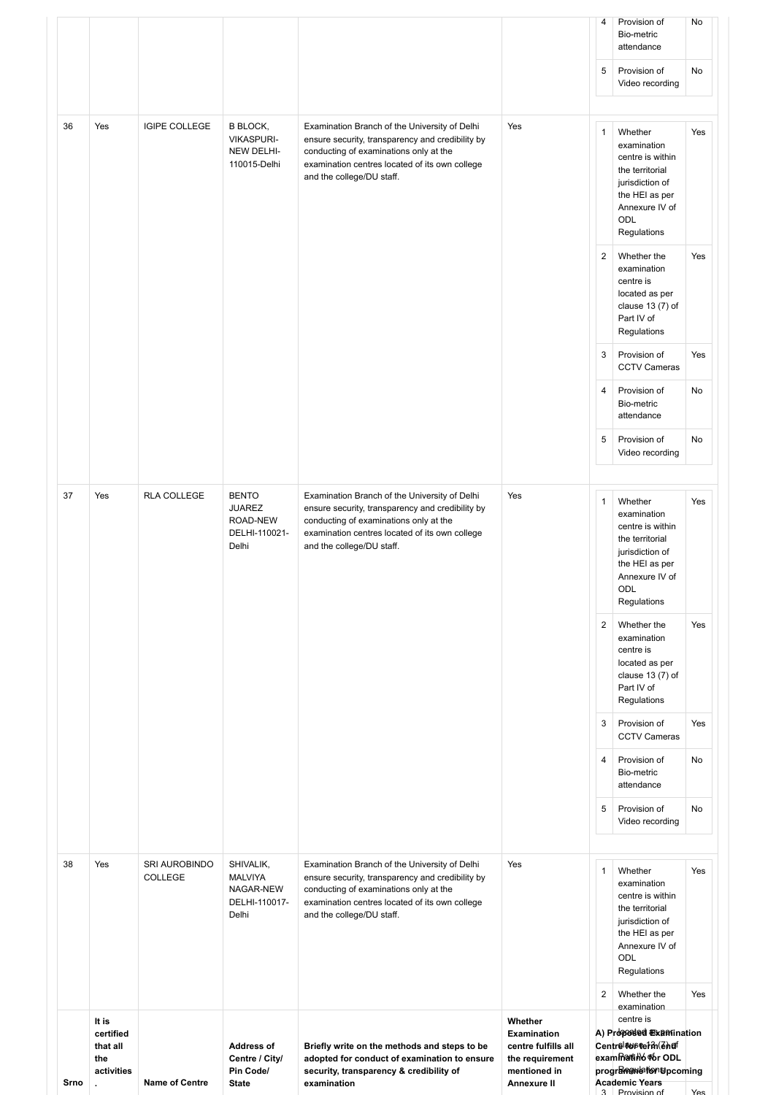| 38 | Yes | SRI AUROBINDO<br>COLLEGE | SHIVALIK,<br><b>MALVIYA</b><br>NAGAR-NEW<br>DELHI-110017-<br>Delhi  | Examination Branch of the University of Delhi<br>ensure security, transparency and credibility by<br>conducting of examinations only at the<br>examination centres located of its own college<br>and the college/DU staff. | Yes | $\mathbf{1}$<br>$\overline{2}$ | Whether<br>examination<br>centre is within<br>the territorial<br>jurisdiction of<br>the HEI as per<br>Annexure IV of<br>ODL<br>Regulations<br>Whether the | Yes<br>Yes |
|----|-----|--------------------------|---------------------------------------------------------------------|----------------------------------------------------------------------------------------------------------------------------------------------------------------------------------------------------------------------------|-----|--------------------------------|-----------------------------------------------------------------------------------------------------------------------------------------------------------|------------|
|    |     |                          |                                                                     |                                                                                                                                                                                                                            |     | $\overline{4}$<br>5            | <b>CCTV Cameras</b><br>Provision of<br>Bio-metric<br>attendance<br>Provision of<br>Video recording                                                        | No<br>No   |
|    |     |                          |                                                                     |                                                                                                                                                                                                                            |     | $\overline{2}$<br>3            | Whether the<br>examination<br>centre is<br>located as per<br>clause $13(7)$ of<br>Part IV of<br>Regulations<br>Provision of                               | Yes<br>Yes |
| 37 | Yes | RLA COLLEGE              | <b>BENTO</b><br><b>JUAREZ</b><br>ROAD-NEW<br>DELHI-110021-<br>Delhi | Examination Branch of the University of Delhi<br>ensure security, transparency and credibility by<br>conducting of examinations only at the<br>examination centres located of its own college<br>and the college/DU staff. | Yes | 1                              | Whether<br>examination<br>centre is within<br>the territorial<br>jurisdiction of<br>the HEI as per<br>Annexure IV of<br>ODL<br>Regulations                | Yes        |
|    |     |                          |                                                                     |                                                                                                                                                                                                                            |     | 5                              | Provision of<br>Video recording                                                                                                                           | No         |
|    |     |                          |                                                                     |                                                                                                                                                                                                                            |     | 3<br>4                         | Provision of<br><b>CCTV Cameras</b><br>Provision of<br>Bio-metric<br>attendance                                                                           | Yes<br>No  |
|    |     |                          |                                                                     |                                                                                                                                                                                                                            |     | $\overline{2}$                 | Whether the<br>examination<br>centre is<br>located as per<br>clause $13(7)$ of<br>Part IV of<br>Regulations                                               | Yes        |
| 36 | Yes | <b>IGIPE COLLEGE</b>     | <b>B BLOCK,</b><br><b>VIKASPURI-</b><br>NEW DELHI-<br>110015-Delhi  | Examination Branch of the University of Delhi<br>ensure security, transparency and credibility by<br>conducting of examinations only at the<br>examination centres located of its own college<br>and the college/DU staff. | Yes | $\mathbf{1}$                   | Whether<br>examination<br>centre is within<br>the territorial<br>jurisdiction of<br>the HEI as per<br>Annexure IV of<br>ODL<br>Regulations                | Yes        |
|    |     |                          |                                                                     |                                                                                                                                                                                                                            |     | 5                              | Provision of<br>Video recording                                                                                                                           | No         |
|    |     |                          |                                                                     |                                                                                                                                                                                                                            |     | 4                              | Provision of<br>Bio-metric<br>attendance                                                                                                                  | No         |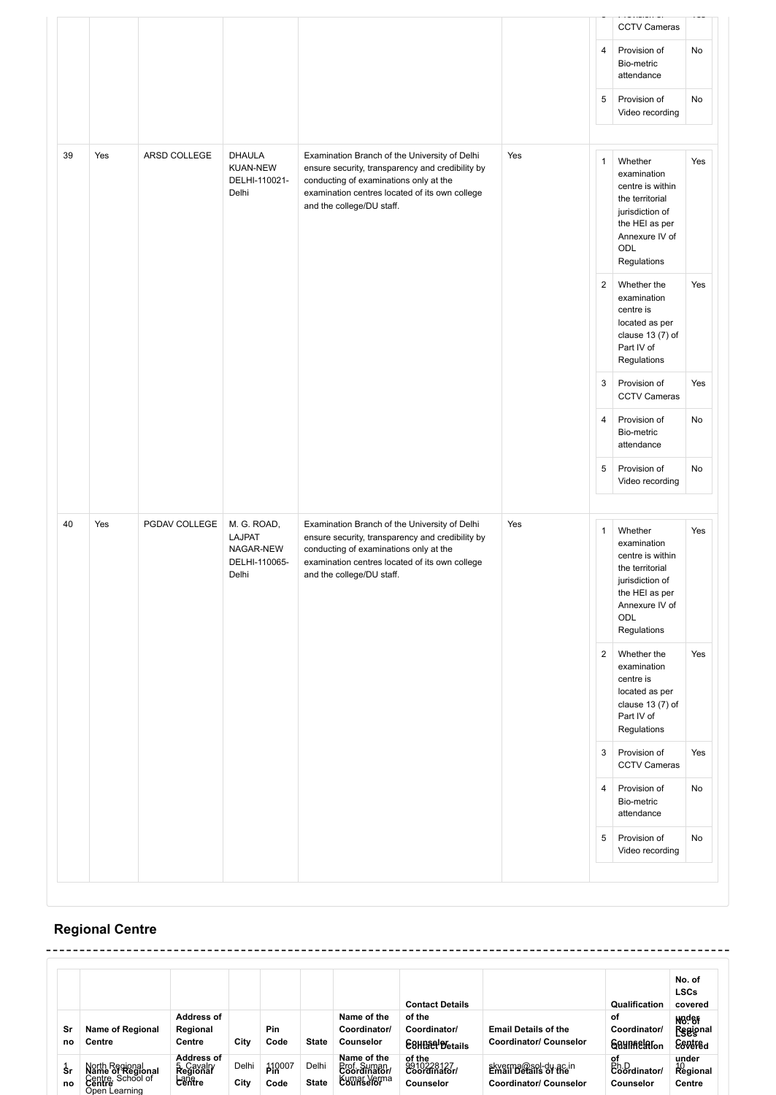|    |     |               |                                                              |                                                                                                                                                                                                                            |     |                | <b>CCTV Cameras</b>                                                                                                                        |     |
|----|-----|---------------|--------------------------------------------------------------|----------------------------------------------------------------------------------------------------------------------------------------------------------------------------------------------------------------------------|-----|----------------|--------------------------------------------------------------------------------------------------------------------------------------------|-----|
|    |     |               |                                                              |                                                                                                                                                                                                                            |     | $\overline{4}$ | Provision of<br>Bio-metric<br>attendance                                                                                                   | No  |
|    |     |               |                                                              |                                                                                                                                                                                                                            |     | 5              | Provision of<br>Video recording                                                                                                            | No  |
| 39 | Yes | ARSD COLLEGE  | <b>DHAULA</b><br><b>KUAN-NEW</b><br>DELHI-110021-<br>Delhi   | Examination Branch of the University of Delhi<br>ensure security, transparency and credibility by<br>conducting of examinations only at the<br>examination centres located of its own college<br>and the college/DU staff. | Yes | $\mathbf{1}$   | Whether<br>examination<br>centre is within<br>the territorial<br>jurisdiction of<br>the HEI as per<br>Annexure IV of<br>ODL<br>Regulations | Yes |
|    |     |               |                                                              |                                                                                                                                                                                                                            |     | $\overline{c}$ | Whether the<br>examination<br>centre is<br>located as per<br>clause $13(7)$ of<br>Part IV of<br>Regulations                                | Yes |
|    |     |               |                                                              |                                                                                                                                                                                                                            |     | 3              | Provision of<br><b>CCTV Cameras</b>                                                                                                        | Yes |
|    |     |               |                                                              |                                                                                                                                                                                                                            |     | $\overline{4}$ | Provision of<br>Bio-metric<br>attendance                                                                                                   | No  |
|    |     |               |                                                              |                                                                                                                                                                                                                            |     | 5              | Provision of<br>Video recording                                                                                                            | No  |
| 40 | Yes | PGDAV COLLEGE | M. G. ROAD,<br>LAJPAT<br>NAGAR-NEW<br>DELHI-110065-<br>Delhi | Examination Branch of the University of Delhi<br>ensure security, transparency and credibility by<br>conducting of examinations only at the<br>examination centres located of its own college<br>and the college/DU staff. | Yes | $\mathbf{1}$   | Whether<br>examination<br>centre is within<br>the territorial<br>jurisdiction of<br>the HEI as per<br>Annexure IV of<br>ODL<br>Regulations | Yes |
|    |     |               |                                                              |                                                                                                                                                                                                                            |     | $\overline{2}$ | Whether the<br>examination<br>centre is<br>located as per<br>clause 13 (7) of<br>Part IV of<br>Regulations                                 | Yes |
|    |     |               |                                                              |                                                                                                                                                                                                                            |     | 3              | Provision of<br><b>CCTV Cameras</b>                                                                                                        | Yes |
|    |     |               |                                                              |                                                                                                                                                                                                                            |     | $\overline{4}$ | Provision of<br>Bio-metric<br>attendance                                                                                                   | No  |
|    |     |               |                                                              |                                                                                                                                                                                                                            |     | 5              | Provision of<br>Video recording                                                                                                            | No  |

## **Regional Centre**

|           |                                                                          |                                                       |               |                       |                       |                                                          | <b>Contact Details</b>                 |                                                              | Qualification                            | No. of<br><b>LSCs</b><br>covered                 |
|-----------|--------------------------------------------------------------------------|-------------------------------------------------------|---------------|-----------------------|-----------------------|----------------------------------------------------------|----------------------------------------|--------------------------------------------------------------|------------------------------------------|--------------------------------------------------|
| Sr<br>no  | <b>Name of Regional</b><br>Centre                                        | <b>Address of</b><br>Regional<br>Centre               | City          | Pin<br>Code           | <b>State</b>          | Name of the<br>Coordinator/<br>Counselor                 | of the<br>Coordinator/<br>E8HP Petails | <b>Email Details of the</b><br><b>Coordinator/ Counselor</b> | οf<br>Coordinator/<br><b>Gaunnelaton</b> | N <sub>89</sub> er<br><b>Regional</b><br>Esvéfêd |
| \$r<br>no | Narth Regional<br>Name of Regional<br>Centre, School of<br>Open Learning | <b>Address of</b><br><b>Regional</b><br><b>Lantre</b> | Delhi<br>City | <b>PIR007</b><br>Code | Delhi<br><b>State</b> | Name of the<br><b>Erof</b> , Suman<br><b>Eumas Verma</b> | of the<br>8910228127<br>Counselor      | skyerma@sol-du.ac.in<br><b>Coordinator/ Counselor</b>        | of<br>Ph.D<br>Coordinator/<br>Counselor  | under<br>Regional<br>Centre                      |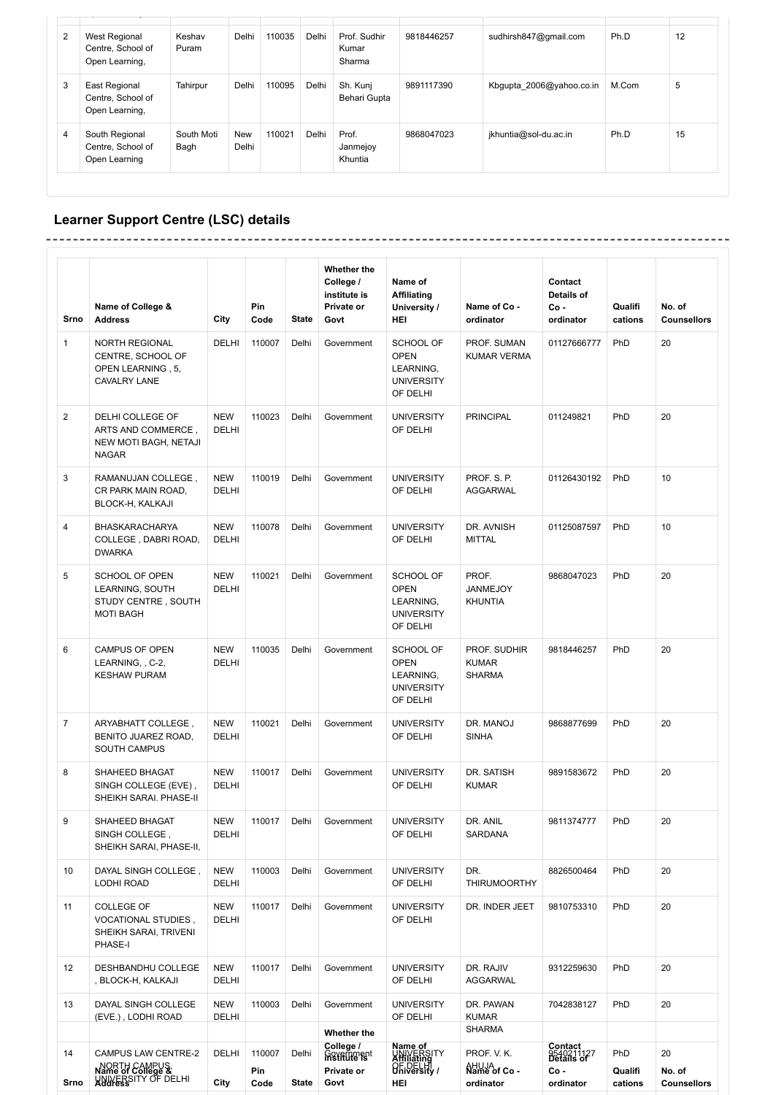| $\overline{2}$ | <b>West Regional</b><br>Centre, School of<br>Open Learning, | Keshav<br>Puram    | Delhi        | 110035 | Delhi | Prof. Sudhir<br>Kumar<br>Sharma | 9818446257 | sudhirsh847@gmail.com    | Ph.D  | 12 |
|----------------|-------------------------------------------------------------|--------------------|--------------|--------|-------|---------------------------------|------------|--------------------------|-------|----|
| 3              | East Regional<br>Centre, School of<br>Open Learning,        | Tahirpur           | Delhi        | 110095 | Delhi | Sh. Kunj<br>Behari Gupta        | 9891117390 | Kbgupta 2006@yahoo.co.in | M.Com | 5  |
| 4              | South Regional<br>Centre, School of<br>Open Learning        | South Moti<br>Bagh | New<br>Delhi | 110021 | Delhi | Prof.<br>Janmejoy<br>Khuntia    | 9868047023 | jkhuntia@sol-du.ac.in    | Ph.D  | 15 |

## **Learner Support Centre (LSC) details**

| Srno                    | Name of College &<br><b>Address</b>                                             | City                       | Pin<br>Code           | <b>State</b>          | Whether the<br>College /<br>institute is<br>Private or<br>Govt | Name of<br><b>Affiliating</b><br>University /<br>HEI                   | Name of Co -<br>ordinator                     | Contact<br>Details of<br>Co-<br>ordinator                | Qualifi<br>cations        | No. of<br><b>Counsellors</b>       |
|-------------------------|---------------------------------------------------------------------------------|----------------------------|-----------------------|-----------------------|----------------------------------------------------------------|------------------------------------------------------------------------|-----------------------------------------------|----------------------------------------------------------|---------------------------|------------------------------------|
| $\mathbf{1}$            | NORTH REGIONAL<br>CENTRE, SCHOOL OF<br>OPEN LEARNING, 5,<br><b>CAVALRY LANE</b> | DELHI                      | 110007                | Delhi                 | Government                                                     | SCHOOL OF<br><b>OPEN</b><br>LEARNING,<br><b>UNIVERSITY</b><br>OF DELHI | PROF. SUMAN<br><b>KUMAR VERMA</b>             | 01127666777                                              | PhD                       | 20                                 |
| $\overline{c}$          | DELHI COLLEGE OF<br>ARTS AND COMMERCE,<br>NEW MOTI BAGH, NETAJI<br><b>NAGAR</b> | <b>NEW</b><br>DELHI        | 110023                | Delhi                 | Government                                                     | <b>UNIVERSITY</b><br>OF DELHI                                          | <b>PRINCIPAL</b>                              | 011249821                                                | PhD                       | 20                                 |
| 3                       | RAMANUJAN COLLEGE,<br>CR PARK MAIN ROAD,<br>BLOCK-H, KALKAJI                    | <b>NEW</b><br><b>DELHI</b> | 110019                | Delhi                 | Government                                                     | <b>UNIVERSITY</b><br>OF DELHI                                          | PROF. S. P.<br><b>AGGARWAL</b>                | 01126430192                                              | PhD                       | 10                                 |
| $\overline{\mathbf{4}}$ | <b>BHASKARACHARYA</b><br>COLLEGE, DABRI ROAD,<br><b>DWARKA</b>                  | <b>NEW</b><br><b>DELHI</b> | 110078                | Delhi                 | Government                                                     | <b>UNIVERSITY</b><br>OF DELHI                                          | DR. AVNISH<br><b>MITTAL</b>                   | 01125087597                                              | PhD                       | 10                                 |
| 5                       | SCHOOL OF OPEN<br>LEARNING, SOUTH<br>STUDY CENTRE, SOUTH<br><b>MOTI BAGH</b>    | <b>NEW</b><br>DELHI        | 110021                | Delhi                 | Government                                                     | SCHOOL OF<br><b>OPEN</b><br>LEARNING,<br><b>UNIVERSITY</b><br>OF DELHI | PROF.<br>JANMEJOY<br><b>KHUNTIA</b>           | 9868047023                                               | PhD                       | 20                                 |
| 6                       | CAMPUS OF OPEN<br>LEARNING, , C-2,<br><b>KESHAW PURAM</b>                       | <b>NEW</b><br><b>DELHI</b> | 110035                | Delhi                 | Government                                                     | SCHOOL OF<br><b>OPEN</b><br>LEARNING,<br><b>UNIVERSITY</b><br>OF DELHI | PROF. SUDHIR<br><b>KUMAR</b><br><b>SHARMA</b> | 9818446257                                               | PhD                       | 20                                 |
| $\overline{7}$          | ARYABHATT COLLEGE,<br>BENITO JUAREZ ROAD,<br><b>SOUTH CAMPUS</b>                | <b>NEW</b><br>DELHI        | 110021                | Delhi                 | Government                                                     | <b>UNIVERSITY</b><br>OF DELHI                                          | DR. MANOJ<br><b>SINHA</b>                     | 9868877699                                               | PhD                       | 20                                 |
| 8                       | SHAHEED BHAGAT<br>SINGH COLLEGE (EVE),<br>SHEIKH SARAI. PHASE-II                | <b>NEW</b><br>DELHI        | 110017                | Delhi                 | Government                                                     | <b>UNIVERSITY</b><br>OF DELHI                                          | DR. SATISH<br><b>KUMAR</b>                    | 9891583672                                               | PhD                       | 20                                 |
| 9                       | SHAHEED BHAGAT<br>SINGH COLLEGE,<br>SHEIKH SARAI, PHASE-II,                     | <b>NEW</b><br>DELHI        | 110017                | Delhi                 | Government                                                     | <b>UNIVERSITY</b><br>OF DELHI                                          | DR. ANIL<br>SARDANA                           | 9811374777                                               | PhD                       | 20                                 |
| 10                      | DAYAL SINGH COLLEGE,<br><b>LODHI ROAD</b>                                       | <b>NEW</b><br>DELHI        | 110003                | Delhi                 | Government                                                     | <b>UNIVERSITY</b><br>OF DELHI                                          | DR.<br><b>THIRUMOORTHY</b>                    | 8826500464                                               | PhD                       | 20                                 |
| 11                      | <b>COLLEGE OF</b><br>VOCATIONAL STUDIES,<br>SHEIKH SARAI, TRIVENI<br>PHASE-I    | <b>NEW</b><br>DELHI        | 110017                | Delhi                 | Government                                                     | <b>UNIVERSITY</b><br>OF DELHI                                          | DR. INDER JEET                                | 9810753310                                               | PhD                       | 20                                 |
| 12                      | DESHBANDHU COLLEGE<br>, BLOCK-H, KALKAJI                                        | <b>NEW</b><br>DELHI        | 110017                | Delhi                 | Government                                                     | <b>UNIVERSITY</b><br>OF DELHI                                          | DR. RAJIV<br><b>AGGARWAL</b>                  | 9312259630                                               | PhD                       | 20                                 |
| 13                      | DAYAL SINGH COLLEGE<br>(EVE.), LODHI ROAD                                       | <b>NEW</b><br>DELHI        | 110003                | Delhi                 | Government                                                     | <b>UNIVERSITY</b><br>OF DELHI                                          | DR. PAWAN<br><b>KUMAR</b>                     | 7042838127                                               | PhD                       | 20                                 |
|                         |                                                                                 |                            |                       |                       | Whether the                                                    |                                                                        | <b>SHARMA</b>                                 |                                                          |                           |                                    |
| 14<br>Srno              | CAMPUS LAW CENTRE-2<br>NORTH CAMPUS<br>Name of College &<br>UNIVERSITY OF DELHI | DELHI<br>City              | 110007<br>Pin<br>Code | Delhi<br><b>State</b> | College /<br>Government<br>Private or<br>Govt                  | Name of<br>UNIVERSITY<br>Affiliating<br>OF DELHI<br>HEI                | PROF. V. K.<br>Name of Co-<br>ordinator       | Contact<br>9540211127<br>Details of<br>Co -<br>ordinator | PhD<br>Qualifi<br>cations | 20<br>No. of<br><b>Counsellors</b> |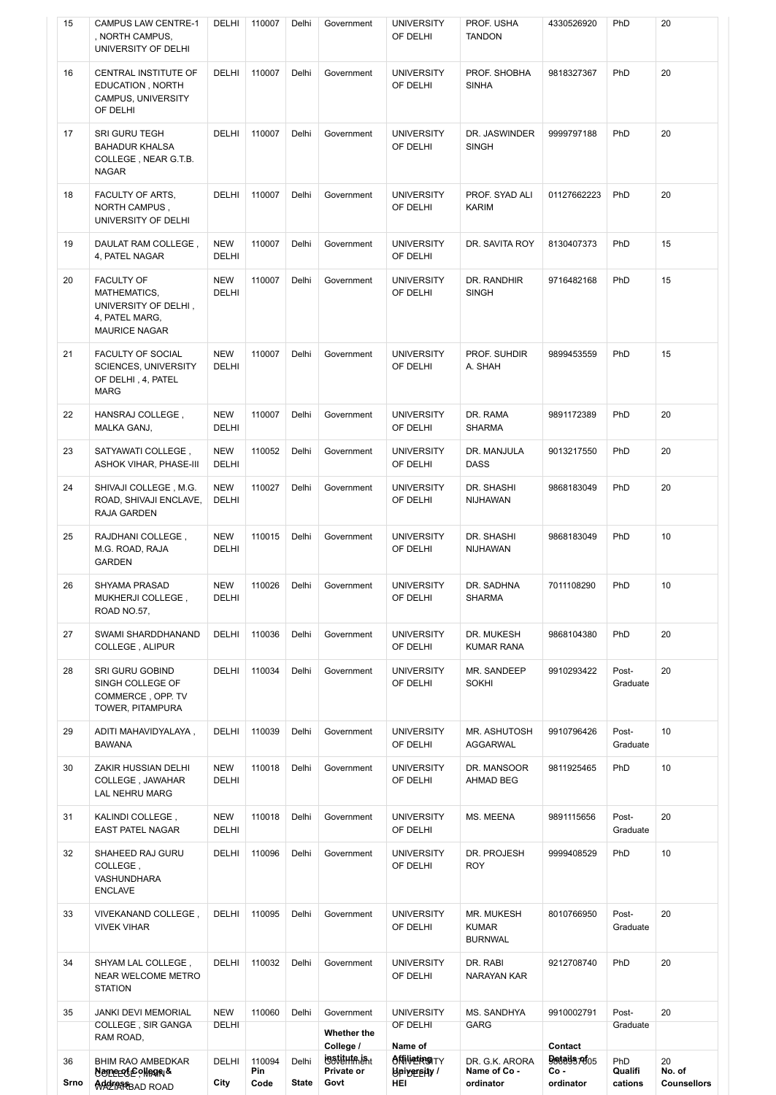| 36<br>Srno | <b>BHIM RAO AMBEDKAR</b><br>Nemerefe ollege &<br>MACTAREBAD ROAD                                    | DELHI<br>City              | 110094<br>Pin<br>Code | Delhi<br><b>State</b> | <b>LOSTEHTALE</b> nt<br>Private or<br>Govt | <b>ANNETRISTY</b><br><b>PlaiABEBitA</b><br>HEI | DR. G.K. ARORA<br>Name of Co -<br>ordinator  | Details <i>refos</i><br>$Co -$<br>ordinator | PhD<br>Qualifi<br>cations | 20<br>No. of<br><b>Counsellors</b> |
|------------|-----------------------------------------------------------------------------------------------------|----------------------------|-----------------------|-----------------------|--------------------------------------------|------------------------------------------------|----------------------------------------------|---------------------------------------------|---------------------------|------------------------------------|
| 35         | <b>JANKI DEVI MEMORIAL</b><br>COLLEGE, SIR GANGA<br>RAM ROAD,                                       | <b>NEW</b><br><b>DELHI</b> | 110060                | Delhi                 | Government<br>Whether the<br>College /     | <b>UNIVERSITY</b><br>OF DELHI<br>Name of       | MS. SANDHYA<br>GARG                          | 9910002791<br>Contact                       | Post-<br>Graduate         | 20                                 |
| 34         | SHYAM LAL COLLEGE,<br>NEAR WELCOME METRO<br><b>STATION</b>                                          | DELHI                      | 110032                | Delhi                 | Government                                 | <b>UNIVERSITY</b><br>OF DELHI                  | DR. RABI<br>NARAYAN KAR                      | 9212708740                                  | PhD                       | 20                                 |
| 33         | VIVEKANAND COLLEGE,<br><b>VIVEK VIHAR</b>                                                           | DELHI                      | 110095                | Delhi                 | Government                                 | <b>UNIVERSITY</b><br>OF DELHI                  | MR. MUKESH<br><b>KUMAR</b><br><b>BURNWAL</b> | 8010766950                                  | Post-<br>Graduate         | 20                                 |
| 32         | SHAHEED RAJ GURU<br>COLLEGE,<br>VASHUNDHARA<br><b>ENCLAVE</b>                                       | DELHI                      | 110096                | Delhi                 | Government                                 | <b>UNIVERSITY</b><br>OF DELHI                  | DR. PROJESH<br><b>ROY</b>                    | 9999408529                                  | PhD                       | 10                                 |
| 31         | KALINDI COLLEGE,<br><b>EAST PATEL NAGAR</b>                                                         | <b>NEW</b><br><b>DELHI</b> | 110018                | Delhi                 | Government                                 | <b>UNIVERSITY</b><br>OF DELHI                  | MS. MEENA                                    | 9891115656                                  | Post-<br>Graduate         | 20                                 |
| 30         | ZAKIR HUSSIAN DELHI<br>COLLEGE, JAWAHAR<br>LAL NEHRU MARG                                           | <b>NEW</b><br><b>DELHI</b> | 110018                | Delhi                 | Government                                 | <b>UNIVERSITY</b><br>OF DELHI                  | DR. MANSOOR<br><b>AHMAD BEG</b>              | 9811925465                                  | PhD                       | 10                                 |
| 29         | ADITI MAHAVIDYALAYA,<br><b>BAWANA</b>                                                               | DELHI                      | 110039                | Delhi                 | Government                                 | <b>UNIVERSITY</b><br>OF DELHI                  | MR. ASHUTOSH<br>AGGARWAL                     | 9910796426                                  | Post-<br>Graduate         | 10                                 |
| 28         | SRI GURU GOBIND<br>SINGH COLLEGE OF<br>COMMERCE, OPP. TV<br>TOWER, PITAMPURA                        | DELHI                      | 110034                | Delhi                 | Government                                 | <b>UNIVERSITY</b><br>OF DELHI                  | MR. SANDEEP<br><b>SOKHI</b>                  | 9910293422                                  | Post-<br>Graduate         | 20                                 |
| 27         | SWAMI SHARDDHANAND<br>COLLEGE, ALIPUR                                                               | <b>DELHI</b>               | 110036                | Delhi                 | Government                                 | <b>UNIVERSITY</b><br>OF DELHI                  | DR. MUKESH<br><b>KUMAR RANA</b>              | 9868104380                                  | PhD                       | 20                                 |
| 26         | SHYAMA PRASAD<br>MUKHERJI COLLEGE,<br>ROAD NO.57,                                                   | <b>NEW</b><br>DELHI        | 110026                | Delhi                 | Government                                 | <b>UNIVERSITY</b><br>OF DELHI                  | DR. SADHNA<br>SHARMA                         | 7011108290                                  | PhD                       | 10                                 |
| 25         | RAJDHANI COLLEGE,<br>M.G. ROAD, RAJA<br><b>GARDEN</b>                                               | <b>NEW</b><br>DELHI        | 110015                | Delhi                 | Government                                 | <b>UNIVERSITY</b><br>OF DELHI                  | DR. SHASHI<br>NIJHAWAN                       | 9868183049                                  | PhD                       | 10                                 |
| 24         | SHIVAJI COLLEGE, M.G.<br>ROAD, SHIVAJI ENCLAVE,<br>RAJA GARDEN                                      | <b>NEW</b><br><b>DELHI</b> | 110027                | Delhi                 | Government                                 | <b>UNIVERSITY</b><br>OF DELHI                  | DR. SHASHI<br>NIJHAWAN                       | 9868183049                                  | PhD                       | 20                                 |
| 23         | SATYAWATI COLLEGE,<br>ASHOK VIHAR, PHASE-III                                                        | <b>NEW</b><br><b>DELHI</b> | 110052                | Delhi                 | Government                                 | <b>UNIVERSITY</b><br>OF DELHI                  | DR. MANJULA<br><b>DASS</b>                   | 9013217550                                  | PhD                       | 20                                 |
| 22         | HANSRAJ COLLEGE,<br>MALKA GANJ,                                                                     | <b>NEW</b><br>DELHI        | 110007                | Delhi                 | Government                                 | <b>UNIVERSITY</b><br>OF DELHI                  | DR. RAMA<br><b>SHARMA</b>                    | 9891172389                                  | PhD                       | 20                                 |
| 21         | FACULTY OF SOCIAL<br><b>SCIENCES, UNIVERSITY</b><br>OF DELHI, 4, PATEL<br><b>MARG</b>               | <b>NEW</b><br><b>DELHI</b> | 110007                | Delhi                 | Government                                 | <b>UNIVERSITY</b><br>OF DELHI                  | PROF. SUHDIR<br>A. SHAH                      | 9899453559                                  | PhD                       | 15                                 |
| 20         | <b>FACULTY OF</b><br>MATHEMATICS,<br>UNIVERSITY OF DELHI,<br>4, PATEL MARG,<br><b>MAURICE NAGAR</b> | <b>NEW</b><br>DELHI        | 110007                | Delhi                 | Government                                 | <b>UNIVERSITY</b><br>OF DELHI                  | DR. RANDHIR<br><b>SINGH</b>                  | 9716482168                                  | PhD                       | 15                                 |
| 19         | DAULAT RAM COLLEGE,<br>4, PATEL NAGAR                                                               | <b>NEW</b><br><b>DELHI</b> | 110007                | Delhi                 | Government                                 | <b>UNIVERSITY</b><br>OF DELHI                  | DR. SAVITA ROY                               | 8130407373                                  | PhD                       | 15                                 |
| 18         | FACULTY OF ARTS,<br>NORTH CAMPUS,<br>UNIVERSITY OF DELHI                                            | DELHI                      | 110007                | Delhi                 | Government                                 | <b>UNIVERSITY</b><br>OF DELHI                  | PROF. SYAD ALI<br><b>KARIM</b>               | 01127662223                                 | PhD                       | 20                                 |
| 17         | SRI GURU TEGH<br><b>BAHADUR KHALSA</b><br>COLLEGE, NEAR G.T.B.<br><b>NAGAR</b>                      | DELHI                      | 110007                | Delhi                 | Government                                 | <b>UNIVERSITY</b><br>OF DELHI                  | DR. JASWINDER<br><b>SINGH</b>                | 9999797188                                  | PhD                       | 20                                 |
| 16         | CENTRAL INSTITUTE OF<br>EDUCATION, NORTH<br>CAMPUS, UNIVERSITY<br>OF DELHI                          | DELHI                      | 110007                | Delhi                 | Government                                 | <b>UNIVERSITY</b><br>OF DELHI                  | PROF. SHOBHA<br><b>SINHA</b>                 | 9818327367                                  | PhD                       | 20                                 |
| 15         | <b>CAMPUS LAW CENTRE-1</b><br>, NORTH CAMPUS,<br>UNIVERSITY OF DELHI                                | DELHI                      | 110007                | Delhi                 | Government                                 | <b>UNIVERSITY</b><br>OF DELHI                  | PROF. USHA<br><b>TANDON</b>                  | 4330526920                                  | PhD                       | 20                                 |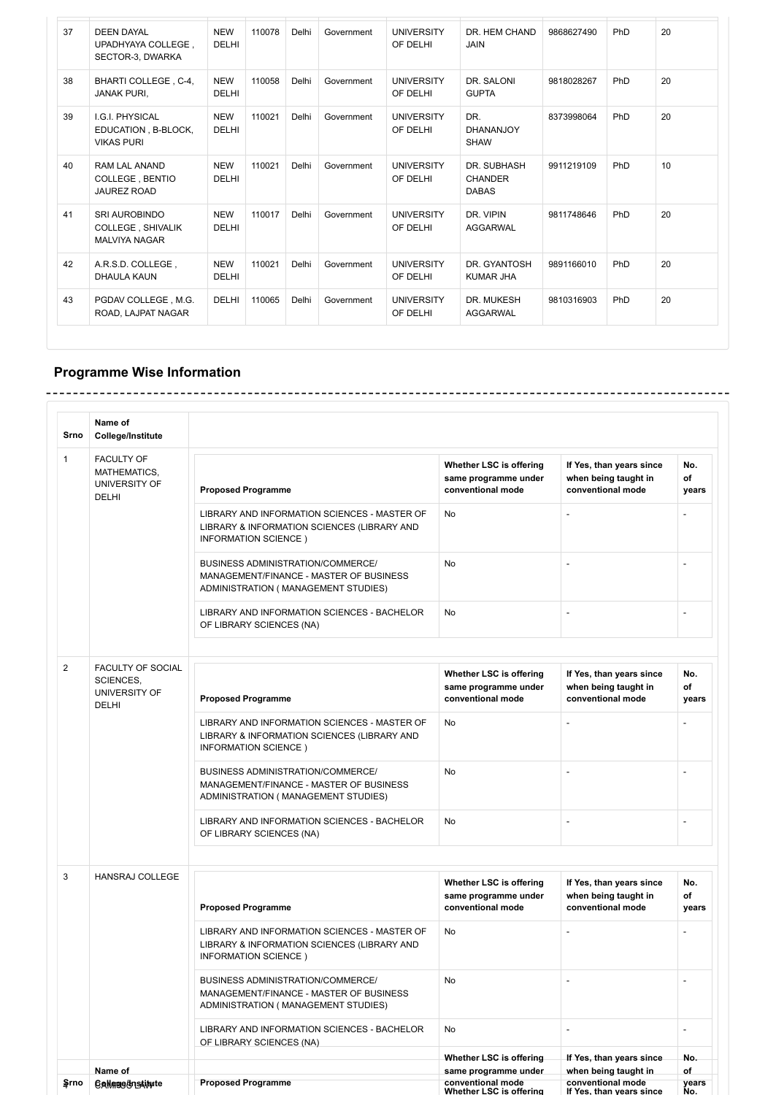| 37 | <b>DEEN DAYAL</b><br>UPADHYAYA COLLEGE,<br>SECTOR-3, DWARKA       | <b>NEW</b><br><b>DELHI</b> | 110078 | Delhi | Government | <b>UNIVERSITY</b><br>OF DELHI | DR. HEM CHAND<br><b>JAIN</b>                  | 9868627490 | PhD | 20 |
|----|-------------------------------------------------------------------|----------------------------|--------|-------|------------|-------------------------------|-----------------------------------------------|------------|-----|----|
| 38 | BHARTI COLLEGE, C-4,<br><b>JANAK PURI.</b>                        | <b>NEW</b><br><b>DELHI</b> | 110058 | Delhi | Government | <b>UNIVERSITY</b><br>OF DELHI | DR. SALONI<br><b>GUPTA</b>                    | 9818028267 | PhD | 20 |
| 39 | I.G.I. PHYSICAL<br>EDUCATION, B-BLOCK,<br><b>VIKAS PURI</b>       | <b>NEW</b><br><b>DELHI</b> | 110021 | Delhi | Government | <b>UNIVERSITY</b><br>OF DELHI | DR.<br><b>DHANANJOY</b><br><b>SHAW</b>        | 8373998064 | PhD | 20 |
| 40 | RAM LAL ANAND<br><b>COLLEGE, BENTIO</b><br><b>JAUREZ ROAD</b>     | <b>NEW</b><br><b>DELHI</b> | 110021 | Delhi | Government | <b>UNIVERSITY</b><br>OF DELHI | DR. SUBHASH<br><b>CHANDER</b><br><b>DABAS</b> | 9911219109 | PhD | 10 |
| 41 | <b>SRI AUROBINDO</b><br>COLLEGE, SHIVALIK<br><b>MALVIYA NAGAR</b> | <b>NEW</b><br><b>DELHI</b> | 110017 | Delhi | Government | <b>UNIVERSITY</b><br>OF DELHI | DR. VIPIN<br><b>AGGARWAL</b>                  | 9811748646 | PhD | 20 |
| 42 | A.R.S.D. COLLEGE,<br><b>DHAULA KAUN</b>                           | <b>NEW</b><br><b>DELHI</b> | 110021 | Delhi | Government | <b>UNIVERSITY</b><br>OF DELHI | DR. GYANTOSH<br><b>KUMAR JHA</b>              | 9891166010 | PhD | 20 |
| 43 | PGDAV COLLEGE, M.G.<br>ROAD, LAJPAT NAGAR                         | <b>DELHI</b>               | 110065 | Delhi | Government | <b>UNIVERSITY</b><br>OF DELHI | DR. MUKESH<br><b>AGGARWAL</b>                 | 9810316903 | PhD | 20 |

J.

## **Programme Wise Information**

| Srno           | Name of<br><b>College/Institute</b>                                    |                                                                                                                     |                                                                      |                                                                       |                          |
|----------------|------------------------------------------------------------------------|---------------------------------------------------------------------------------------------------------------------|----------------------------------------------------------------------|-----------------------------------------------------------------------|--------------------------|
| 1              | <b>FACULTY OF</b><br>MATHEMATICS,<br>UNIVERSITY OF<br><b>DELHI</b>     | <b>Proposed Programme</b>                                                                                           | Whether LSC is offering<br>same programme under<br>conventional mode | If Yes, than years since<br>when being taught in<br>conventional mode | No.<br>of<br>years       |
|                |                                                                        | LIBRARY AND INFORMATION SCIENCES - MASTER OF<br>LIBRARY & INFORMATION SCIENCES (LIBRARY AND<br>INFORMATION SCIENCE) | No                                                                   | $\overline{\phantom{a}}$                                              |                          |
|                |                                                                        | BUSINESS ADMINISTRATION/COMMERCE/<br>MANAGEMENT/FINANCE - MASTER OF BUSINESS<br>ADMINISTRATION (MANAGEMENT STUDIES) | No                                                                   | $\overline{\phantom{a}}$                                              |                          |
|                |                                                                        | LIBRARY AND INFORMATION SCIENCES - BACHELOR<br>OF LIBRARY SCIENCES (NA)                                             | <b>No</b>                                                            | $\overline{a}$                                                        | Ĭ.                       |
|                |                                                                        |                                                                                                                     |                                                                      |                                                                       |                          |
| $\overline{2}$ | FACULTY OF SOCIAL<br><b>SCIENCES.</b><br>UNIVERSITY OF<br><b>DELHI</b> | <b>Proposed Programme</b>                                                                                           | Whether LSC is offering<br>same programme under<br>conventional mode | If Yes, than years since<br>when being taught in<br>conventional mode | No.<br>of<br>years       |
|                |                                                                        | LIBRARY AND INFORMATION SCIENCES - MASTER OF<br>LIBRARY & INFORMATION SCIENCES (LIBRARY AND<br>INFORMATION SCIENCE) | No                                                                   | $\overline{a}$                                                        |                          |
|                |                                                                        | BUSINESS ADMINISTRATION/COMMERCE/<br>MANAGEMENT/FINANCE - MASTER OF BUSINESS<br>ADMINISTRATION (MANAGEMENT STUDIES) | No                                                                   | $\overline{a}$                                                        | $\overline{a}$           |
|                |                                                                        | LIBRARY AND INFORMATION SCIENCES - BACHELOR<br>OF LIBRARY SCIENCES (NA)                                             | No                                                                   | $\overline{a}$                                                        | ÷,                       |
|                |                                                                        |                                                                                                                     |                                                                      |                                                                       |                          |
| 3              | <b>HANSRAJ COLLEGE</b>                                                 | <b>Proposed Programme</b>                                                                                           | Whether LSC is offering<br>same programme under<br>conventional mode | If Yes, than years since<br>when being taught in<br>conventional mode | No.<br>of<br>years       |
|                |                                                                        | LIBRARY AND INFORMATION SCIENCES - MASTER OF<br>LIBRARY & INFORMATION SCIENCES (LIBRARY AND<br>INFORMATION SCIENCE) | No                                                                   | $\overline{a}$                                                        |                          |
|                |                                                                        | BUSINESS ADMINISTRATION/COMMERCE/<br>MANAGEMENT/FINANCE - MASTER OF BUSINESS<br>ADMINISTRATION (MANAGEMENT STUDIES) | No                                                                   | $\overline{\phantom{a}}$                                              |                          |
|                |                                                                        | LIBRARY AND INFORMATION SCIENCES - BACHELOR<br>OF LIBRARY SCIENCES (NA)                                             | No                                                                   | $\overline{\phantom{a}}$                                              | $\overline{\phantom{a}}$ |
|                |                                                                        |                                                                                                                     | Whether LSC is offering                                              | If Yes, than years since                                              | No.                      |
|                | Name of                                                                |                                                                                                                     | same programme under                                                 | when being taught in                                                  | of                       |
| ≨rno           | <b>Callege &amp;nsAitute</b>                                           | <b>Proposed Programme</b>                                                                                           | conventional mode<br>Whether LSC is offering                         | conventional mode<br>If Yes, than years since                         | years<br><u>No.</u>      |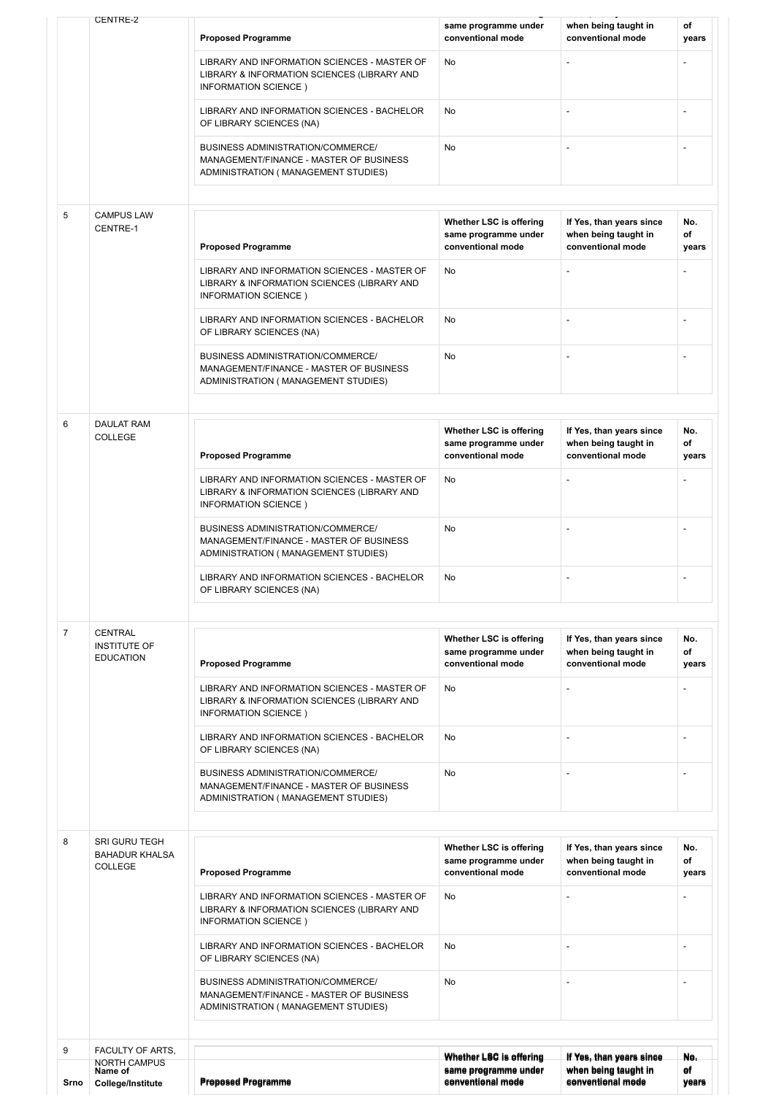|                | CENTRE-2                                                         |                                                                                                                            |                                                                      |                                                                       |                          |
|----------------|------------------------------------------------------------------|----------------------------------------------------------------------------------------------------------------------------|----------------------------------------------------------------------|-----------------------------------------------------------------------|--------------------------|
|                |                                                                  | <b>Proposed Programme</b>                                                                                                  | same programme under<br>conventional mode                            | when being taught in<br>conventional mode                             | of<br>years              |
|                |                                                                  | LIBRARY AND INFORMATION SCIENCES - MASTER OF<br>LIBRARY & INFORMATION SCIENCES (LIBRARY AND<br>INFORMATION SCIENCE)        | No                                                                   |                                                                       |                          |
|                |                                                                  | LIBRARY AND INFORMATION SCIENCES - BACHELOR<br>OF LIBRARY SCIENCES (NA)                                                    | No                                                                   |                                                                       |                          |
|                |                                                                  | <b>BUSINESS ADMINISTRATION/COMMERCE/</b><br>MANAGEMENT/FINANCE - MASTER OF BUSINESS<br>ADMINISTRATION (MANAGEMENT STUDIES) | No                                                                   |                                                                       | $\overline{a}$           |
| 5              | <b>CAMPUS LAW</b>                                                |                                                                                                                            |                                                                      |                                                                       |                          |
|                | CENTRE-1                                                         | <b>Proposed Programme</b>                                                                                                  | Whether LSC is offering<br>same programme under<br>conventional mode | If Yes, than years since<br>when being taught in<br>conventional mode | No.<br>of<br>years       |
|                |                                                                  | LIBRARY AND INFORMATION SCIENCES - MASTER OF<br>LIBRARY & INFORMATION SCIENCES (LIBRARY AND<br>INFORMATION SCIENCE)        | No                                                                   |                                                                       |                          |
|                |                                                                  | LIBRARY AND INFORMATION SCIENCES - BACHELOR<br>OF LIBRARY SCIENCES (NA)                                                    | No                                                                   |                                                                       | L,                       |
|                |                                                                  | <b>BUSINESS ADMINISTRATION/COMMERCE/</b><br>MANAGEMENT/FINANCE - MASTER OF BUSINESS<br>ADMINISTRATION (MANAGEMENT STUDIES) | No                                                                   |                                                                       |                          |
|                |                                                                  |                                                                                                                            |                                                                      |                                                                       |                          |
| 6              | <b>DAULAT RAM</b><br><b>COLLEGE</b>                              | <b>Proposed Programme</b>                                                                                                  | Whether LSC is offering<br>same programme under<br>conventional mode | If Yes, than years since<br>when being taught in<br>conventional mode | No.<br>of<br>years       |
|                |                                                                  | LIBRARY AND INFORMATION SCIENCES - MASTER OF<br>LIBRARY & INFORMATION SCIENCES (LIBRARY AND<br>INFORMATION SCIENCE)        | No                                                                   |                                                                       |                          |
|                |                                                                  | <b>BUSINESS ADMINISTRATION/COMMERCE/</b><br>MANAGEMENT/FINANCE - MASTER OF BUSINESS<br>ADMINISTRATION (MANAGEMENT STUDIES) | No                                                                   | $\overline{a}$                                                        |                          |
|                |                                                                  | LIBRARY AND INFORMATION SCIENCES - BACHELOR<br>OF LIBRARY SCIENCES (NA)                                                    | No                                                                   |                                                                       |                          |
|                |                                                                  |                                                                                                                            |                                                                      |                                                                       |                          |
| $\overline{7}$ | <b>CENTRAL</b><br><b>INSTITUTE OF</b><br><b>EDUCATION</b>        | <b>Proposed Programme</b>                                                                                                  | Whether LSC is offering<br>same programme under<br>conventional mode | If Yes, than years since<br>when being taught in<br>conventional mode | No.<br>of<br>years       |
|                |                                                                  | LIBRARY AND INFORMATION SCIENCES - MASTER OF<br>LIBRARY & INFORMATION SCIENCES (LIBRARY AND<br>INFORMATION SCIENCE)        | No                                                                   |                                                                       |                          |
|                |                                                                  | LIBRARY AND INFORMATION SCIENCES - BACHELOR<br>OF LIBRARY SCIENCES (NA)                                                    | No                                                                   | -                                                                     |                          |
|                |                                                                  | BUSINESS ADMINISTRATION/COMMERCE/<br>MANAGEMENT/FINANCE - MASTER OF BUSINESS<br>ADMINISTRATION (MANAGEMENT STUDIES)        | No                                                                   |                                                                       | $\overline{\phantom{a}}$ |
|                |                                                                  |                                                                                                                            |                                                                      |                                                                       |                          |
| 8              | <b>SRI GURU TEGH</b><br><b>BAHADUR KHALSA</b><br>COLLEGE         |                                                                                                                            | Whether LSC is offering<br>same programme under<br>conventional mode | If Yes, than years since<br>when being taught in<br>conventional mode | No.<br>of                |
|                |                                                                  | <b>Proposed Programme</b><br>LIBRARY AND INFORMATION SCIENCES - MASTER OF                                                  | No                                                                   | $\overline{a}$                                                        | years<br>$\overline{a}$  |
|                |                                                                  | LIBRARY & INFORMATION SCIENCES (LIBRARY AND<br>INFORMATION SCIENCE)                                                        |                                                                      |                                                                       |                          |
|                |                                                                  | LIBRARY AND INFORMATION SCIENCES - BACHELOR<br>OF LIBRARY SCIENCES (NA)                                                    | No                                                                   |                                                                       |                          |
|                |                                                                  | BUSINESS ADMINISTRATION/COMMERCE/<br>MANAGEMENT/FINANCE - MASTER OF BUSINESS<br>ADMINISTRATION (MANAGEMENT STUDIES)        | No                                                                   | $\overline{a}$                                                        | $\overline{a}$           |
|                |                                                                  |                                                                                                                            |                                                                      |                                                                       |                          |
| 9<br>Srno      | FACULTY OF ARTS.<br>NORTH CAMPUS<br>Name of<br>College/Institute | <b>Proposed Programme</b>                                                                                                  | Whether LSC is offering<br>same programme under<br>conventional mode | If Yes, than years since<br>when being taught in<br>conventional mode | No.<br>Θf<br>years       |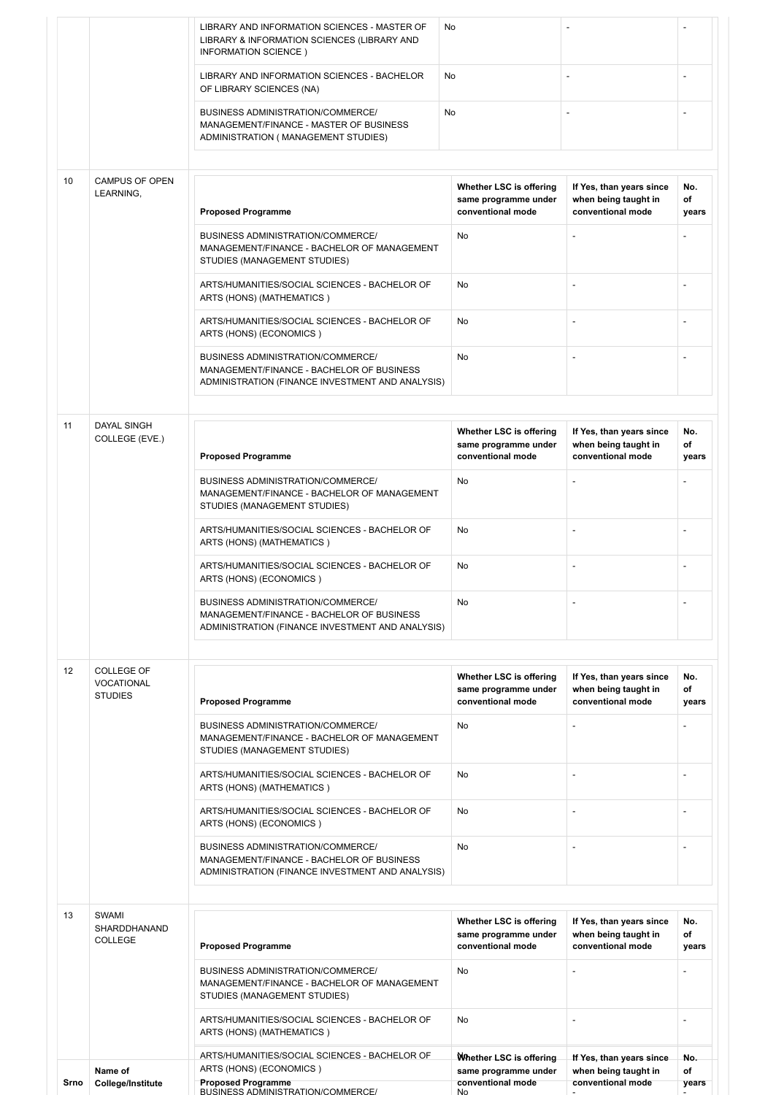|      |                                     | LIBRARY AND INFORMATION SCIENCES - MASTER OF<br>LIBRARY & INFORMATION SCIENCES (LIBRARY AND<br>INFORMATION SCIENCE)                | No                                                                   |                                                                       |                          |
|------|-------------------------------------|------------------------------------------------------------------------------------------------------------------------------------|----------------------------------------------------------------------|-----------------------------------------------------------------------|--------------------------|
|      |                                     | LIBRARY AND INFORMATION SCIENCES - BACHELOR<br>OF LIBRARY SCIENCES (NA)                                                            | No                                                                   |                                                                       |                          |
|      |                                     | BUSINESS ADMINISTRATION/COMMERCE/<br>MANAGEMENT/FINANCE - MASTER OF BUSINESS<br>ADMINISTRATION (MANAGEMENT STUDIES)                | <b>No</b>                                                            |                                                                       |                          |
| 10   | CAMPUS OF OPEN<br>LEARNING,         | <b>Proposed Programme</b>                                                                                                          | Whether LSC is offering<br>same programme under<br>conventional mode | If Yes, than years since<br>when being taught in<br>conventional mode | No.<br>of<br>years       |
|      |                                     | <b>BUSINESS ADMINISTRATION/COMMERCE/</b><br>MANAGEMENT/FINANCE - BACHELOR OF MANAGEMENT<br>STUDIES (MANAGEMENT STUDIES)            | No                                                                   | $\overline{a}$                                                        |                          |
|      |                                     | ARTS/HUMANITIES/SOCIAL SCIENCES - BACHELOR OF<br>ARTS (HONS) (MATHEMATICS)                                                         | <b>No</b>                                                            | L,                                                                    |                          |
|      |                                     | ARTS/HUMANITIES/SOCIAL SCIENCES - BACHELOR OF<br>ARTS (HONS) (ECONOMICS)                                                           | No                                                                   | $\overline{a}$                                                        |                          |
|      |                                     | BUSINESS ADMINISTRATION/COMMERCE/<br>MANAGEMENT/FINANCE - BACHELOR OF BUSINESS<br>ADMINISTRATION (FINANCE INVESTMENT AND ANALYSIS) | <b>No</b>                                                            |                                                                       |                          |
| 11   | <b>DAYAL SINGH</b>                  |                                                                                                                                    |                                                                      |                                                                       |                          |
|      | COLLEGE (EVE.)                      | <b>Proposed Programme</b>                                                                                                          | Whether LSC is offering<br>same programme under<br>conventional mode | If Yes, than years since<br>when being taught in<br>conventional mode | No.<br>of<br>years       |
|      |                                     | BUSINESS ADMINISTRATION/COMMERCE/<br>MANAGEMENT/FINANCE - BACHELOR OF MANAGEMENT<br>STUDIES (MANAGEMENT STUDIES)                   | No                                                                   | $\overline{\phantom{a}}$                                              |                          |
|      |                                     | ARTS/HUMANITIES/SOCIAL SCIENCES - BACHELOR OF<br>ARTS (HONS) (MATHEMATICS)                                                         | No                                                                   |                                                                       |                          |
|      |                                     | ARTS/HUMANITIES/SOCIAL SCIENCES - BACHELOR OF<br>ARTS (HONS) (ECONOMICS)                                                           | No                                                                   | L,                                                                    |                          |
|      |                                     | BUSINESS ADMINISTRATION/COMMERCE/<br>MANAGEMENT/FINANCE - BACHELOR OF BUSINESS<br>ADMINISTRATION (FINANCE INVESTMENT AND ANALYSIS) | No                                                                   |                                                                       |                          |
| 12   | COLLEGE OF                          |                                                                                                                                    |                                                                      |                                                                       |                          |
|      | <b>VOCATIONAL</b><br><b>STUDIES</b> | <b>Proposed Programme</b>                                                                                                          | Whether LSC is offering<br>same programme under<br>conventional mode | If Yes, than years since<br>when being taught in<br>conventional mode | No.<br>of<br>years       |
|      |                                     | BUSINESS ADMINISTRATION/COMMERCE/<br>MANAGEMENT/FINANCE - BACHELOR OF MANAGEMENT<br>STUDIES (MANAGEMENT STUDIES)                   | No                                                                   |                                                                       |                          |
|      |                                     | ARTS/HUMANITIES/SOCIAL SCIENCES - BACHELOR OF<br>ARTS (HONS) (MATHEMATICS)                                                         | No                                                                   | ÷,                                                                    |                          |
|      |                                     | ARTS/HUMANITIES/SOCIAL SCIENCES - BACHELOR OF<br>ARTS (HONS) (ECONOMICS)                                                           | No                                                                   | $\overline{a}$                                                        |                          |
|      |                                     | BUSINESS ADMINISTRATION/COMMERCE/<br>MANAGEMENT/FINANCE - BACHELOR OF BUSINESS<br>ADMINISTRATION (FINANCE INVESTMENT AND ANALYSIS) | <b>No</b>                                                            |                                                                       |                          |
| 13   | <b>SWAMI</b>                        |                                                                                                                                    |                                                                      |                                                                       |                          |
|      | SHARDDHANAND<br><b>COLLEGE</b>      | <b>Proposed Programme</b>                                                                                                          | Whether LSC is offering<br>same programme under<br>conventional mode | If Yes, than years since<br>when being taught in<br>conventional mode | No.<br>of<br>years       |
|      |                                     | BUSINESS ADMINISTRATION/COMMERCE/<br>MANAGEMENT/FINANCE - BACHELOR OF MANAGEMENT<br>STUDIES (MANAGEMENT STUDIES)                   | No                                                                   | $\overline{a}$                                                        |                          |
|      |                                     | ARTS/HUMANITIES/SOCIAL SCIENCES - BACHELOR OF<br>ARTS (HONS) (MATHEMATICS)                                                         | <b>No</b>                                                            | $\overline{\phantom{a}}$                                              | $\overline{\phantom{a}}$ |
|      |                                     | ARTS/HUMANITIES/SOCIAL SCIENCES - BACHELOR OF                                                                                      | Whether LSC is offering                                              | If Yes, than years since                                              | No.                      |
| Srno | Name of<br><b>College/Institute</b> | ARTS (HONS) (ECONOMICS)<br><b>Proposed Programme</b><br>BUSINESS ADMINISTRATION/COMMERCE/                                          | same programme under<br>conventional mode<br>No                      | when being taught in<br>conventional mode                             | of<br>years              |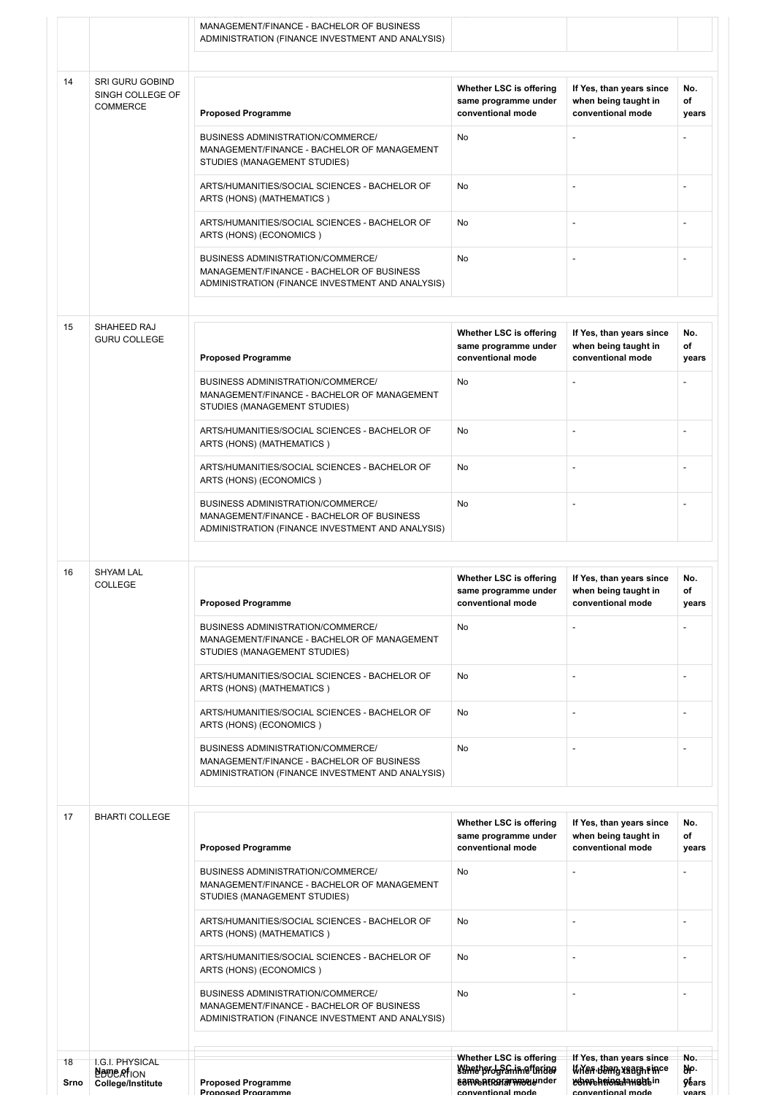| 14<br>SRI GURU GOBIND<br>Whether LSC is offering<br>If Yes, than years since<br>SINGH COLLEGE OF<br>when being taught in<br>same programme under<br><b>COMMERCE</b><br>conventional mode<br>conventional mode<br><b>Proposed Programme</b><br>BUSINESS ADMINISTRATION/COMMERCE/<br>No<br>MANAGEMENT/FINANCE - BACHELOR OF MANAGEMENT<br>STUDIES (MANAGEMENT STUDIES)<br>ARTS/HUMANITIES/SOCIAL SCIENCES - BACHELOR OF<br>No<br>$\overline{\phantom{a}}$<br>ARTS (HONS) (MATHEMATICS)<br>ARTS/HUMANITIES/SOCIAL SCIENCES - BACHELOR OF<br><b>No</b><br>ARTS (HONS) (ECONOMICS)<br>BUSINESS ADMINISTRATION/COMMERCE/<br>No<br>MANAGEMENT/FINANCE - BACHELOR OF BUSINESS<br>ADMINISTRATION (FINANCE INVESTMENT AND ANALYSIS)<br>15<br>SHAHEED RAJ<br>Whether LSC is offering<br>If Yes, than years since<br><b>GURU COLLEGE</b><br>when being taught in<br>same programme under<br><b>Proposed Programme</b><br>conventional mode<br>conventional mode<br>No<br><b>BUSINESS ADMINISTRATION/COMMERCE/</b><br>MANAGEMENT/FINANCE - BACHELOR OF MANAGEMENT<br>STUDIES (MANAGEMENT STUDIES)<br>ARTS/HUMANITIES/SOCIAL SCIENCES - BACHELOR OF<br><b>No</b><br>ARTS (HONS) (MATHEMATICS)<br>ARTS/HUMANITIES/SOCIAL SCIENCES - BACHELOR OF<br>No<br>$\overline{\phantom{a}}$<br>ARTS (HONS) (ECONOMICS)<br>BUSINESS ADMINISTRATION/COMMERCE/<br>No<br>MANAGEMENT/FINANCE - BACHELOR OF BUSINESS<br>ADMINISTRATION (FINANCE INVESTMENT AND ANALYSIS)<br>16<br><b>SHYAM LAL</b><br>Whether LSC is offering<br>If Yes, than years since<br>COLLEGE<br>same programme under<br>when being taught in<br><b>Proposed Programme</b><br>conventional mode<br>conventional mode<br><b>BUSINESS ADMINISTRATION/COMMERCE/</b><br>No<br>MANAGEMENT/FINANCE - BACHELOR OF MANAGEMENT<br>STUDIES (MANAGEMENT STUDIES)<br>ARTS/HUMANITIES/SOCIAL SCIENCES - BACHELOR OF<br>No<br>$\overline{a}$<br>ARTS (HONS) (MATHEMATICS)<br>ARTS/HUMANITIES/SOCIAL SCIENCES - BACHELOR OF<br><b>No</b><br>ARTS (HONS) (ECONOMICS)<br>BUSINESS ADMINISTRATION/COMMERCE/<br>No<br>$\overline{\phantom{a}}$<br>MANAGEMENT/FINANCE - BACHELOR OF BUSINESS<br>ADMINISTRATION (FINANCE INVESTMENT AND ANALYSIS)<br>17<br><b>BHARTI COLLEGE</b><br>Whether LSC is offering<br>If Yes, than years since<br>when being taught in<br>same programme under<br><b>Proposed Programme</b><br>conventional mode<br>conventional mode<br>BUSINESS ADMINISTRATION/COMMERCE/<br>No<br>MANAGEMENT/FINANCE - BACHELOR OF MANAGEMENT<br>STUDIES (MANAGEMENT STUDIES)<br>ARTS/HUMANITIES/SOCIAL SCIENCES - BACHELOR OF<br>No<br>$\overline{\phantom{m}}$<br>ARTS (HONS) (MATHEMATICS)<br>ARTS/HUMANITIES/SOCIAL SCIENCES - BACHELOR OF<br>No<br>$\overline{a}$<br>ARTS (HONS) (ECONOMICS)<br>BUSINESS ADMINISTRATION/COMMERCE/<br>No<br>MANAGEMENT/FINANCE - BACHELOR OF BUSINESS<br>ADMINISTRATION (FINANCE INVESTMENT AND ANALYSIS)<br>Whether LSC is offering<br>If Yes, than years since<br>18 |                 | MANAGEMENT/FINANCE - BACHELOR OF BUSINESS<br>ADMINISTRATION (FINANCE INVESTMENT AND ANALYSIS) |  |                             |
|------------------------------------------------------------------------------------------------------------------------------------------------------------------------------------------------------------------------------------------------------------------------------------------------------------------------------------------------------------------------------------------------------------------------------------------------------------------------------------------------------------------------------------------------------------------------------------------------------------------------------------------------------------------------------------------------------------------------------------------------------------------------------------------------------------------------------------------------------------------------------------------------------------------------------------------------------------------------------------------------------------------------------------------------------------------------------------------------------------------------------------------------------------------------------------------------------------------------------------------------------------------------------------------------------------------------------------------------------------------------------------------------------------------------------------------------------------------------------------------------------------------------------------------------------------------------------------------------------------------------------------------------------------------------------------------------------------------------------------------------------------------------------------------------------------------------------------------------------------------------------------------------------------------------------------------------------------------------------------------------------------------------------------------------------------------------------------------------------------------------------------------------------------------------------------------------------------------------------------------------------------------------------------------------------------------------------------------------------------------------------------------------------------------------------------------------------------------------------------------------------------------------------------------------------------------------------------------------------------------------------------------------------------------------------------------------------------------------------------------------------------------------------------------------------------------------------------------------------------------------------------------------------------------------------------------|-----------------|-----------------------------------------------------------------------------------------------|--|-----------------------------|
|                                                                                                                                                                                                                                                                                                                                                                                                                                                                                                                                                                                                                                                                                                                                                                                                                                                                                                                                                                                                                                                                                                                                                                                                                                                                                                                                                                                                                                                                                                                                                                                                                                                                                                                                                                                                                                                                                                                                                                                                                                                                                                                                                                                                                                                                                                                                                                                                                                                                                                                                                                                                                                                                                                                                                                                                                                                                                                                                          |                 |                                                                                               |  |                             |
|                                                                                                                                                                                                                                                                                                                                                                                                                                                                                                                                                                                                                                                                                                                                                                                                                                                                                                                                                                                                                                                                                                                                                                                                                                                                                                                                                                                                                                                                                                                                                                                                                                                                                                                                                                                                                                                                                                                                                                                                                                                                                                                                                                                                                                                                                                                                                                                                                                                                                                                                                                                                                                                                                                                                                                                                                                                                                                                                          |                 |                                                                                               |  | No.<br>of<br>years          |
|                                                                                                                                                                                                                                                                                                                                                                                                                                                                                                                                                                                                                                                                                                                                                                                                                                                                                                                                                                                                                                                                                                                                                                                                                                                                                                                                                                                                                                                                                                                                                                                                                                                                                                                                                                                                                                                                                                                                                                                                                                                                                                                                                                                                                                                                                                                                                                                                                                                                                                                                                                                                                                                                                                                                                                                                                                                                                                                                          |                 |                                                                                               |  |                             |
|                                                                                                                                                                                                                                                                                                                                                                                                                                                                                                                                                                                                                                                                                                                                                                                                                                                                                                                                                                                                                                                                                                                                                                                                                                                                                                                                                                                                                                                                                                                                                                                                                                                                                                                                                                                                                                                                                                                                                                                                                                                                                                                                                                                                                                                                                                                                                                                                                                                                                                                                                                                                                                                                                                                                                                                                                                                                                                                                          |                 |                                                                                               |  |                             |
|                                                                                                                                                                                                                                                                                                                                                                                                                                                                                                                                                                                                                                                                                                                                                                                                                                                                                                                                                                                                                                                                                                                                                                                                                                                                                                                                                                                                                                                                                                                                                                                                                                                                                                                                                                                                                                                                                                                                                                                                                                                                                                                                                                                                                                                                                                                                                                                                                                                                                                                                                                                                                                                                                                                                                                                                                                                                                                                                          |                 |                                                                                               |  |                             |
|                                                                                                                                                                                                                                                                                                                                                                                                                                                                                                                                                                                                                                                                                                                                                                                                                                                                                                                                                                                                                                                                                                                                                                                                                                                                                                                                                                                                                                                                                                                                                                                                                                                                                                                                                                                                                                                                                                                                                                                                                                                                                                                                                                                                                                                                                                                                                                                                                                                                                                                                                                                                                                                                                                                                                                                                                                                                                                                                          |                 |                                                                                               |  |                             |
|                                                                                                                                                                                                                                                                                                                                                                                                                                                                                                                                                                                                                                                                                                                                                                                                                                                                                                                                                                                                                                                                                                                                                                                                                                                                                                                                                                                                                                                                                                                                                                                                                                                                                                                                                                                                                                                                                                                                                                                                                                                                                                                                                                                                                                                                                                                                                                                                                                                                                                                                                                                                                                                                                                                                                                                                                                                                                                                                          |                 |                                                                                               |  | No.                         |
|                                                                                                                                                                                                                                                                                                                                                                                                                                                                                                                                                                                                                                                                                                                                                                                                                                                                                                                                                                                                                                                                                                                                                                                                                                                                                                                                                                                                                                                                                                                                                                                                                                                                                                                                                                                                                                                                                                                                                                                                                                                                                                                                                                                                                                                                                                                                                                                                                                                                                                                                                                                                                                                                                                                                                                                                                                                                                                                                          |                 |                                                                                               |  | of<br>years                 |
|                                                                                                                                                                                                                                                                                                                                                                                                                                                                                                                                                                                                                                                                                                                                                                                                                                                                                                                                                                                                                                                                                                                                                                                                                                                                                                                                                                                                                                                                                                                                                                                                                                                                                                                                                                                                                                                                                                                                                                                                                                                                                                                                                                                                                                                                                                                                                                                                                                                                                                                                                                                                                                                                                                                                                                                                                                                                                                                                          |                 |                                                                                               |  |                             |
|                                                                                                                                                                                                                                                                                                                                                                                                                                                                                                                                                                                                                                                                                                                                                                                                                                                                                                                                                                                                                                                                                                                                                                                                                                                                                                                                                                                                                                                                                                                                                                                                                                                                                                                                                                                                                                                                                                                                                                                                                                                                                                                                                                                                                                                                                                                                                                                                                                                                                                                                                                                                                                                                                                                                                                                                                                                                                                                                          |                 |                                                                                               |  |                             |
|                                                                                                                                                                                                                                                                                                                                                                                                                                                                                                                                                                                                                                                                                                                                                                                                                                                                                                                                                                                                                                                                                                                                                                                                                                                                                                                                                                                                                                                                                                                                                                                                                                                                                                                                                                                                                                                                                                                                                                                                                                                                                                                                                                                                                                                                                                                                                                                                                                                                                                                                                                                                                                                                                                                                                                                                                                                                                                                                          |                 |                                                                                               |  |                             |
|                                                                                                                                                                                                                                                                                                                                                                                                                                                                                                                                                                                                                                                                                                                                                                                                                                                                                                                                                                                                                                                                                                                                                                                                                                                                                                                                                                                                                                                                                                                                                                                                                                                                                                                                                                                                                                                                                                                                                                                                                                                                                                                                                                                                                                                                                                                                                                                                                                                                                                                                                                                                                                                                                                                                                                                                                                                                                                                                          |                 |                                                                                               |  |                             |
|                                                                                                                                                                                                                                                                                                                                                                                                                                                                                                                                                                                                                                                                                                                                                                                                                                                                                                                                                                                                                                                                                                                                                                                                                                                                                                                                                                                                                                                                                                                                                                                                                                                                                                                                                                                                                                                                                                                                                                                                                                                                                                                                                                                                                                                                                                                                                                                                                                                                                                                                                                                                                                                                                                                                                                                                                                                                                                                                          |                 |                                                                                               |  |                             |
|                                                                                                                                                                                                                                                                                                                                                                                                                                                                                                                                                                                                                                                                                                                                                                                                                                                                                                                                                                                                                                                                                                                                                                                                                                                                                                                                                                                                                                                                                                                                                                                                                                                                                                                                                                                                                                                                                                                                                                                                                                                                                                                                                                                                                                                                                                                                                                                                                                                                                                                                                                                                                                                                                                                                                                                                                                                                                                                                          |                 |                                                                                               |  | No.<br>οf<br>years          |
|                                                                                                                                                                                                                                                                                                                                                                                                                                                                                                                                                                                                                                                                                                                                                                                                                                                                                                                                                                                                                                                                                                                                                                                                                                                                                                                                                                                                                                                                                                                                                                                                                                                                                                                                                                                                                                                                                                                                                                                                                                                                                                                                                                                                                                                                                                                                                                                                                                                                                                                                                                                                                                                                                                                                                                                                                                                                                                                                          |                 |                                                                                               |  |                             |
|                                                                                                                                                                                                                                                                                                                                                                                                                                                                                                                                                                                                                                                                                                                                                                                                                                                                                                                                                                                                                                                                                                                                                                                                                                                                                                                                                                                                                                                                                                                                                                                                                                                                                                                                                                                                                                                                                                                                                                                                                                                                                                                                                                                                                                                                                                                                                                                                                                                                                                                                                                                                                                                                                                                                                                                                                                                                                                                                          |                 |                                                                                               |  |                             |
|                                                                                                                                                                                                                                                                                                                                                                                                                                                                                                                                                                                                                                                                                                                                                                                                                                                                                                                                                                                                                                                                                                                                                                                                                                                                                                                                                                                                                                                                                                                                                                                                                                                                                                                                                                                                                                                                                                                                                                                                                                                                                                                                                                                                                                                                                                                                                                                                                                                                                                                                                                                                                                                                                                                                                                                                                                                                                                                                          |                 |                                                                                               |  |                             |
|                                                                                                                                                                                                                                                                                                                                                                                                                                                                                                                                                                                                                                                                                                                                                                                                                                                                                                                                                                                                                                                                                                                                                                                                                                                                                                                                                                                                                                                                                                                                                                                                                                                                                                                                                                                                                                                                                                                                                                                                                                                                                                                                                                                                                                                                                                                                                                                                                                                                                                                                                                                                                                                                                                                                                                                                                                                                                                                                          |                 |                                                                                               |  |                             |
|                                                                                                                                                                                                                                                                                                                                                                                                                                                                                                                                                                                                                                                                                                                                                                                                                                                                                                                                                                                                                                                                                                                                                                                                                                                                                                                                                                                                                                                                                                                                                                                                                                                                                                                                                                                                                                                                                                                                                                                                                                                                                                                                                                                                                                                                                                                                                                                                                                                                                                                                                                                                                                                                                                                                                                                                                                                                                                                                          |                 |                                                                                               |  |                             |
|                                                                                                                                                                                                                                                                                                                                                                                                                                                                                                                                                                                                                                                                                                                                                                                                                                                                                                                                                                                                                                                                                                                                                                                                                                                                                                                                                                                                                                                                                                                                                                                                                                                                                                                                                                                                                                                                                                                                                                                                                                                                                                                                                                                                                                                                                                                                                                                                                                                                                                                                                                                                                                                                                                                                                                                                                                                                                                                                          |                 |                                                                                               |  | No.<br>of<br>years          |
|                                                                                                                                                                                                                                                                                                                                                                                                                                                                                                                                                                                                                                                                                                                                                                                                                                                                                                                                                                                                                                                                                                                                                                                                                                                                                                                                                                                                                                                                                                                                                                                                                                                                                                                                                                                                                                                                                                                                                                                                                                                                                                                                                                                                                                                                                                                                                                                                                                                                                                                                                                                                                                                                                                                                                                                                                                                                                                                                          |                 |                                                                                               |  |                             |
|                                                                                                                                                                                                                                                                                                                                                                                                                                                                                                                                                                                                                                                                                                                                                                                                                                                                                                                                                                                                                                                                                                                                                                                                                                                                                                                                                                                                                                                                                                                                                                                                                                                                                                                                                                                                                                                                                                                                                                                                                                                                                                                                                                                                                                                                                                                                                                                                                                                                                                                                                                                                                                                                                                                                                                                                                                                                                                                                          |                 |                                                                                               |  |                             |
|                                                                                                                                                                                                                                                                                                                                                                                                                                                                                                                                                                                                                                                                                                                                                                                                                                                                                                                                                                                                                                                                                                                                                                                                                                                                                                                                                                                                                                                                                                                                                                                                                                                                                                                                                                                                                                                                                                                                                                                                                                                                                                                                                                                                                                                                                                                                                                                                                                                                                                                                                                                                                                                                                                                                                                                                                                                                                                                                          |                 |                                                                                               |  |                             |
|                                                                                                                                                                                                                                                                                                                                                                                                                                                                                                                                                                                                                                                                                                                                                                                                                                                                                                                                                                                                                                                                                                                                                                                                                                                                                                                                                                                                                                                                                                                                                                                                                                                                                                                                                                                                                                                                                                                                                                                                                                                                                                                                                                                                                                                                                                                                                                                                                                                                                                                                                                                                                                                                                                                                                                                                                                                                                                                                          |                 |                                                                                               |  |                             |
| Whether Jefanime funcion<br>Wilen being vaarn ince<br><b>NATTERFION</b><br>wheveheionsatawabtein<br><b>samcantogrammodunder</b>                                                                                                                                                                                                                                                                                                                                                                                                                                                                                                                                                                                                                                                                                                                                                                                                                                                                                                                                                                                                                                                                                                                                                                                                                                                                                                                                                                                                                                                                                                                                                                                                                                                                                                                                                                                                                                                                                                                                                                                                                                                                                                                                                                                                                                                                                                                                                                                                                                                                                                                                                                                                                                                                                                                                                                                                          | I.G.I. PHYSICAL |                                                                                               |  | No.<br>Ŋφ.<br><b>9</b> ears |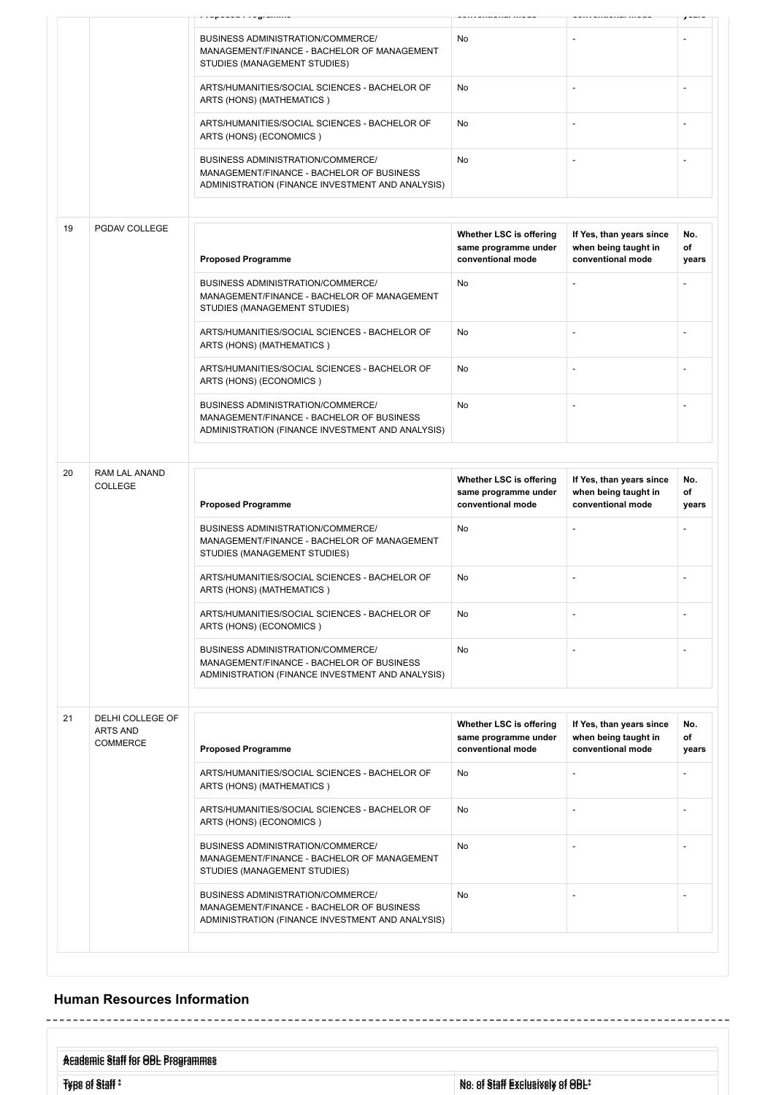|                      |                                                        | - 3                                                                                                                                |                                                                      |                                                                       |                    |
|----------------------|--------------------------------------------------------|------------------------------------------------------------------------------------------------------------------------------------|----------------------------------------------------------------------|-----------------------------------------------------------------------|--------------------|
|                      |                                                        | BUSINESS ADMINISTRATION/COMMERCE/<br>MANAGEMENT/FINANCE - BACHELOR OF MANAGEMENT<br>STUDIES (MANAGEMENT STUDIES)                   | No                                                                   |                                                                       |                    |
|                      |                                                        | ARTS/HUMANITIES/SOCIAL SCIENCES - BACHELOR OF<br>ARTS (HONS) (MATHEMATICS)                                                         | No                                                                   |                                                                       |                    |
|                      |                                                        | ARTS/HUMANITIES/SOCIAL SCIENCES - BACHELOR OF<br>ARTS (HONS) (ECONOMICS)                                                           | No                                                                   | $\overline{\phantom{m}}$                                              |                    |
|                      |                                                        | BUSINESS ADMINISTRATION/COMMERCE/<br>MANAGEMENT/FINANCE - BACHELOR OF BUSINESS<br>ADMINISTRATION (FINANCE INVESTMENT AND ANALYSIS) | No                                                                   |                                                                       |                    |
|                      |                                                        |                                                                                                                                    |                                                                      |                                                                       |                    |
| 19                   | PGDAV COLLEGE                                          | <b>Proposed Programme</b>                                                                                                          | Whether LSC is offering<br>same programme under<br>conventional mode | If Yes, than years since<br>when being taught in<br>conventional mode | No.<br>of<br>years |
|                      |                                                        | BUSINESS ADMINISTRATION/COMMERCE/<br>MANAGEMENT/FINANCE - BACHELOR OF MANAGEMENT<br>STUDIES (MANAGEMENT STUDIES)                   | No                                                                   |                                                                       |                    |
|                      |                                                        | ARTS/HUMANITIES/SOCIAL SCIENCES - BACHELOR OF<br>ARTS (HONS) (MATHEMATICS)                                                         | No                                                                   |                                                                       |                    |
|                      |                                                        | ARTS/HUMANITIES/SOCIAL SCIENCES - BACHELOR OF<br>ARTS (HONS) (ECONOMICS)                                                           | No                                                                   |                                                                       |                    |
|                      |                                                        | BUSINESS ADMINISTRATION/COMMERCE/<br>MANAGEMENT/FINANCE - BACHELOR OF BUSINESS<br>ADMINISTRATION (FINANCE INVESTMENT AND ANALYSIS) | No                                                                   |                                                                       |                    |
|                      |                                                        |                                                                                                                                    |                                                                      |                                                                       |                    |
| 20<br><b>COLLEGE</b> | RAM LAL ANAND                                          | <b>Proposed Programme</b>                                                                                                          | Whether LSC is offering<br>same programme under<br>conventional mode | If Yes, than years since<br>when being taught in<br>conventional mode | No.<br>of<br>years |
|                      |                                                        | BUSINESS ADMINISTRATION/COMMERCE/<br>MANAGEMENT/FINANCE - BACHELOR OF MANAGEMENT<br>STUDIES (MANAGEMENT STUDIES)                   | No                                                                   |                                                                       |                    |
|                      |                                                        | ARTS/HUMANITIES/SOCIAL SCIENCES - BACHELOR OF<br>ARTS (HONS) (MATHEMATICS)                                                         | No                                                                   | $\overline{a}$                                                        |                    |
|                      |                                                        |                                                                                                                                    |                                                                      |                                                                       |                    |
|                      |                                                        | ARTS/HUMANITIES/SOCIAL SCIENCES - BACHELOR OF<br>ARTS (HONS) (ECONOMICS)                                                           | No                                                                   |                                                                       |                    |
|                      |                                                        | BUSINESS ADMINISTRATION/COMMERCE/<br>MANAGEMENT/FINANCE - BACHELOR OF BUSINESS<br>ADMINISTRATION (FINANCE INVESTMENT AND ANALYSIS) | No                                                                   |                                                                       |                    |
|                      |                                                        |                                                                                                                                    |                                                                      |                                                                       |                    |
| 21                   | DELHI COLLEGE OF<br><b>ARTS AND</b><br><b>COMMERCE</b> | <b>Proposed Programme</b>                                                                                                          | Whether LSC is offering<br>same programme under<br>conventional mode | If Yes, than years since<br>when being taught in<br>conventional mode | No.<br>of<br>years |
|                      |                                                        | ARTS/HUMANITIES/SOCIAL SCIENCES - BACHELOR OF<br>ARTS (HONS) (MATHEMATICS)                                                         | No                                                                   | $\qquad \qquad \blacksquare$                                          | $\overline{a}$     |
|                      |                                                        | ARTS/HUMANITIES/SOCIAL SCIENCES - BACHELOR OF<br>ARTS (HONS) (ECONOMICS)                                                           | No                                                                   |                                                                       |                    |
|                      |                                                        | BUSINESS ADMINISTRATION/COMMERCE/<br>MANAGEMENT/FINANCE - BACHELOR OF MANAGEMENT<br>STUDIES (MANAGEMENT STUDIES)                   | No                                                                   |                                                                       |                    |

### **Human Resources Information**

 $\sim$   $\sim$  $\frac{1}{2} \frac{1}{2} \frac{1}{2} \frac{1}{2} \frac{1}{2} \frac{1}{2} \frac{1}{2} \frac{1}{2} \frac{1}{2} \frac{1}{2} \frac{1}{2} \frac{1}{2} \frac{1}{2} \frac{1}{2} \frac{1}{2} \frac{1}{2} \frac{1}{2} \frac{1}{2} \frac{1}{2} \frac{1}{2} \frac{1}{2} \frac{1}{2} \frac{1}{2} \frac{1}{2} \frac{1}{2} \frac{1}{2} \frac{1}{2} \frac{1}{2} \frac{1}{2} \frac{1}{2} \frac{1}{2} \frac{$  $\frac{1}{2} \left( \frac{1}{2} \right) \left( \frac{1}{2} \right) \left( \frac{1}{2} \right) \left( \frac{1}{2} \right) \left( \frac{1}{2} \right) \left( \frac{1}{2} \right) \left( \frac{1}{2} \right) \left( \frac{1}{2} \right) \left( \frac{1}{2} \right) \left( \frac{1}{2} \right) \left( \frac{1}{2} \right) \left( \frac{1}{2} \right) \left( \frac{1}{2} \right) \left( \frac{1}{2} \right) \left( \frac{1}{2} \right) \left( \frac{1}{2} \right) \left( \frac$ **Academic Staff for ODL Programmes Academic Staff for ODL Programmes Type of Staff \* No. of Staff Exclusively of ODL\* Type of Staff \* No. of Staff Exclusively of ODL\***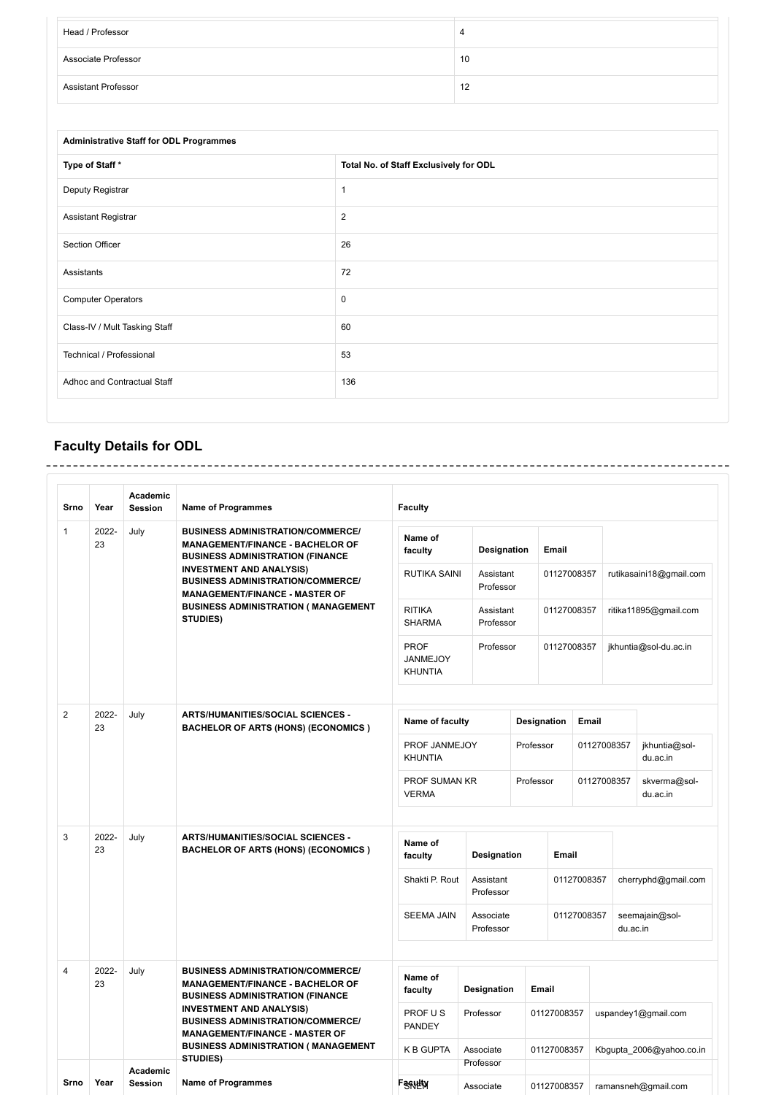| Head / Professor           |    |
|----------------------------|----|
| Associate Professor        | 10 |
| <b>Assistant Professor</b> | 12 |

| <b>Administrative Staff for ODL Programmes</b> |                                        |  |  |  |  |
|------------------------------------------------|----------------------------------------|--|--|--|--|
| Type of Staff*                                 | Total No. of Staff Exclusively for ODL |  |  |  |  |
| Deputy Registrar                               | $\mathbf{1}$                           |  |  |  |  |
| <b>Assistant Registrar</b>                     | $\overline{2}$                         |  |  |  |  |
| Section Officer                                | 26                                     |  |  |  |  |
| Assistants                                     | 72                                     |  |  |  |  |
| <b>Computer Operators</b>                      | $\mathbf 0$                            |  |  |  |  |
| Class-IV / Mult Tasking Staff                  | 60                                     |  |  |  |  |
| Technical / Professional                       | 53                                     |  |  |  |  |
| Adhoc and Contractual Staff                    | 136                                    |  |  |  |  |
|                                                |                                        |  |  |  |  |

## **Faculty Details for ODL**

| Srno               | Year        | Academic<br><b>Session</b>                                                                                           | <b>Name of Programmes</b>                                                                                                      | <b>Faculty</b>                            |                        |                    |             |             |                     |                           |
|--------------------|-------------|----------------------------------------------------------------------------------------------------------------------|--------------------------------------------------------------------------------------------------------------------------------|-------------------------------------------|------------------------|--------------------|-------------|-------------|---------------------|---------------------------|
| $\mathbf{1}$<br>23 | 2022-       | July                                                                                                                 | <b>BUSINESS ADMINISTRATION/COMMERCE/</b><br><b>MANAGEMENT/FINANCE - BACHELOR OF</b><br><b>BUSINESS ADMINISTRATION (FINANCE</b> | Name of<br>faculty                        | Designation            |                    | Email       |             |                     |                           |
|                    |             |                                                                                                                      | <b>INVESTMENT AND ANALYSIS)</b><br><b>BUSINESS ADMINISTRATION/COMMERCE/</b><br><b>MANAGEMENT/FINANCE - MASTER OF</b>           | <b>RUTIKA SAINI</b>                       | Assistant<br>Professor |                    | 01127008357 |             |                     | rutikasaini18@gmail.com   |
|                    |             |                                                                                                                      | <b>BUSINESS ADMINISTRATION ( MANAGEMENT</b><br>STUDIES)                                                                        | <b>RITIKA</b><br><b>SHARMA</b>            | Assistant<br>Professor |                    | 01127008357 |             |                     | ritika11895@gmail.com     |
|                    |             |                                                                                                                      |                                                                                                                                | <b>PROF</b><br>JANMEJOY<br><b>KHUNTIA</b> | Professor              |                    | 01127008357 |             |                     | jkhuntia@sol-du.ac.in     |
| $\overline{2}$     | 2022-<br>23 | July                                                                                                                 | <b>ARTS/HUMANITIES/SOCIAL SCIENCES -</b><br><b>BACHELOR OF ARTS (HONS) (ECONOMICS)</b>                                         | Name of faculty                           |                        | <b>Designation</b> |             | Email       |                     |                           |
|                    |             |                                                                                                                      |                                                                                                                                | PROF JANMEJOY<br><b>KHUNTIA</b>           |                        | Professor          |             | 01127008357 |                     | jkhuntia@sol-<br>du.ac.in |
|                    |             |                                                                                                                      |                                                                                                                                | PROF SUMAN KR<br><b>VERMA</b>             |                        | Professor          |             | 01127008357 |                     | skverma@sol-<br>du.ac.in  |
| 3                  | 2022-<br>23 | July                                                                                                                 | <b>ARTS/HUMANITIES/SOCIAL SCIENCES -</b><br><b>BACHELOR OF ARTS (HONS) (ECONOMICS)</b>                                         | Name of<br>faculty                        | Designation            |                    | Email       |             |                     |                           |
|                    |             |                                                                                                                      |                                                                                                                                | Shakti P. Rout                            | Assistant<br>Professor |                    | 01127008357 |             | cherryphd@gmail.com |                           |
|                    |             |                                                                                                                      |                                                                                                                                | <b>SEEMA JAIN</b>                         | Associate<br>Professor |                    | 01127008357 |             | du.ac.in            | seemajain@sol-            |
| $\overline{4}$     | 2022-<br>23 | July                                                                                                                 | <b>BUSINESS ADMINISTRATION/COMMERCE/</b><br><b>MANAGEMENT/FINANCE - BACHELOR OF</b><br><b>BUSINESS ADMINISTRATION (FINANCE</b> | Name of<br>faculty                        | Designation            | Email              |             |             |                     |                           |
|                    |             | <b>INVESTMENT AND ANALYSIS)</b><br><b>BUSINESS ADMINISTRATION/COMMERCE/</b><br><b>MANAGEMENT/FINANCE - MASTER OF</b> | PROF US<br><b>PANDEY</b>                                                                                                       | Professor                                 |                        | 01127008357        |             |             | uspandey1@gmail.com |                           |
|                    |             |                                                                                                                      | <b>BUSINESS ADMINISTRATION ( MANAGEMENT</b><br>STUDIES)                                                                        | <b>K B GUPTA</b>                          | Associate<br>Professor |                    | 01127008357 |             |                     | Kbgupta_2006@yahoo.co.in  |
| Srno               | Year        | Academic<br><b>Session</b>                                                                                           | <b>Name of Programmes</b>                                                                                                      | <b>Fagulty</b>                            | Associate              |                    | 01127008357 |             |                     | ramansneh@gmail.com       |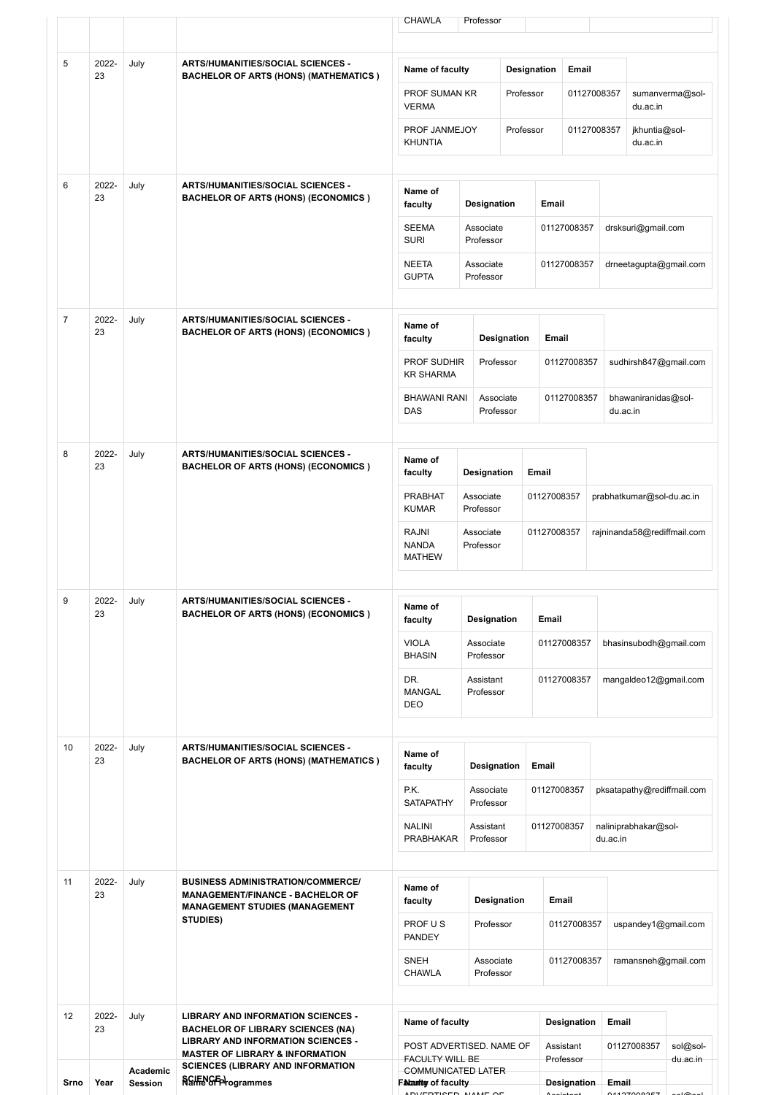|                  |                                                                                         |                                                  |                                                                                                                                     | CHAWLA                                                   | Professor              |                                          |             |                        |                       |                                 |                      |
|------------------|-----------------------------------------------------------------------------------------|--------------------------------------------------|-------------------------------------------------------------------------------------------------------------------------------------|----------------------------------------------------------|------------------------|------------------------------------------|-------------|------------------------|-----------------------|---------------------------------|----------------------|
| 5                | 2022-<br>23                                                                             | July                                             | <b>ARTS/HUMANITIES/SOCIAL SCIENCES -</b><br><b>BACHELOR OF ARTS (HONS) (MATHEMATICS)</b>                                            | Name of faculty                                          |                        | Designation                              |             | Email                  |                       |                                 |                      |
|                  |                                                                                         |                                                  |                                                                                                                                     | <b>PROF SUMAN KR</b><br><b>VERMA</b>                     |                        | Professor                                |             | 01127008357            |                       | du.ac.in                        | sumanverma@sol-      |
|                  |                                                                                         |                                                  |                                                                                                                                     | PROF JANMEJOY<br><b>KHUNTIA</b>                          |                        | Professor                                |             | 01127008357            |                       | jkhuntia@sol-<br>du.ac.in       |                      |
| 6                | 2022-<br>23                                                                             | July                                             | <b>ARTS/HUMANITIES/SOCIAL SCIENCES -</b><br><b>BACHELOR OF ARTS (HONS) (ECONOMICS)</b>                                              | Name of<br>faculty                                       | Designation            |                                          | Email       |                        |                       |                                 |                      |
|                  |                                                                                         |                                                  |                                                                                                                                     | <b>SEEMA</b><br>Associate<br><b>SURI</b><br>Professor    |                        | 01127008357                              |             |                        | drsksuri@gmail.com    |                                 |                      |
|                  |                                                                                         |                                                  |                                                                                                                                     | <b>NEETA</b><br><b>GUPTA</b>                             | Associate<br>Professor |                                          |             | 01127008357            |                       | drneetagupta@gmail.com          |                      |
| $\overline{7}$   | 2022-<br>23                                                                             | July                                             | <b>ARTS/HUMANITIES/SOCIAL SCIENCES -</b><br><b>BACHELOR OF ARTS (HONS) (ECONOMICS )</b>                                             | Name of<br>faculty                                       |                        | Designation                              | Email       |                        |                       |                                 |                      |
|                  |                                                                                         |                                                  | <b>PROF SUDHIR</b><br><b>KR SHARMA</b>                                                                                              |                                                          | Professor              |                                          | 01127008357 |                        | sudhirsh847@gmail.com |                                 |                      |
|                  |                                                                                         |                                                  |                                                                                                                                     | <b>BHAWANI RANI</b><br>DAS                               |                        | Associate<br>Professor                   |             | 01127008357            |                       | bhawaniranidas@sol-<br>du.ac.in |                      |
| 8                | 2022-<br>23                                                                             | July<br><b>ARTS/HUMANITIES/SOCIAL SCIENCES -</b> | <b>BACHELOR OF ARTS (HONS) (ECONOMICS )</b>                                                                                         | Name of<br>faculty                                       | <b>Designation</b>     |                                          | Email       |                        |                       |                                 |                      |
|                  |                                                                                         |                                                  |                                                                                                                                     | <b>PRABHAT</b><br>Associate<br><b>KUMAR</b><br>Professor |                        | 01127008357<br>prabhatkumar@sol-du.ac.in |             |                        |                       |                                 |                      |
|                  |                                                                                         |                                                  |                                                                                                                                     | RAJNI<br><b>NANDA</b><br><b>MATHEW</b>                   | Associate<br>Professor |                                          | 01127008357 |                        |                       | rajninanda58@rediffmail.com     |                      |
| 2022-<br>9<br>23 | ARTS/HUMANITIES/SOCIAL SCIENCES -<br>July<br><b>BACHELOR OF ARTS (HONS) (ECONOMICS)</b> | Name of<br>faculty                               | Designation                                                                                                                         |                                                          | Email                  |                                          |             |                        |                       |                                 |                      |
|                  |                                                                                         |                                                  |                                                                                                                                     | <b>VIOLA</b><br><b>BHASIN</b>                            | Associate<br>Professor |                                          |             | 01127008357            |                       | bhasinsubodh@gmail.com          |                      |
|                  |                                                                                         |                                                  |                                                                                                                                     | DR.<br><b>MANGAL</b><br>DEO                              | Assistant<br>Professor |                                          |             | 01127008357            |                       | mangaldeo12@gmail.com           |                      |
| 10               | 2022-<br>23                                                                             | July                                             | <b>ARTS/HUMANITIES/SOCIAL SCIENCES -</b><br><b>BACHELOR OF ARTS (HONS) (MATHEMATICS)</b>                                            | Name of<br>faculty                                       | Designation            |                                          | Email       |                        |                       |                                 |                      |
|                  |                                                                                         |                                                  |                                                                                                                                     | P.K.<br>SATAPATHY                                        | Associate<br>Professor |                                          | 01127008357 |                        |                       | pksatapathy@rediffmail.com      |                      |
|                  |                                                                                         |                                                  |                                                                                                                                     | <b>NALINI</b><br><b>PRABHAKAR</b>                        | Assistant<br>Professor |                                          | 01127008357 |                        | du.ac.in              | naliniprabhakar@sol-            |                      |
| 11               | 2022-<br>23                                                                             | July                                             | <b>BUSINESS ADMINISTRATION/COMMERCE/</b><br><b>MANAGEMENT/FINANCE - BACHELOR OF</b><br><b>MANAGEMENT STUDIES (MANAGEMENT</b>        | Name of<br>faculty                                       |                        | Designation                              | Email       |                        |                       |                                 |                      |
|                  |                                                                                         | STUDIES)                                         | PROF US<br><b>PANDEY</b>                                                                                                            | Professor                                                |                        | 01127008357                              |             | uspandey1@gmail.com    |                       |                                 |                      |
|                  |                                                                                         |                                                  |                                                                                                                                     | <b>SNEH</b><br><b>CHAWLA</b>                             | Associate<br>Professor |                                          |             | 01127008357            |                       | ramansneh@gmail.com             |                      |
| 12               | 2022-<br>23                                                                             | July                                             | <b>LIBRARY AND INFORMATION SCIENCES -</b><br><b>BACHELOR OF LIBRARY SCIENCES (NA)</b>                                               | Name of faculty                                          |                        |                                          |             | <b>Designation</b>     | Email                 |                                 |                      |
|                  |                                                                                         |                                                  | <b>LIBRARY AND INFORMATION SCIENCES -</b><br><b>MASTER OF LIBRARY &amp; INFORMATION</b><br><b>SCIENCES (LIBRARY AND INFORMATION</b> | POST ADVERTISED. NAME OF<br>FACULTY WILL BE              |                        |                                          |             | Assistant<br>Professor |                       | 01127008357                     | sol@sol-<br>du.ac.in |
| Srno             | Year                                                                                    | Academic<br><b>Session</b>                       | <b>SGIENGEProgrammes</b>                                                                                                            | COMMUNICATED LATER<br>Falantly of faculty                |                        |                                          |             | <b>Designation</b>     | Email                 |                                 |                      |

ADVERTISED NAME OF Assistant 01127008357 sol@sol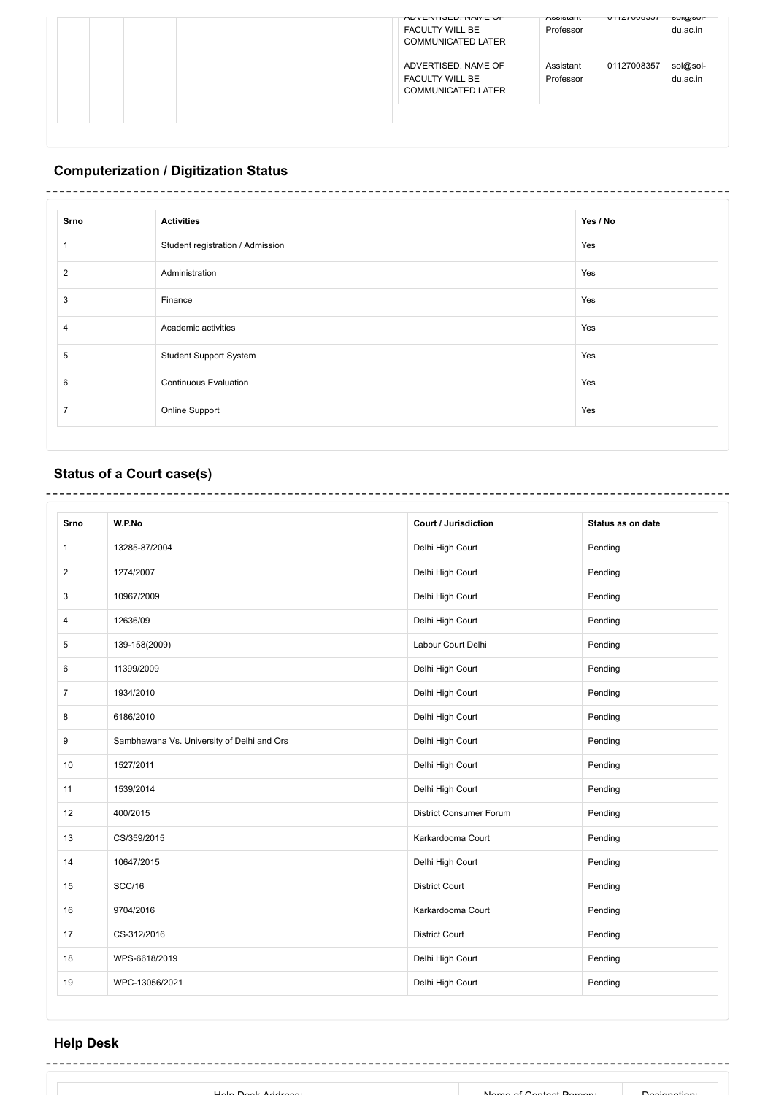| AUVERTISED, INAME UP<br><b>FACULTY WILL BE</b><br><b>COMMUNICATED LATER</b> | ASSISTAIL<br>Professor | UTTZTUU6357 | surgusui-<br>du.ac.in |
|-----------------------------------------------------------------------------|------------------------|-------------|-----------------------|
| ADVERTISED, NAME OF<br><b>FACULTY WILL BE</b><br><b>COMMUNICATED LATER</b>  | Assistant<br>Professor | 01127008357 | sol@sol-<br>du.ac.in  |
|                                                                             |                        |             |                       |

## **Computerization / Digitization Status**

# 

| Srno | <b>Activities</b>                | Yes / No |
|------|----------------------------------|----------|
|      | Student registration / Admission | Yes      |
| 2    | Administration                   | Yes      |
| 3    | Finance                          | Yes      |
| 4    | Academic activities              | Yes      |
| 5    | <b>Student Support System</b>    | Yes      |
| 6    | <b>Continuous Evaluation</b>     | Yes      |
| ⇁    | Online Support                   | Yes      |
|      |                                  |          |

## **Status of a Court case(s)**

| Srno           | W.P.No                                     | <b>Court / Jurisdiction</b>    | Status as on date |
|----------------|--------------------------------------------|--------------------------------|-------------------|
| 1              | 13285-87/2004                              | Delhi High Court               | Pending           |
| $\overline{2}$ | 1274/2007                                  | Delhi High Court               | Pending           |
| 3              | 10967/2009                                 | Delhi High Court               | Pending           |
| 4              | 12636/09                                   | Delhi High Court               | Pending           |
| 5              | 139-158(2009)                              | Labour Court Delhi             | Pending           |
| 6              | 11399/2009                                 | Delhi High Court               | Pending           |
| $\overline{7}$ | 1934/2010                                  | Delhi High Court               | Pending           |
| 8              | 6186/2010                                  | Delhi High Court               | Pending           |
| 9              | Sambhawana Vs. University of Delhi and Ors | Delhi High Court               | Pending           |
| 10             | 1527/2011                                  | Delhi High Court               | Pending           |
| 11             | 1539/2014                                  | Delhi High Court               | Pending           |
| 12             | 400/2015                                   | <b>District Consumer Forum</b> | Pending           |
| 13             | CS/359/2015                                | Karkardooma Court              | Pending           |
| 14             | 10647/2015                                 | Delhi High Court               | Pending           |
| 15             | <b>SCC/16</b>                              | <b>District Court</b>          | Pending           |
| 16             | 9704/2016                                  | Karkardooma Court              | Pending           |
| 17             | CS-312/2016                                | <b>District Court</b>          | Pending           |
| 18             | WPS-6618/2019                              | Delhi High Court               | Pending           |
| 19             | WPC-13056/2021                             | Delhi High Court               | Pending           |

## **Help Desk**

| Name of Contact Demon<br>Holn Dook Address. | Dooianotion: |  |
|---------------------------------------------|--------------|--|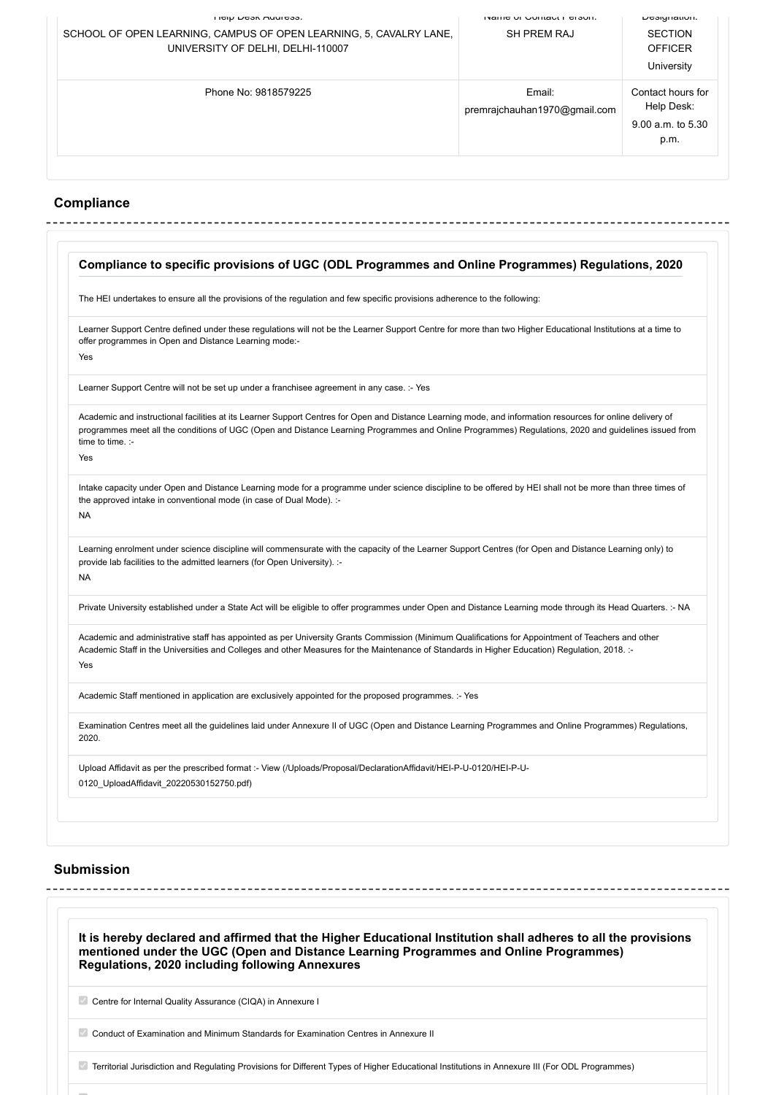| <b>HEID DESK AUGHTESS.</b>                                         | <b>NAME OF COMMAN FUNDI.</b>           | Designation.                                                     |
|--------------------------------------------------------------------|----------------------------------------|------------------------------------------------------------------|
| SCHOOL OF OPEN LEARNING, CAMPUS OF OPEN LEARNING, 5, CAVALRY LANE, | <b>SH PREM RAJ</b>                     | <b>SECTION</b>                                                   |
| UNIVERSITY OF DELHI, DELHI-110007                                  |                                        | <b>OFFICER</b>                                                   |
|                                                                    |                                        | University                                                       |
| Phone No: 9818579225                                               | Email:<br>premrajchauhan1970@gmail.com | Contact hours for<br>Help Desk:<br>$9.00$ a.m. to $5.30$<br>p.m. |
|                                                                    |                                        |                                                                  |

## **Compliance**

|           | Compliance to specific provisions of UGC (ODL Programmes and Online Programmes) Regulations, 2020                                                                                                                                                                                                                                       |  |  |
|-----------|-----------------------------------------------------------------------------------------------------------------------------------------------------------------------------------------------------------------------------------------------------------------------------------------------------------------------------------------|--|--|
|           | The HEI undertakes to ensure all the provisions of the regulation and few specific provisions adherence to the following:                                                                                                                                                                                                               |  |  |
| Yes       | Learner Support Centre defined under these regulations will not be the Learner Support Centre for more than two Higher Educational Institutions at a time to<br>offer programmes in Open and Distance Learning mode:-                                                                                                                   |  |  |
|           | Learner Support Centre will not be set up under a franchisee agreement in any case. :- Yes                                                                                                                                                                                                                                              |  |  |
| Yes       | Academic and instructional facilities at its Learner Support Centres for Open and Distance Learning mode, and information resources for online delivery of<br>programmes meet all the conditions of UGC (Open and Distance Learning Programmes and Online Programmes) Regulations, 2020 and guidelines issued from<br>time to time. $:$ |  |  |
| <b>NA</b> | Intake capacity under Open and Distance Learning mode for a programme under science discipline to be offered by HEI shall not be more than three times of<br>the approved intake in conventional mode (in case of Dual Mode). :-                                                                                                        |  |  |
| <b>NA</b> | Learning enrolment under science discipline will commensurate with the capacity of the Learner Support Centres (for Open and Distance Learning only) to<br>provide lab facilities to the admitted learners (for Open University). :-                                                                                                    |  |  |
|           | Private University established under a State Act will be eligible to offer programmes under Open and Distance Learning mode through its Head Quarters. :- NA                                                                                                                                                                            |  |  |
| Yes       | Academic and administrative staff has appointed as per University Grants Commission (Minimum Qualifications for Appointment of Teachers and other<br>Academic Staff in the Universities and Colleges and other Measures for the Maintenance of Standards in Higher Education) Regulation, 2018. :-                                      |  |  |
|           | Academic Staff mentioned in application are exclusively appointed for the proposed programmes. :- Yes                                                                                                                                                                                                                                   |  |  |
|           | Examination Centres meet all the guidelines laid under Annexure II of UGC (Open and Distance Learning Programmes and Online Programmes) Regulations,<br>2020.                                                                                                                                                                           |  |  |
|           | Upload Affidavit as per the prescribed format :- View (/Uploads/Proposal/DeclarationAffidavit/HEI-P-U-0120/HEI-P-U-<br>0120 UploadAffidavit 20220530152750.pdf)                                                                                                                                                                         |  |  |

### **Submission**

---------------

**It is hereby declared and affirmed that the Higher Educational Institution shall adheres to all the provisions mentioned under the UGC (Open and Distance Learning Programmes and Online Programmes) Regulations, 2020 including following Annexures**

Centre for Internal Quality Assurance (CIQA) in Annexure I

Conduct of Examination and Minimum Standards for Examination Centres in Annexure II

Territorial Jurisdiction and Regulating Provisions for Different Types of Higher Educational Institutions in Annexure III (For ODL Programmes)